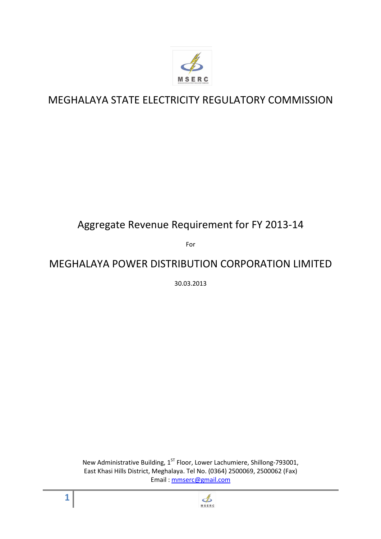

# MEGHALAYA STATE ELECTRICITY REGULATORY COMMISSION

# Aggregate Revenue Requirement for FY 2013-14

For

# MEGHALAYA POWER DISTRIBUTION CORPORATION LIMITED

30.03.2013

New Administrative Building, 1<sup>ST</sup> Floor, Lower Lachumiere, Shillong-793001, East Khasi Hills District, Meghalaya. Tel No. (0364) 2500069, 2500062 (Fax) Email : mmserc@gmail.com



**1**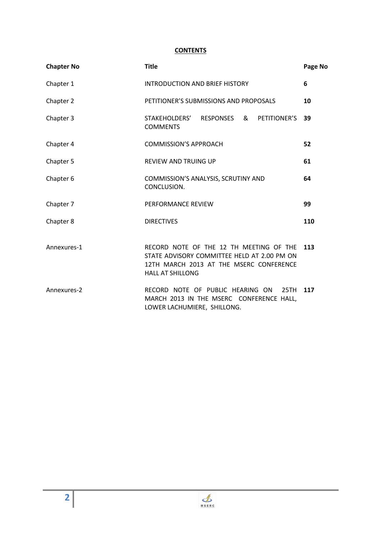#### **CONTENTS**

| <b>Chapter No</b> | <b>Title</b>                                                                                                                                                 | Page No |  |  |  |
|-------------------|--------------------------------------------------------------------------------------------------------------------------------------------------------------|---------|--|--|--|
| Chapter 1         | <b>INTRODUCTION AND BRIEF HISTORY</b>                                                                                                                        | 6       |  |  |  |
| Chapter 2         | PETITIONER'S SUBMISSIONS AND PROPOSALS                                                                                                                       | 10      |  |  |  |
| Chapter 3         | STAKEHOLDERS' RESPONSES<br>& PETITIONER'S<br><b>COMMENTS</b>                                                                                                 | 39      |  |  |  |
| Chapter 4         | <b>COMMISSION'S APPROACH</b>                                                                                                                                 | 52      |  |  |  |
| Chapter 5         | REVIEW AND TRUING UP                                                                                                                                         | 61      |  |  |  |
| Chapter 6         | COMMISSION'S ANALYSIS, SCRUTINY AND<br>CONCLUSION.                                                                                                           |         |  |  |  |
| Chapter 7         | PERFORMANCE REVIEW                                                                                                                                           | 99      |  |  |  |
| Chapter 8         | <b>DIRECTIVES</b><br>110                                                                                                                                     |         |  |  |  |
| Annexures-1       | RECORD NOTE OF THE 12 TH MEETING OF THE<br>STATE ADVISORY COMMITTEE HELD AT 2.00 PM ON<br>12TH MARCH 2013 AT THE MSERC CONFERENCE<br><b>HALL AT SHILLONG</b> | 113     |  |  |  |
| Annexures-2       | RECORD NOTE OF PUBLIC HEARING ON<br>25TH<br>MARCH 2013 IN THE MSERC CONFERENCE HALL,<br>LOWER LACHUMIERE, SHILLONG.                                          | 117     |  |  |  |

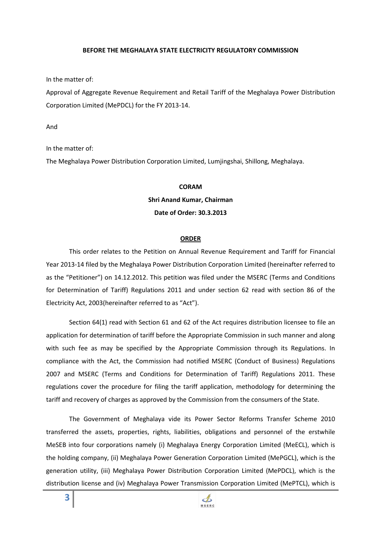#### **BEFORE THE MEGHALAYA STATE ELECTRICITY REGULATORY COMMISSION**

In the matter of:

Approval of Aggregate Revenue Requirement and Retail Tariff of the Meghalaya Power Distribution Corporation Limited (MePDCL) for the FY 2013-14.

And

In the matter of:

The Meghalaya Power Distribution Corporation Limited, Lumjingshai, Shillong, Meghalaya.

#### **CORAM**

#### **Shri Anand Kumar, Chairman**

#### **Date of Order: 30.3.2013**

#### **ORDER**

This order relates to the Petition on Annual Revenue Requirement and Tariff for Financial Year 2013-14 filed by the Meghalaya Power Distribution Corporation Limited (hereinafter referred to as the "Petitioner") on 14.12.2012. This petition was filed under the MSERC (Terms and Conditions for Determination of Tariff) Regulations 2011 and under section 62 read with section 86 of the Electricity Act, 2003(hereinafter referred to as "Act").

Section 64(1) read with Section 61 and 62 of the Act requires distribution licensee to file an application for determination of tariff before the Appropriate Commission in such manner and along with such fee as may be specified by the Appropriate Commission through its Regulations. In compliance with the Act, the Commission had notified MSERC (Conduct of Business) Regulations 2007 and MSERC (Terms and Conditions for Determination of Tariff) Regulations 2011. These regulations cover the procedure for filing the tariff application, methodology for determining the tariff and recovery of charges as approved by the Commission from the consumers of the State.

The Government of Meghalaya vide its Power Sector Reforms Transfer Scheme 2010 transferred the assets, properties, rights, liabilities, obligations and personnel of the erstwhile MeSEB into four corporations namely (i) Meghalaya Energy Corporation Limited (MeECL), which is the holding company, (ii) Meghalaya Power Generation Corporation Limited (MePGCL), which is the generation utility, (iii) Meghalaya Power Distribution Corporation Limited (MePDCL), which is the distribution license and (iv) Meghalaya Power Transmission Corporation Limited (MePTCL), which is

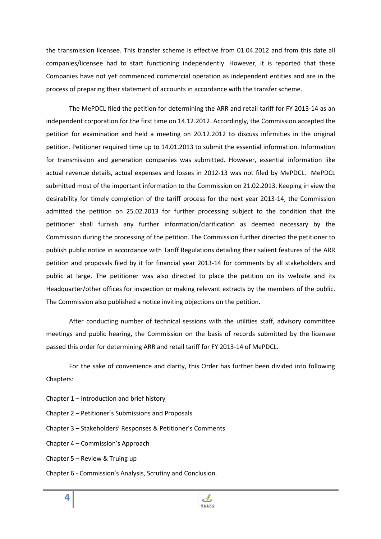the transmission licensee. This transfer scheme is effective from 01.04.2012 and from this date all companies/licensee had to start functioning independently. However, it is reported that these Companies have not yet commenced commercial operation as independent entities and are in the process of preparing their statement of accounts in accordance with the transfer scheme.

The MePDCL filed the petition for determining the ARR and retail tariff for FY 2013-14 as an independent corporation for the first time on 14.12.2012. Accordingly, the Commission accepted the petition for examination and held a meeting on 20.12.2012 to discuss infirmities in the original petition. Petitioner required time up to 14.01.2013 to submit the essential information. Information for transmission and generation companies was submitted. However, essential information like actual revenue details, actual expenses and losses in 2012-13 was not filed by MePDCL. MePDCL submitted most of the important information to the Commission on 21.02.2013. Keeping in view the desirability for timely completion of the tariff process for the next year 2013-14, the Commission admitted the petition on 25.02.2013 for further processing subject to the condition that the petitioner shall furnish any further information/clarification as deemed necessary by the Commission during the processing of the petition. The Commission further directed the petitioner to publish public notice in accordance with Tariff Regulations detailing their salient features of the ARR petition and proposals filed by it for financial year 2013-14 for comments by all stakeholders and public at large. The petitioner was also directed to place the petition on its website and its Headquarter/other offices for inspection or making relevant extracts by the members of the public. The Commission also published a notice inviting objections on the petition.

After conducting number of technical sessions with the utilities staff, advisory committee meetings and public hearing, the Commission on the basis of records submitted by the licensee passed this order for determining ARR and retail tariff for FY 2013-14 of MePDCL.

For the sake of convenience and clarity, this Order has further been divided into following Chapters:

- Chapter 1 Introduction and brief history
- Chapter 2 Petitioner's Submissions and Proposals
- Chapter 3 Stakeholders' Responses & Petitioner's Comments
- Chapter 4 Commission's Approach
- Chapter 5 Review & Truing up
- Chapter 6 Commission's Analysis, Scrutiny and Conclusion.

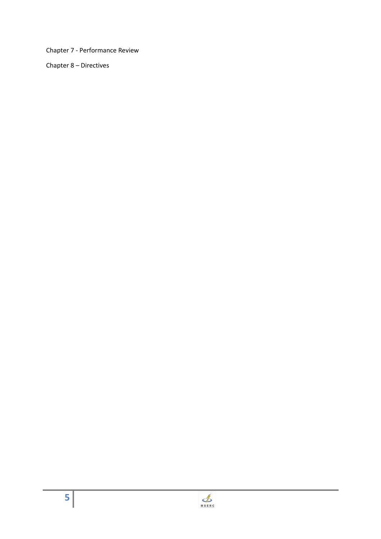Chapter 7 - Performance Review

Chapter 8 – Directives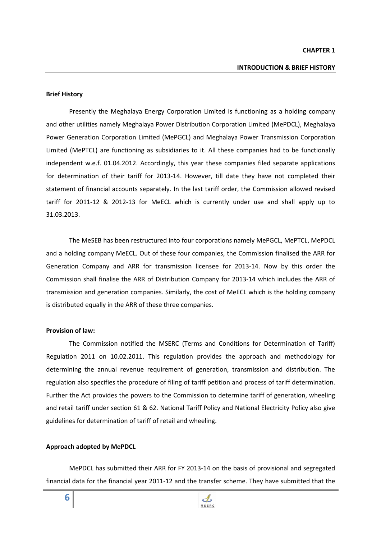#### **Brief History**

 Presently the Meghalaya Energy Corporation Limited is functioning as a holding company and other utilities namely Meghalaya Power Distribution Corporation Limited (MePDCL), Meghalaya Power Generation Corporation Limited (MePGCL) and Meghalaya Power Transmission Corporation Limited (MePTCL) are functioning as subsidiaries to it. All these companies had to be functionally independent w.e.f. 01.04.2012. Accordingly, this year these companies filed separate applications for determination of their tariff for 2013-14. However, till date they have not completed their statement of financial accounts separately. In the last tariff order, the Commission allowed revised tariff for 2011-12 & 2012-13 for MeECL which is currently under use and shall apply up to 31.03.2013.

 The MeSEB has been restructured into four corporations namely MePGCL, MePTCL, MePDCL and a holding company MeECL. Out of these four companies, the Commission finalised the ARR for Generation Company and ARR for transmission licensee for 2013-14. Now by this order the Commission shall finalise the ARR of Distribution Company for 2013-14 which includes the ARR of transmission and generation companies. Similarly, the cost of MeECL which is the holding company is distributed equally in the ARR of these three companies.

#### **Provision of law:**

 The Commission notified the MSERC (Terms and Conditions for Determination of Tariff) Regulation 2011 on 10.02.2011. This regulation provides the approach and methodology for determining the annual revenue requirement of generation, transmission and distribution. The regulation also specifies the procedure of filing of tariff petition and process of tariff determination. Further the Act provides the powers to the Commission to determine tariff of generation, wheeling and retail tariff under section 61 & 62. National Tariff Policy and National Electricity Policy also give guidelines for determination of tariff of retail and wheeling.

#### **Approach adopted by MePDCL**

 MePDCL has submitted their ARR for FY 2013-14 on the basis of provisional and segregated financial data for the financial year 2011-12 and the transfer scheme. They have submitted that the

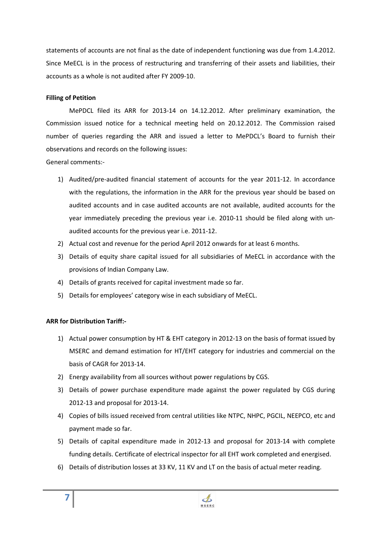statements of accounts are not final as the date of independent functioning was due from 1.4.2012. Since MeECL is in the process of restructuring and transferring of their assets and liabilities, their accounts as a whole is not audited after FY 2009-10.

## **Filling of Petition**

 MePDCL filed its ARR for 2013-14 on 14.12.2012. After preliminary examination, the Commission issued notice for a technical meeting held on 20.12.2012. The Commission raised number of queries regarding the ARR and issued a letter to MePDCL's Board to furnish their observations and records on the following issues:

General comments:-

- 1) Audited/pre-audited financial statement of accounts for the year 2011-12. In accordance with the regulations, the information in the ARR for the previous year should be based on audited accounts and in case audited accounts are not available, audited accounts for the year immediately preceding the previous year i.e. 2010-11 should be filed along with unaudited accounts for the previous year i.e. 2011-12.
- 2) Actual cost and revenue for the period April 2012 onwards for at least 6 months.
- 3) Details of equity share capital issued for all subsidiaries of MeECL in accordance with the provisions of Indian Company Law.
- 4) Details of grants received for capital investment made so far.
- 5) Details for employees' category wise in each subsidiary of MeECL.

## **ARR for Distribution Tariff:-**

- 1) Actual power consumption by HT & EHT category in 2012-13 on the basis of format issued by MSERC and demand estimation for HT/EHT category for industries and commercial on the basis of CAGR for 2013-14.
- 2) Energy availability from all sources without power regulations by CGS.
- 3) Details of power purchase expenditure made against the power regulated by CGS during 2012-13 and proposal for 2013-14.
- 4) Copies of bills issued received from central utilities like NTPC, NHPC, PGCIL, NEEPCO, etc and payment made so far.
- 5) Details of capital expenditure made in 2012-13 and proposal for 2013-14 with complete funding details. Certificate of electrical inspector for all EHT work completed and energised.
- 6) Details of distribution losses at 33 KV, 11 KV and LT on the basis of actual meter reading.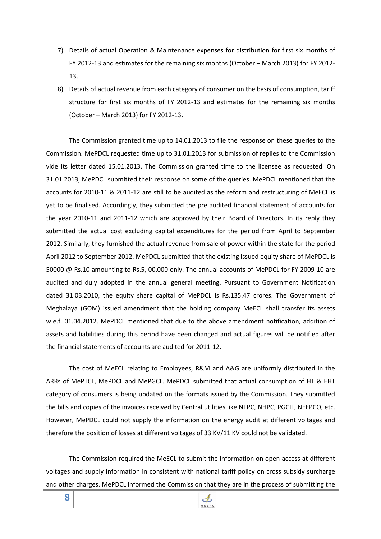- 7) Details of actual Operation & Maintenance expenses for distribution for first six months of FY 2012-13 and estimates for the remaining six months (October – March 2013) for FY 2012- 13.
- 8) Details of actual revenue from each category of consumer on the basis of consumption, tariff structure for first six months of FY 2012-13 and estimates for the remaining six months (October – March 2013) for FY 2012-13.

The Commission granted time up to 14.01.2013 to file the response on these queries to the Commission. MePDCL requested time up to 31.01.2013 for submission of replies to the Commission vide its letter dated 15.01.2013. The Commission granted time to the licensee as requested. On 31.01.2013, MePDCL submitted their response on some of the queries. MePDCL mentioned that the accounts for 2010-11 & 2011-12 are still to be audited as the reform and restructuring of MeECL is yet to be finalised. Accordingly, they submitted the pre audited financial statement of accounts for the year 2010-11 and 2011-12 which are approved by their Board of Directors. In its reply they submitted the actual cost excluding capital expenditures for the period from April to September 2012. Similarly, they furnished the actual revenue from sale of power within the state for the period April 2012 to September 2012. MePDCL submitted that the existing issued equity share of MePDCL is 50000 @ Rs.10 amounting to Rs.5, 00,000 only. The annual accounts of MePDCL for FY 2009-10 are audited and duly adopted in the annual general meeting. Pursuant to Government Notification dated 31.03.2010, the equity share capital of MePDCL is Rs.135.47 crores. The Government of Meghalaya (GOM) issued amendment that the holding company MeECL shall transfer its assets w.e.f. 01.04.2012. MePDCL mentioned that due to the above amendment notification, addition of assets and liabilities during this period have been changed and actual figures will be notified after the financial statements of accounts are audited for 2011-12.

The cost of MeECL relating to Employees, R&M and A&G are uniformly distributed in the ARRs of MePTCL, MePDCL and MePGCL. MePDCL submitted that actual consumption of HT & EHT category of consumers is being updated on the formats issued by the Commission. They submitted the bills and copies of the invoices received by Central utilities like NTPC, NHPC, PGCIL, NEEPCO, etc. However, MePDCL could not supply the information on the energy audit at different voltages and therefore the position of losses at different voltages of 33 KV/11 KV could not be validated.

The Commission required the MeECL to submit the information on open access at different voltages and supply information in consistent with national tariff policy on cross subsidy surcharge and other charges. MePDCL informed the Commission that they are in the process of submitting the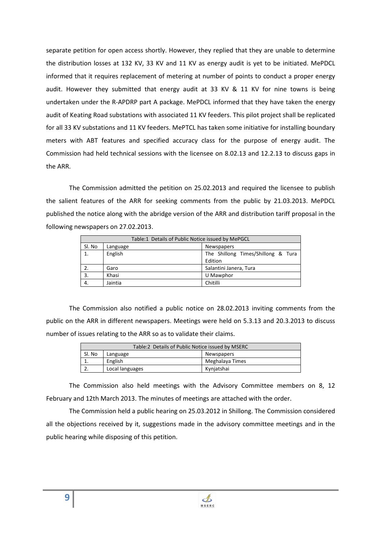separate petition for open access shortly. However, they replied that they are unable to determine the distribution losses at 132 KV, 33 KV and 11 KV as energy audit is yet to be initiated. MePDCL informed that it requires replacement of metering at number of points to conduct a proper energy audit. However they submitted that energy audit at 33 KV & 11 KV for nine towns is being undertaken under the R-APDRP part A package. MePDCL informed that they have taken the energy audit of Keating Road substations with associated 11 KV feeders. This pilot project shall be replicated for all 33 KV substations and 11 KV feeders. MePTCL has taken some initiative for installing boundary meters with ABT features and specified accuracy class for the purpose of energy audit. The Commission had held technical sessions with the licensee on 8.02.13 and 12.2.13 to discuss gaps in the ARR.

The Commission admitted the petition on 25.02.2013 and required the licensee to publish the salient features of the ARR for seeking comments from the public by 21.03.2013. MePDCL published the notice along with the abridge version of the ARR and distribution tariff proposal in the following newspapers on 27.02.2013.

| Table:1 Details of Public Notice issued by MePGCL |                               |                                    |  |  |  |  |
|---------------------------------------------------|-------------------------------|------------------------------------|--|--|--|--|
| Sl. No                                            | <b>Newspapers</b><br>Language |                                    |  |  |  |  |
|                                                   | English                       | The Shillong Times/Shillong & Tura |  |  |  |  |
|                                                   |                               | Edition                            |  |  |  |  |
|                                                   | Garo                          | Salantini Janera, Tura             |  |  |  |  |
| 3.                                                | Khasi                         | U Mawphor                          |  |  |  |  |
| 4.                                                | Jaintia                       | Chitilli                           |  |  |  |  |

The Commission also notified a public notice on 28.02.2013 inviting comments from the public on the ARR in different newspapers. Meetings were held on 5.3.13 and 20.3.2013 to discuss number of issues relating to the ARR so as to validate their claims.

|        | Table:2 Details of Public Notice issued by MSERC |                 |  |  |  |
|--------|--------------------------------------------------|-----------------|--|--|--|
| Sl. No | Language                                         | Newspapers      |  |  |  |
|        | English                                          | Meghalaya Times |  |  |  |
|        | Local languages                                  | Kynjatshai      |  |  |  |

The Commission also held meetings with the Advisory Committee members on 8, 12 February and 12th March 2013. The minutes of meetings are attached with the order.

The Commission held a public hearing on 25.03.2012 in Shillong. The Commission considered all the objections received by it, suggestions made in the advisory committee meetings and in the public hearing while disposing of this petition.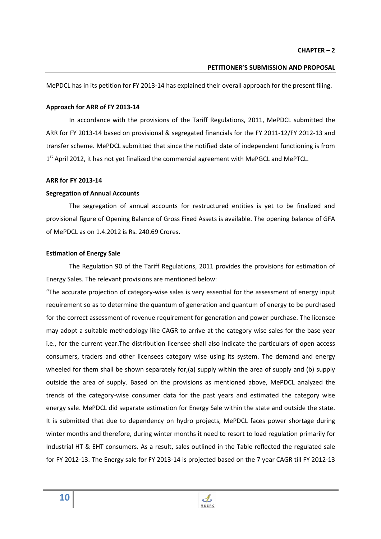#### **PETITIONER'S SUBMISSION AND PROPOSAL**

MePDCL has in its petition for FY 2013-14 has explained their overall approach for the present filing.

#### **Approach for ARR of FY 2013-14**

In accordance with the provisions of the Tariff Regulations, 2011, MePDCL submitted the ARR for FY 2013-14 based on provisional & segregated financials for the FY 2011-12/FY 2012-13 and transfer scheme. MePDCL submitted that since the notified date of independent functioning is from 1<sup>st</sup> April 2012, it has not yet finalized the commercial agreement with MePGCL and MePTCL.

#### **ARR for FY 2013-14**

#### **Segregation of Annual Accounts**

The segregation of annual accounts for restructured entities is yet to be finalized and provisional figure of Opening Balance of Gross Fixed Assets is available. The opening balance of GFA of MePDCL as on 1.4.2012 is Rs. 240.69 Crores.

#### **Estimation of Energy Sale**

The Regulation 90 of the Tariff Regulations, 2011 provides the provisions for estimation of Energy Sales. The relevant provisions are mentioned below:

"The accurate projection of category-wise sales is very essential for the assessment of energy input requirement so as to determine the quantum of generation and quantum of energy to be purchased for the correct assessment of revenue requirement for generation and power purchase. The licensee may adopt a suitable methodology like CAGR to arrive at the category wise sales for the base year i.e., for the current year.The distribution licensee shall also indicate the particulars of open access consumers, traders and other licensees category wise using its system. The demand and energy wheeled for them shall be shown separately for,(a) supply within the area of supply and (b) supply outside the area of supply. Based on the provisions as mentioned above, MePDCL analyzed the trends of the category-wise consumer data for the past years and estimated the category wise energy sale. MePDCL did separate estimation for Energy Sale within the state and outside the state. It is submitted that due to dependency on hydro projects, MePDCL faces power shortage during winter months and therefore, during winter months it need to resort to load regulation primarily for Industrial HT & EHT consumers. As a result, sales outlined in the Table reflected the regulated sale for FY 2012-13. The Energy sale for FY 2013-14 is projected based on the 7 year CAGR till FY 2012-13

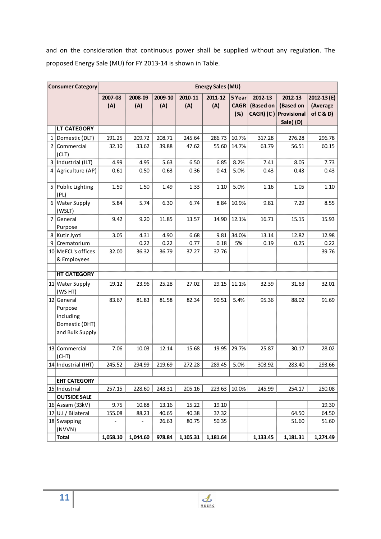and on the consideration that continuous power shall be supplied without any regulation. The proposed Energy Sale (MU) for FY 2013-14 is shown in Table.

|                | <b>Consumer Category</b>                                                | <b>Energy Sales (MU)</b> |          |         |          |          |             |           |                       |                |
|----------------|-------------------------------------------------------------------------|--------------------------|----------|---------|----------|----------|-------------|-----------|-----------------------|----------------|
|                |                                                                         | 2007-08                  | 2008-09  | 2009-10 | 2010-11  | 2011-12  | 5 Year      | 2012-13   | 2012-13               | $2012 - 13(E)$ |
|                |                                                                         | (A)                      | (A)      | (A)     | (A)      | (A)      | <b>CAGR</b> | (Based on | (Based on             | (Average       |
|                |                                                                         |                          |          |         |          |          | (%)         |           | CAGR) (C) Provisional | of $C$ & $D$ ) |
|                |                                                                         |                          |          |         |          |          |             |           | Sale) (D)             |                |
|                | <b>LT CATEGORY</b>                                                      |                          |          |         |          |          |             |           |                       |                |
|                | 1 Domestic (DLT)                                                        | 191.25                   | 209.72   | 208.71  | 245.64   | 286.73   | 10.7%       | 317.28    | 276.28                | 296.78         |
| $\overline{2}$ | Commercial                                                              | 32.10                    | 33.62    | 39.88   | 47.62    | 55.60    | 14.7%       | 63.79     | 56.51                 | 60.15          |
|                | (CLT)                                                                   |                          |          |         |          |          |             |           |                       |                |
|                | 3 Industrial (ILT)                                                      | 4.99                     | 4.95     | 5.63    | 6.50     | 6.85     | 8.2%        | 7.41      | 8.05                  | 7.73           |
|                | 4 Agriculture (AP)                                                      | 0.61                     | 0.50     | 0.63    | 0.36     | 0.41     | 5.0%        | 0.43      | 0.43                  | 0.43           |
| 5              | Public Lighting<br>(PL)                                                 | 1.50                     | 1.50     | 1.49    | 1.33     | 1.10     | 5.0%        | 1.16      | 1.05                  | 1.10           |
| 6              | <b>Water Supply</b><br>(WSLT)                                           | 5.84                     | 5.74     | 6.30    | 6.74     | 8.84     | 10.9%       | 9.81      | 7.29                  | 8.55           |
| $\overline{7}$ | General                                                                 | 9.42                     | 9.20     | 11.85   | 13.57    | 14.90    | 12.1%       | 16.71     | 15.15                 | 15.93          |
|                | Purpose                                                                 |                          |          |         |          |          |             |           |                       |                |
|                | 8 Kutir Jyoti                                                           | 3.05                     | 4.31     | 4.90    | 6.68     | 9.81     | 34.0%       | 13.14     | 12.82                 | 12.98          |
| 9              | Crematorium                                                             |                          | 0.22     | 0.22    | 0.77     | 0.18     | 5%          | 0.19      | 0.25                  | 0.22           |
|                | 10 MeECL's offices                                                      | 32.00                    | 36.32    | 36.79   | 37.27    | 37.76    |             |           |                       | 39.76          |
|                | & Employees                                                             |                          |          |         |          |          |             |           |                       |                |
|                |                                                                         |                          |          |         |          |          |             |           |                       |                |
|                | <b>HT CATEGORY</b>                                                      |                          |          |         |          |          |             |           |                       |                |
|                | 11 Water Supply<br>(WS HT)                                              | 19.12                    | 23.96    | 25.28   | 27.02    | 29.15    | 11.1%       | 32.39     | 31.63                 | 32.01          |
|                | 12 General<br>Purpose<br>including<br>Domestic (DHT)<br>and Bulk Supply | 83.67                    | 81.83    | 81.58   | 82.34    | 90.51    | 5.4%        | 95.36     | 88.02                 | 91.69          |
|                | 13 Commercial<br>(CHT)                                                  | 7.06                     | 10.03    | 12.14   | 15.68    | 19.95    | 29.7%       | 25.87     | 30.17                 | 28.02          |
|                | 14 Industrial (IHT)                                                     | 245.52                   | 294.99   | 219.69  | 272.28   | 289.45   | 5.0%        | 303.92    | 283.40                | 293.66         |
|                |                                                                         |                          |          |         |          |          |             |           |                       |                |
|                | <b>EHT CATEGORY</b>                                                     |                          |          |         |          |          |             |           |                       |                |
|                | 15 Industrial                                                           | 257.15                   | 228.60   | 243.31  | 205.16   | 223.63   | 10.0%       | 245.99    | 254.17                | 250.08         |
|                | <b>OUTSIDE SALE</b>                                                     |                          |          |         |          |          |             |           |                       |                |
|                | 16 Assam (33kV)                                                         | 9.75                     | 10.88    | 13.16   | 15.22    | 19.10    |             |           |                       | 19.30          |
|                | 17 U.I / Bilateral                                                      | 155.08                   | 88.23    | 40.65   | 40.38    | 37.32    |             |           | 64.50                 | 64.50          |
|                | 18 Swapping<br>(NVVN)                                                   |                          |          | 26.63   | 80.75    | 50.35    |             |           | 51.60                 | 51.60          |
|                | <b>Total</b>                                                            | 1,058.10                 | 1,044.60 | 978.84  | 1,105.31 | 1,181.64 |             | 1,133.45  | 1,181.31              | 1,274.49       |

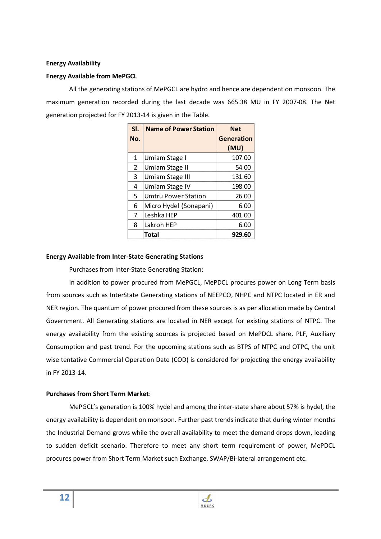#### **Energy Availability**

#### **Energy Available from MePGCL**

All the generating stations of MePGCL are hydro and hence are dependent on monsoon. The maximum generation recorded during the last decade was 665.38 MU in FY 2007-08. The Net generation projected for FY 2013-14 is given in the Table.

| SI. | <b>Name of Power Station</b> | <b>Net</b> |
|-----|------------------------------|------------|
| No. |                              | Generation |
|     |                              | (MU)       |
| 1   | Umiam Stage I                | 107.00     |
| 2   | Umiam Stage II               | 54.00      |
| ς   | Umiam Stage III              | 131.60     |
| 4   | Umiam Stage IV               | 198.00     |
| 5   | Umtru Power Station          | 26.00      |
| 6   | Micro Hydel (Sonapani)       | 6.00       |
| 7   | Leshka HFP                   | 401.00     |
| 8   | Lakroh HFP                   | 6.00       |
|     | Total                        | 929.60     |

#### **Energy Available from Inter-State Generating Stations**

Purchases from Inter-State Generating Station:

In addition to power procured from MePGCL, MePDCL procures power on Long Term basis from sources such as InterState Generating stations of NEEPCO, NHPC and NTPC located in ER and NER region. The quantum of power procured from these sources is as per allocation made by Central Government. All Generating stations are located in NER except for existing stations of NTPC. The energy availability from the existing sources is projected based on MePDCL share, PLF, Auxiliary Consumption and past trend. For the upcoming stations such as BTPS of NTPC and OTPC, the unit wise tentative Commercial Operation Date (COD) is considered for projecting the energy availability in FY 2013-14.

#### **Purchases from Short Term Market**:

MePGCL's generation is 100% hydel and among the inter-state share about 57% is hydel, the energy availability is dependent on monsoon. Further past trends indicate that during winter months the Industrial Demand grows while the overall availability to meet the demand drops down, leading to sudden deficit scenario. Therefore to meet any short term requirement of power, MePDCL procures power from Short Term Market such Exchange, SWAP/Bi-lateral arrangement etc.

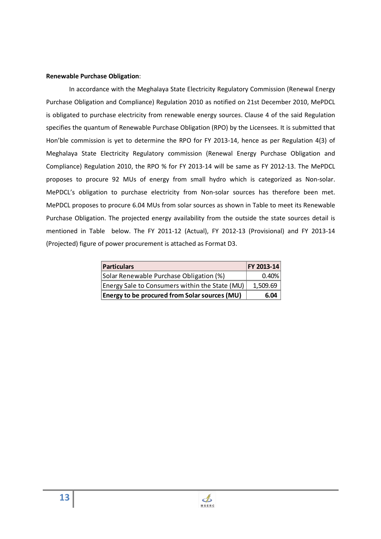#### **Renewable Purchase Obligation**:

In accordance with the Meghalaya State Electricity Regulatory Commission (Renewal Energy Purchase Obligation and Compliance) Regulation 2010 as notified on 21st December 2010, MePDCL is obligated to purchase electricity from renewable energy sources. Clause 4 of the said Regulation specifies the quantum of Renewable Purchase Obligation (RPO) by the Licensees. It is submitted that Hon'ble commission is yet to determine the RPO for FY 2013-14, hence as per Regulation 4(3) of Meghalaya State Electricity Regulatory commission (Renewal Energy Purchase Obligation and Compliance) Regulation 2010, the RPO % for FY 2013-14 will be same as FY 2012-13. The MePDCL proposes to procure 92 MUs of energy from small hydro which is categorized as Non-solar. MePDCL's obligation to purchase electricity from Non-solar sources has therefore been met. MePDCL proposes to procure 6.04 MUs from solar sources as shown in Table to meet its Renewable Purchase Obligation. The projected energy availability from the outside the state sources detail is mentioned in Table below. The FY 2011-12 (Actual), FY 2012-13 (Provisional) and FY 2013-14 (Projected) figure of power procurement is attached as Format D3.

| <b>Particulars</b>                                   | <b>FY 2013-14</b> |
|------------------------------------------------------|-------------------|
| Solar Renewable Purchase Obligation (%)              |                   |
| Energy Sale to Consumers within the State (MU)       |                   |
| <b>Energy to be procured from Solar sources (MU)</b> |                   |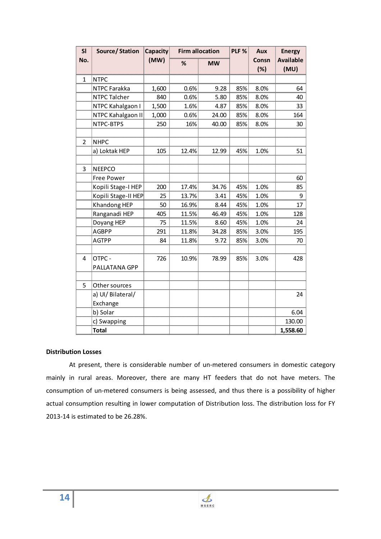| SI           | Source/Station         | <b>Capacity</b> | <b>Firm allocation</b> |           | PLF % | Aux          | <b>Energy</b>            |
|--------------|------------------------|-----------------|------------------------|-----------|-------|--------------|--------------------------|
| No.          |                        | (MW)            | %                      | <b>MW</b> |       | Consn<br>(%) | <b>Available</b><br>(MU) |
| $\mathbf{1}$ | <b>NTPC</b>            |                 |                        |           |       |              |                          |
|              | NTPC Farakka           | 1,600           | 0.6%                   | 9.28      | 85%   | 8.0%         | 64                       |
|              | NTPC Talcher           | 840             | 0.6%                   | 5.80      | 85%   | 8.0%         | 40                       |
|              | NTPC Kahalgaon I       | 1,500           | 1.6%                   | 4.87      | 85%   | 8.0%         | 33                       |
|              | NTPC Kahalgaon II      | 1,000           | 0.6%                   | 24.00     | 85%   | 8.0%         | 164                      |
|              | NTPC-BTPS              | 250             | 16%                    | 40.00     | 85%   | 8.0%         | 30                       |
| 2            | <b>NHPC</b>            |                 |                        |           |       |              |                          |
|              | a) Loktak HEP          | 105             | 12.4%                  | 12.99     | 45%   | 1.0%         | 51                       |
| 3            | <b>NEEPCO</b>          |                 |                        |           |       |              |                          |
|              | Free Power             |                 |                        |           |       |              | 60                       |
|              | Kopili Stage-I HEP     | 200             | 17.4%                  | 34.76     | 45%   | 1.0%         | 85                       |
|              | Kopili Stage-II HEP    | 25              | 13.7%                  | 3.41      | 45%   | 1.0%         | 9                        |
|              | Khandong HEP           | 50              | 16.9%                  | 8.44      | 45%   | 1.0%         | 17                       |
|              | Ranganadi HEP          | 405             | 11.5%                  | 46.49     | 45%   | 1.0%         | 128                      |
|              | Doyang HEP             | 75              | 11.5%                  | 8.60      | 45%   | 1.0%         | 24                       |
|              | <b>AGBPP</b>           | 291             | 11.8%                  | 34.28     | 85%   | 3.0%         | 195                      |
|              | <b>AGTPP</b>           | 84              | 11.8%                  | 9.72      | 85%   | 3.0%         | 70                       |
| 4            | OTPC-<br>PALLATANA GPP | 726             | 10.9%                  | 78.99     | 85%   | 3.0%         | 428                      |
| 5            | Other sources          |                 |                        |           |       |              |                          |
|              | a) UI/ Bilateral/      |                 |                        |           |       |              | 24                       |
|              | Exchange               |                 |                        |           |       |              |                          |
|              | b) Solar               |                 |                        |           |       |              | 6.04                     |
|              | c) Swapping            |                 |                        |           |       |              | 130.00                   |
|              | <b>Total</b>           |                 |                        |           |       |              | 1,558.60                 |

#### **Distribution Losses**

At present, there is considerable number of un-metered consumers in domestic category mainly in rural areas. Moreover, there are many HT feeders that do not have meters. The consumption of un-metered consumers is being assessed, and thus there is a possibility of higher actual consumption resulting in lower computation of Distribution loss. The distribution loss for FY 2013-14 is estimated to be 26.28%.

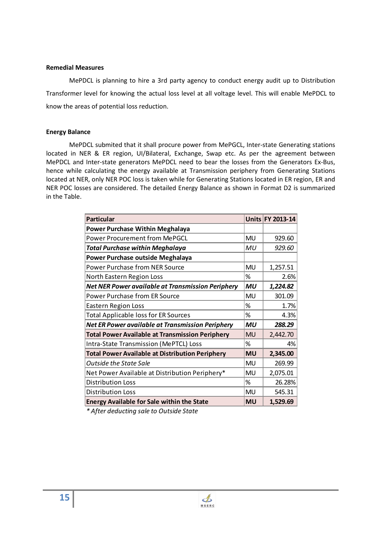#### **Remedial Measures**

MePDCL is planning to hire a 3rd party agency to conduct energy audit up to Distribution Transformer level for knowing the actual loss level at all voltage level. This will enable MePDCL to know the areas of potential loss reduction.

#### **Energy Balance**

MePDCL submited that it shall procure power from MePGCL, Inter-state Generating stations located in NER & ER region, UI/Bilateral, Exchange, Swap etc. As per the agreement between MePDCL and Inter-state generators MePDCL need to bear the losses from the Generators Ex-Bus, hence while calculating the energy available at Transmission periphery from Generating Stations located at NER, only NER POC loss is taken while for Generating Stations located in ER region, ER and NER POC losses are considered. The detailed Energy Balance as shown in Format D2 is summarized in the Table.

| <b>Particular</b>                                        |           | <b>Units FY 2013-14</b> |
|----------------------------------------------------------|-----------|-------------------------|
| <b>Power Purchase Within Meghalaya</b>                   |           |                         |
| <b>Power Procurement from MePGCL</b>                     | <b>MU</b> | 929.60                  |
| <b>Total Purchase within Meghalaya</b>                   | MU        | 929.60                  |
| Power Purchase outside Meghalaya                         |           |                         |
| <b>Power Purchase from NER Source</b>                    | <b>MU</b> | 1,257.51                |
| North Eastern Region Loss                                | %         | 2.6%                    |
| <b>Net NER Power available at Transmission Periphery</b> | MU        | 1,224.82                |
| <b>Power Purchase from ER Source</b>                     | MU        | 301.09                  |
| <b>Eastern Region Loss</b>                               | %         | 1.7%                    |
| <b>Total Applicable loss for ER Sources</b>              | %         | 4.3%                    |
| Net ER Power available at Transmission Periphery         | MU        | 288.29                  |
| <b>Total Power Available at Transmission Periphery</b>   | <b>MU</b> | 2,442.70                |
| Intra-State Transmission (MePTCL) Loss                   | %         | 4%                      |
| <b>Total Power Available at Distribution Periphery</b>   | <b>MU</b> | 2,345.00                |
| Outside the State Sale                                   | <b>MU</b> | 269.99                  |
| Net Power Available at Distribution Periphery*           | <b>MU</b> | 2,075.01                |
| <b>Distribution Loss</b>                                 | %         | 26.28%                  |
| <b>Distribution Loss</b>                                 | <b>MU</b> | 545.31                  |
| <b>Energy Available for Sale within the State</b>        | <b>MU</b> | 1,529.69                |

*\* After deducting sale to Outside State*

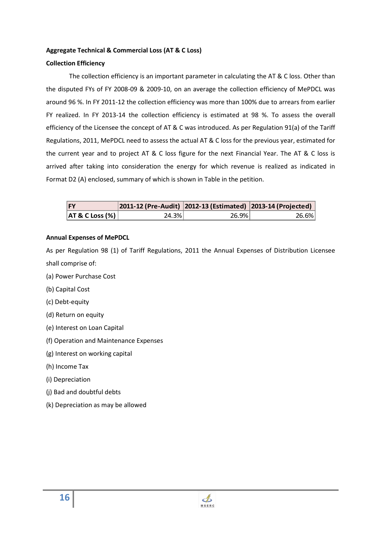# **Aggregate Technical & Commercial Loss (AT & C Loss)**

# **Collection Efficiency**

The collection efficiency is an important parameter in calculating the AT & C loss. Other than the disputed FYs of FY 2008-09 & 2009-10, on an average the collection efficiency of MePDCL was around 96 %. In FY 2011-12 the collection efficiency was more than 100% due to arrears from earlier FY realized. In FY 2013-14 the collection efficiency is estimated at 98 %. To assess the overall efficiency of the Licensee the concept of AT & C was introduced. As per Regulation 91(a) of the Tariff Regulations, 2011, MePDCL need to assess the actual AT & C loss for the previous year, estimated for the current year and to project AT & C loss figure for the next Financial Year. The AT & C loss is arrived after taking into consideration the energy for which revenue is realized as indicated in Format D2 (A) enclosed, summary of which is shown in Table in the petition.

|  | 2012-131 | 20<br>. |
|--|----------|---------|
|  |          |         |

## **Annual Expenses of MePDCL**

As per Regulation 98 (1) of Tariff Regulations, 2011 the Annual Expenses of Distribution Licensee shall comprise of:

- (a) Power Purchase Cost
- (b) Capital Cost
- (c) Debt-equity
- (d) Return on equity
- (e) Interest on Loan Capital
- (f) Operation and Maintenance Expenses
- (g) Interest on working capital
- (h) Income Tax
- (i) Depreciation
- (j) Bad and doubtful debts
- (k) Depreciation as may be allowed

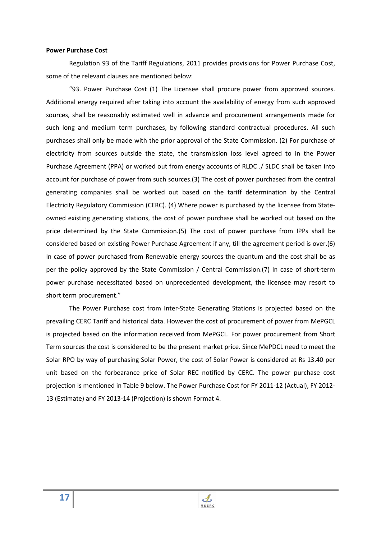#### **Power Purchase Cost**

Regulation 93 of the Tariff Regulations, 2011 provides provisions for Power Purchase Cost, some of the relevant clauses are mentioned below:

"93. Power Purchase Cost (1) The Licensee shall procure power from approved sources. Additional energy required after taking into account the availability of energy from such approved sources, shall be reasonably estimated well in advance and procurement arrangements made for such long and medium term purchases, by following standard contractual procedures. All such purchases shall only be made with the prior approval of the State Commission. (2) For purchase of electricity from sources outside the state, the transmission loss level agreed to in the Power Purchase Agreement (PPA) or worked out from energy accounts of RLDC ./ SLDC shall be taken into account for purchase of power from such sources.(3) The cost of power purchased from the central generating companies shall be worked out based on the tariff determination by the Central Electricity Regulatory Commission (CERC). (4) Where power is purchased by the licensee from Stateowned existing generating stations, the cost of power purchase shall be worked out based on the price determined by the State Commission.(5) The cost of power purchase from IPPs shall be considered based on existing Power Purchase Agreement if any, till the agreement period is over.(6) In case of power purchased from Renewable energy sources the quantum and the cost shall be as per the policy approved by the State Commission / Central Commission.(7) In case of short-term power purchase necessitated based on unprecedented development, the licensee may resort to short term procurement."

The Power Purchase cost from Inter-State Generating Stations is projected based on the prevailing CERC Tariff and historical data. However the cost of procurement of power from MePGCL is projected based on the information received from MePGCL. For power procurement from Short Term sources the cost is considered to be the present market price. Since MePDCL need to meet the Solar RPO by way of purchasing Solar Power, the cost of Solar Power is considered at Rs 13.40 per unit based on the forbearance price of Solar REC notified by CERC. The power purchase cost projection is mentioned in Table 9 below. The Power Purchase Cost for FY 2011-12 (Actual), FY 2012- 13 (Estimate) and FY 2013-14 (Projection) is shown Format 4.

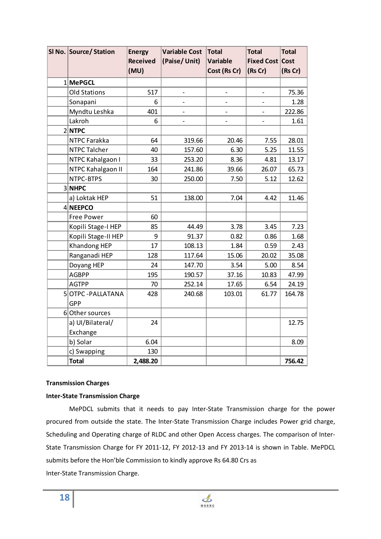| SI No. Source/ Station    | <b>Energy</b>   | <b>Variable Cost</b>         | <b>Total</b>             | <b>Total</b>             | <b>Total</b> |
|---------------------------|-----------------|------------------------------|--------------------------|--------------------------|--------------|
|                           | <b>Received</b> | (Paise/Unit)                 | <b>Variable</b>          | <b>Fixed Cost Cost</b>   |              |
|                           | (MU)            |                              | Cost (Rs Cr)             | (Rs Cr)                  | (Rs Cr)      |
| 1 MePGCL                  |                 |                              |                          |                          |              |
| <b>Old Stations</b>       | 517             |                              |                          |                          | 75.36        |
| Sonapani                  | 6               |                              |                          |                          | 1.28         |
| Myndtu Leshka             | 401             | $\qquad \qquad \blacksquare$ | $\overline{\phantom{a}}$ | $\overline{\phantom{a}}$ | 222.86       |
| Lakroh                    | 6               |                              |                          |                          | 1.61         |
| 2 NTPC                    |                 |                              |                          |                          |              |
| <b>NTPC Farakka</b>       | 64              | 319.66                       | 20.46                    | 7.55                     | 28.01        |
| <b>NTPC Talcher</b>       | 40              | 157.60                       | 6.30                     | 5.25                     | 11.55        |
| NTPC Kahalgaon I          | 33              | 253.20                       | 8.36                     | 4.81                     | 13.17        |
| NTPC Kahalgaon II         | 164             | 241.86                       | 39.66                    | 26.07                    | 65.73        |
| NTPC-BTPS                 | 30              | 250.00                       | 7.50                     | 5.12                     | 12.62        |
| 3 NHPC                    |                 |                              |                          |                          |              |
| a) Loktak HEP             | 51              | 138.00                       | 7.04                     | 4.42                     | 11.46        |
| 4 NEEPCO                  |                 |                              |                          |                          |              |
| <b>Free Power</b>         | 60              |                              |                          |                          |              |
| Kopili Stage-I HEP        | 85              | 44.49                        | 3.78                     | 3.45                     | 7.23         |
| Kopili Stage-II HEP       | 9               | 91.37                        | 0.82                     | 0.86                     | 1.68         |
| Khandong HEP              | 17              | 108.13                       | 1.84                     | 0.59                     | 2.43         |
| Ranganadi HEP             | 128             | 117.64                       | 15.06                    | 20.02                    | 35.08        |
| Doyang HEP                | 24              | 147.70                       | 3.54                     | 5.00                     | 8.54         |
| <b>AGBPP</b>              | 195             | 190.57                       | 37.16                    | 10.83                    | 47.99        |
| <b>AGTPP</b>              | 70              | 252.14                       | 17.65                    | 6.54                     | 24.19        |
| <b>5 OTPC - PALLATANA</b> | 428             | 240.68                       | 103.01                   | 61.77                    | 164.78       |
| <b>GPP</b>                |                 |                              |                          |                          |              |
| 6 Other sources           |                 |                              |                          |                          |              |
| a) UI/Bilateral/          | 24              |                              |                          |                          | 12.75        |
| Exchange                  |                 |                              |                          |                          |              |
| b) Solar                  | 6.04            |                              |                          |                          | 8.09         |
| c) Swapping               | 130             |                              |                          |                          |              |
| <b>Total</b>              | 2,488.20        |                              |                          |                          | 756.42       |

## **Transmission Charges**

## **Inter-State Transmission Charge**

MePDCL submits that it needs to pay Inter-State Transmission charge for the power procured from outside the state. The Inter-State Transmission Charge includes Power grid charge, Scheduling and Operating charge of RLDC and other Open Access charges. The comparison of Inter-State Transmission Charge for FY 2011-12, FY 2012-13 and FY 2013-14 is shown in Table. MePDCL submits before the Hon'ble Commission to kindly approve Rs 64.80 Crs as Inter-State Transmission Charge.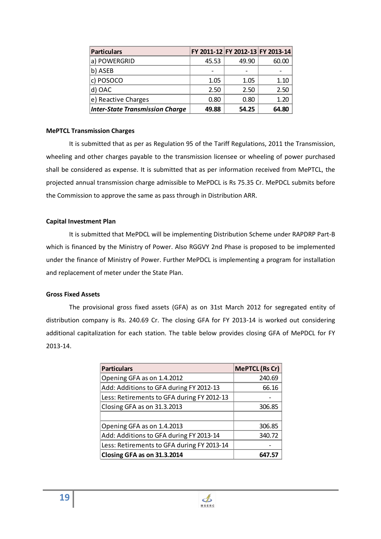| <b>Particulars</b>                     |       | FY 2011-12 FY 2012-13 FY 2013-14 |     |
|----------------------------------------|-------|----------------------------------|-----|
| <b>POWERGRID</b>                       | 45.53 | 49 90                            |     |
| ASEB                                   |       |                                  |     |
| POSOCO                                 | 1.05  | 1 በ5                             | 110 |
| OAC                                    | 2 50  | 2 50                             |     |
| e) Reactive Charges                    | 0. RO | 0.80                             |     |
| <b>Inter-State Transmission Charge</b> | 49.88 | 54.25                            |     |

#### **MePTCL Transmission Charges**

It is submitted that as per as Regulation 95 of the Tariff Regulations, 2011 the Transmission, wheeling and other charges payable to the transmission licensee or wheeling of power purchased shall be considered as expense. It is submitted that as per information received from MePTCL, the projected annual transmission charge admissible to MePDCL is Rs 75.35 Cr. MePDCL submits before the Commission to approve the same as pass through in Distribution ARR.

#### **Capital Investment Plan**

It is submitted that MePDCL will be implementing Distribution Scheme under RAPDRP Part-B which is financed by the Ministry of Power. Also RGGVY 2nd Phase is proposed to be implemented under the finance of Ministry of Power. Further MePDCL is implementing a program for installation and replacement of meter under the State Plan.

#### **Gross Fixed Assets**

The provisional gross fixed assets (GFA) as on 31st March 2012 for segregated entity of distribution company is Rs. 240.69 Cr. The closing GFA for FY 2013-14 is worked out considering additional capitalization for each station. The table below provides closing GFA of MePDCL for FY 2013-14.

| <b>Particulars</b>                         | <b>MePTCL (Rs Cr)</b> |
|--------------------------------------------|-----------------------|
| Opening GFA as on 1.4.2012                 | 240.69                |
| Add: Additions to GFA during FY 2012-13    | 66.16                 |
| Less: Retirements to GFA during FY 2012-13 |                       |
| Closing GFA as on 31.3.2013                | 306.85                |
|                                            |                       |
| Opening GFA as on 1.4.2013                 | 306.85                |
| Add: Additions to GFA during FY 2013-14    | 340.72                |
| Less: Retirements to GFA during FY 2013-14 |                       |
| Closing GFA as on 31.3.2014                | 647.57                |

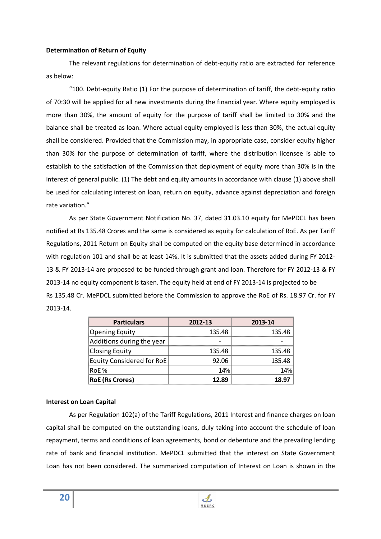#### **Determination of Return of Equity**

The relevant regulations for determination of debt-equity ratio are extracted for reference as below:

"100. Debt-equity Ratio (1) For the purpose of determination of tariff, the debt-equity ratio of 70:30 will be applied for all new investments during the financial year. Where equity employed is more than 30%, the amount of equity for the purpose of tariff shall be limited to 30% and the balance shall be treated as loan. Where actual equity employed is less than 30%, the actual equity shall be considered. Provided that the Commission may, in appropriate case, consider equity higher than 30% for the purpose of determination of tariff, where the distribution licensee is able to establish to the satisfaction of the Commission that deployment of equity more than 30% is in the interest of general public. (1) The debt and equity amounts in accordance with clause (1) above shall be used for calculating interest on loan, return on equity, advance against depreciation and foreign rate variation."

As per State Government Notification No. 37, dated 31.03.10 equity for MePDCL has been notified at Rs 135.48 Crores and the same is considered as equity for calculation of RoE. As per Tariff Regulations, 2011 Return on Equity shall be computed on the equity base determined in accordance with regulation 101 and shall be at least 14%. It is submitted that the assets added during FY 2012- 13 & FY 2013-14 are proposed to be funded through grant and loan. Therefore for FY 2012-13 & FY 2013-14 no equity component is taken. The equity held at end of FY 2013-14 is projected to be Rs 135.48 Cr. MePDCL submitted before the Commission to approve the RoE of Rs. 18.97 Cr. for FY 2013-14.

| <b>Particulars</b>        | 2012-13 | 2013-14 |
|---------------------------|---------|---------|
| <b>Opening Equity</b>     | 135.48  | 135.48  |
| Additions during the year |         |         |
| <b>Closing Equity</b>     | 135.48  | 135.48  |
| Equity Considered for RoE | 92.06   | 135.48  |
| RoF <sub>%</sub>          | 14%     |         |
| <b>RoE</b> (Rs Crores)    | 12.89   | 18.97   |

## **Interest on Loan Capital**

As per Regulation 102(a) of the Tariff Regulations, 2011 Interest and finance charges on loan capital shall be computed on the outstanding loans, duly taking into account the schedule of loan repayment, terms and conditions of loan agreements, bond or debenture and the prevailing lending rate of bank and financial institution. MePDCL submitted that the interest on State Government Loan has not been considered. The summarized computation of Interest on Loan is shown in the

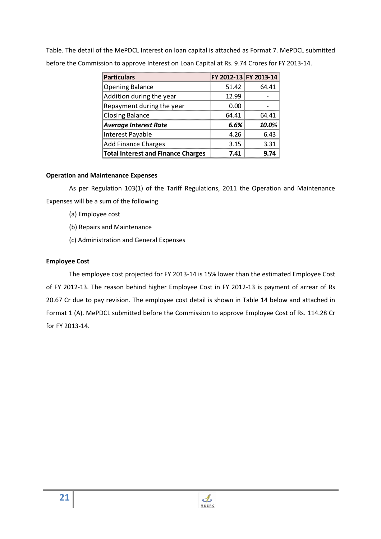Table. The detail of the MePDCL Interest on loan capital is attached as Format 7. MePDCL submitted before the Commission to approve Interest on Loan Capital at Rs. 9.74 Crores for FY 2013-14.

| <b>Particulars</b>                        | FY 2012-13 FY 2013-14 |       |
|-------------------------------------------|-----------------------|-------|
| <b>Opening Balance</b>                    | 51.42                 | 64.41 |
| Addition during the year                  | 12.99                 |       |
| Repayment during the year                 | 0.00                  |       |
| Closing Balance                           | 64.41                 | 64.41 |
| <b>Average Interest Rate</b>              | 6.6%                  | 10.0% |
| Interest Payable                          | 4 26                  | 6 43  |
| <b>Add Finance Charges</b>                | 3 15                  | २ २१  |
| <b>Total Interest and Finance Charges</b> | 7.41                  |       |

# **Operation and Maintenance Expenses**

As per Regulation 103(1) of the Tariff Regulations, 2011 the Operation and Maintenance Expenses will be a sum of the following

- (a) Employee cost
- (b) Repairs and Maintenance
- (c) Administration and General Expenses

# **Employee Cost**

The employee cost projected for FY 2013-14 is 15% lower than the estimated Employee Cost of FY 2012-13. The reason behind higher Employee Cost in FY 2012-13 is payment of arrear of Rs 20.67 Cr due to pay revision. The employee cost detail is shown in Table 14 below and attached in Format 1 (A). MePDCL submitted before the Commission to approve Employee Cost of Rs. 114.28 Cr for FY 2013-14.

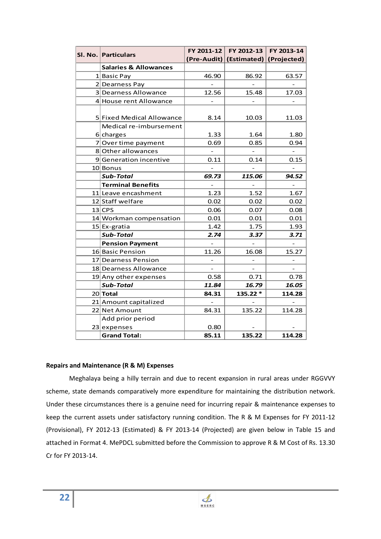|                                  | FY 2011-12               | FY 2012-13                          | FY 2013-14               |
|----------------------------------|--------------------------|-------------------------------------|--------------------------|
| SI. No. Particulars              |                          | (Pre-Audit) (Estimated) (Projected) |                          |
| <b>Salaries &amp; Allowances</b> |                          |                                     |                          |
| 1 Basic Pay                      | 46.90                    | 86.92                               | 63.57                    |
| 2 Dearness Pay                   |                          |                                     |                          |
| 3 Dearness Allowance             | 12.56                    | 15.48                               | 17.03                    |
| 4 House rent Allowance           |                          |                                     |                          |
|                                  |                          |                                     |                          |
| 5 Fixed Medical Allowance        | 8.14                     | 10.03                               | 11.03                    |
| Medical re-imbursement           |                          |                                     |                          |
| $6$ charges                      | 1.33                     | 1.64                                | 1.80                     |
| 7 Over time payment              | 0.69                     | 0.85                                | 0.94                     |
| 8 Other allowances               |                          |                                     |                          |
| 9 Generation incentive           | 0.11                     | 0.14                                | 0.15                     |
| 10 Bonus                         |                          |                                     |                          |
| <b>Sub-Total</b>                 | 69.73                    | 115.06                              | 94.52                    |
| <b>Terminal Benefits</b>         | $\overline{\phantom{0}}$ | $\overline{\phantom{0}}$            | $\overline{\phantom{0}}$ |
| 11 Leave encashment              | 1.23                     | 1.52                                | 1.67                     |
| 12 Staff welfare                 | 0.02                     | 0.02                                | 0.02                     |
| $13$ CPS                         | 0.06                     | 0.07                                | 0.08                     |
| 14 Workman compensation          | 0.01                     | 0.01                                | 0.01                     |
| $15$ Ex-gratia                   | 1.42                     | 1.75                                | 1.93                     |
| <b>Sub-Total</b>                 | 2.74                     | 3.37                                | 3.71                     |
| <b>Pension Payment</b>           | $\qquad \qquad -$        | $\bar{ }$                           | $\overline{\phantom{0}}$ |
| 16 Basic Pension                 | 11.26                    | 16.08                               | 15.27                    |
| 17 Dearness Pension              |                          |                                     |                          |
| 18 Dearness Allowance            |                          |                                     |                          |
| 19 Any other expenses            | 0.58                     | 0.71                                | 0.78                     |
| <b>Sub-Total</b>                 | 11.84                    | 16.79                               | 16.05                    |
| 20 Total                         | 84.31                    | 135.22 *                            | 114.28                   |
| 21 Amount capitalized            |                          |                                     |                          |
| 22 Net Amount                    | 84.31                    | 135.22                              | 114.28                   |
| Add prior period                 |                          |                                     |                          |
| $23$ expenses                    | 0.80                     |                                     |                          |
| <b>Grand Total:</b>              | 85.11                    | 135.22                              | 114.28                   |

#### **Repairs and Maintenance (R & M) Expenses**

Meghalaya being a hilly terrain and due to recent expansion in rural areas under RGGVVY scheme, state demands comparatively more expenditure for maintaining the distribution network. Under these circumstances there is a genuine need for incurring repair & maintenance expenses to keep the current assets under satisfactory running condition. The R & M Expenses for FY 2011-12 (Provisional), FY 2012-13 (Estimated) & FY 2013-14 (Projected) are given below in Table 15 and attached in Format 4. MePDCL submitted before the Commission to approve R & M Cost of Rs. 13.30 Cr for FY 2013-14.

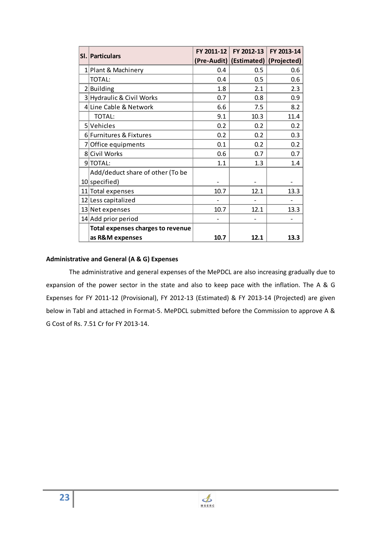| <b>SI. Particulars</b>                   | FY 2011-12 | FY 2012-13                          | FY 2013-14 |
|------------------------------------------|------------|-------------------------------------|------------|
|                                          |            | (Pre-Audit) (Estimated) (Projected) |            |
| 1 Plant & Machinery                      | 0.4        | 0.5                                 | 0.6        |
| <b>TOTAL:</b>                            | 0.4        | 0.5                                 | 0.6        |
| 2 Building                               | 1.8        | 2.1                                 | 2.3        |
| 3 Hydraulic & Civil Works                | 0.7        | 0.8                                 | 0.9        |
| 4 Line Cable & Network                   | 6.6        | 7.5                                 | 8.2        |
| <b>TOTAL:</b>                            | 9.1        | 10.3                                | 11.4       |
| 5 Vehicles                               | 0.2        | 0.2                                 | 0.2        |
| 6 Furnitures & Fixtures                  | 0.2        | 0.2                                 | 0.3        |
| 7 Office equipments                      | 0.1        | 0.2                                 | 0.2        |
| 8 Civil Works                            | 0.6        | 0.7                                 | 0.7        |
| 9 TOTAL:                                 | 1.1        | 1.3                                 | 1.4        |
| Add/deduct share of other (To be         |            |                                     |            |
| 10 specified)                            |            |                                     |            |
| 11 Total expenses                        | 10.7       | 12.1                                | 13.3       |
| 12 Less capitalized                      |            |                                     |            |
| 13 Net expenses                          | 10.7       | 12.1                                | 13.3       |
| 14 Add prior period                      |            |                                     |            |
| <b>Total expenses charges to revenue</b> |            |                                     |            |
| as R&M expenses                          | 10.7       | 12.1                                | 13.3       |

#### **Administrative and General (A & G) Expenses**

The administrative and general expenses of the MePDCL are also increasing gradually due to expansion of the power sector in the state and also to keep pace with the inflation. The A & G Expenses for FY 2011-12 (Provisional), FY 2012-13 (Estimated) & FY 2013-14 (Projected) are given below in Tabl and attached in Format-5. MePDCL submitted before the Commission to approve A & G Cost of Rs. 7.51 Cr for FY 2013-14.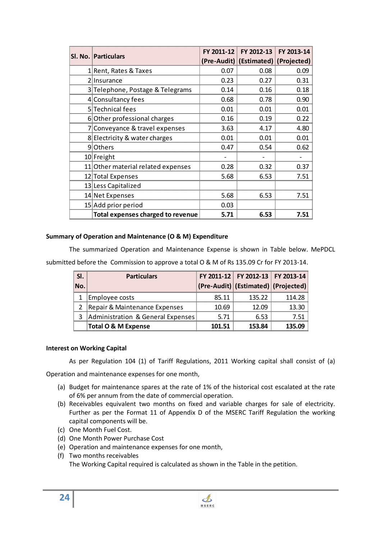|   | <b>SI. No. Particulars</b>         |      | FY 2012-13<br>FY 2011-12            | FY 2013-14 |
|---|------------------------------------|------|-------------------------------------|------------|
|   |                                    |      | (Pre-Audit) (Estimated) (Projected) |            |
|   | 1 Rent, Rates & Taxes              | 0.07 | 0.08                                | 0.09       |
| 2 | Insurance                          | 0.23 | 0.27                                | 0.31       |
|   | 3 Telephone, Postage & Telegrams   | 0.14 | 0.16                                | 0.18       |
|   | 4 Consultancy fees                 | 0.68 | 0.78                                | 0.90       |
|   | 5 Technical fees                   | 0.01 | 0.01                                | 0.01       |
|   | 6 Other professional charges       | 0.16 | 0.19                                | 0.22       |
|   | 7 Conveyance & travel expenses     | 3.63 | 4.17                                | 4.80       |
|   | 8 Electricity & water charges      | 0.01 | 0.01                                | 0.01       |
|   | 9 Others                           | 0.47 | 0.54                                | 0.62       |
|   | 10 Freight                         |      |                                     |            |
|   | 11 Other material related expenses | 0.28 | 0.32                                | 0.37       |
|   | 12 Total Expenses                  | 5.68 | 6.53                                | 7.51       |
|   | 13 Less Capitalized                |      |                                     |            |
|   | 14 Net Expenses                    | 5.68 | 6.53                                | 7.51       |
|   | 15 Add prior period                | 0.03 |                                     |            |
|   | Total expenses charged to revenue  | 5.71 | 6.53                                | 7.51       |

## **Summary of Operation and Maintenance (O & M) Expenditure**

The summarized Operation and Maintenance Expense is shown in Table below. MePDCL submitted before the Commission to approve a total O & M of Rs 135.09 Cr for FY 2013-14.

| SI. | <b>Particulars</b>                |        | FY 2011-12 FY 2012-13 FY 2013-14    |        |
|-----|-----------------------------------|--------|-------------------------------------|--------|
| No. |                                   |        | (Pre-Audit) (Estimated) (Projected) |        |
|     | Employee costs                    | 85.11  | 135.22                              | 114.28 |
|     | Repair & Maintenance Expenses     | 10.69  | 12 Q9                               | 13 30  |
| 3   | Administration & General Expenses | 5.71   | 6.53                                | 751    |
|     | <b>Total O &amp; M Expense</b>    | 101.51 | 153.84                              | 135 NG |

## **Interest on Working Capital**

As per Regulation 104 (1) of Tariff Regulations, 2011 Working capital shall consist of (a)

Operation and maintenance expenses for one month,

- (a) Budget for maintenance spares at the rate of 1% of the historical cost escalated at the rate of 6% per annum from the date of commercial operation.
- (b) Receivables equivalent two months on fixed and variable charges for sale of electricity. Further as per the Format 11 of Appendix D of the MSERC Tariff Regulation the working capital components will be.
- (c) One Month Fuel Cost.
- (d) One Month Power Purchase Cost
- (e) Operation and maintenance expenses for one month,
- (f) Two months receivables

The Working Capital required is calculated as shown in the Table in the petition.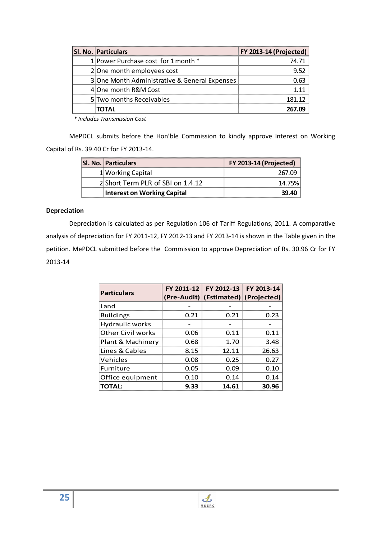| <b>SI. No. Particulars</b>                    | <b>FY 2013-14 (Projected)</b> |
|-----------------------------------------------|-------------------------------|
| 1 Power Purchase cost for 1 month *           | 74 71                         |
| 2 One month employees cost                    |                               |
| 3 One Month Administrative & General Expenses |                               |
| 4 One month R&M Cost                          |                               |
| 5 Two months Receivables                      | 181 12                        |
| TOTAL                                         |                               |

*\* Includes Transmission Cost* 

MePDCL submits before the Hon'ble Commission to kindly approve Interest on Working Capital of Rs. 39.40 Cr for FY 2013-14.

| <b>SI. No. Particulars</b> |                                   | <b>FY 2013-14 (Projected)</b> |
|----------------------------|-----------------------------------|-------------------------------|
|                            | 1 Working Capital                 |                               |
|                            | 2 Short Term PLR of SBI on 1.4.12 |                               |
|                            | Interest on Working Capital       |                               |

## **Depreciation**

Depreciation is calculated as per Regulation 106 of Tariff Regulations, 2011. A comparative analysis of depreciation for FY 2011-12, FY 2012-13 and FY 2013-14 is shown in the Table given in the petition. MePDCL submitted before the Commission to approve Depreciation of Rs. 30.96 Cr for FY 2013-14

| <b>Particulars</b> |      | FY 2011-12 FY 2012-13 FY 2013-14<br>(Pre-Audit) (Estimated) (Projected) |       |
|--------------------|------|-------------------------------------------------------------------------|-------|
| Land               |      |                                                                         |       |
| <b>Buildings</b>   | 0.21 | 0.21                                                                    | 0.23  |
| Hydraulic works    |      |                                                                         |       |
| Other Civil works  | 0.06 | 0.11                                                                    | 0.11  |
| Plant & Machinery  | 0.68 | 1.70                                                                    | 3.48  |
| Lines & Cables     | 8.15 | 12.11                                                                   | 26.63 |
| Vehicles           | 0.08 | 0.25                                                                    | 0.27  |
| Furniture          | 0.05 | 0.09                                                                    | 0.10  |
| Office equipment   | 0.10 | 0.14                                                                    | 0.14  |
| <b>TOTAL:</b>      | 9.33 | 14.61                                                                   | 30.96 |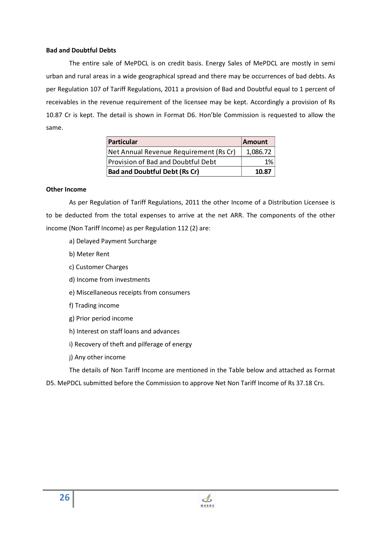#### **Bad and Doubtful Debts**

The entire sale of MePDCL is on credit basis. Energy Sales of MePDCL are mostly in semi urban and rural areas in a wide geographical spread and there may be occurrences of bad debts. As per Regulation 107 of Tariff Regulations, 2011 a provision of Bad and Doubtful equal to 1 percent of receivables in the revenue requirement of the licensee may be kept. Accordingly a provision of Rs 10.87 Cr is kept. The detail is shown in Format D6. Hon'ble Commission is requested to allow the same.

| Particular                             | <b>Amount</b> |
|----------------------------------------|---------------|
| Net Annual Revenue Requirement (Rs Cr) |               |
| Provision of Bad and Doubtful Debt     |               |
| <b>Bad and Doubtful Debt (Rs Cr)</b>   | 1N R7         |

#### **Other Income**

As per Regulation of Tariff Regulations, 2011 the other Income of a Distribution Licensee is to be deducted from the total expenses to arrive at the net ARR. The components of the other income (Non Tariff Income) as per Regulation 112 (2) are:

- a) Delayed Payment Surcharge
- b) Meter Rent
- c) Customer Charges
- d) Income from investments
- e) Miscellaneous receipts from consumers
- f) Trading income
- g) Prior period income
- h) Interest on staff loans and advances
- i) Recovery of theft and pilferage of energy
- j) Any other income

The details of Non Tariff Income are mentioned in the Table below and attached as Format

D5. MePDCL submitted before the Commission to approve Net Non Tariff Income of Rs 37.18 Crs.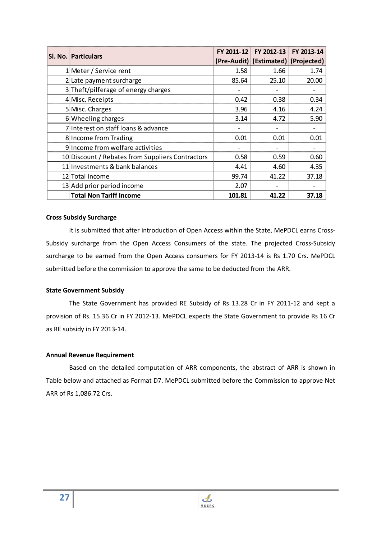| <b>SI. No. Particulars</b>                       | FY 2011-12 | FY 2012-13                          | FY 2013-14 |
|--------------------------------------------------|------------|-------------------------------------|------------|
|                                                  |            | (Pre-Audit) (Estimated) (Projected) |            |
| 1 Meter / Service rent                           | 1.58       | 1.66                                | 1.74       |
| 2 Late payment surcharge                         | 85.64      | 25.10                               | 20.00      |
| 3 Theft/pilferage of energy charges              |            |                                     |            |
| 4 Misc. Receipts                                 | 0.42       | 0.38                                | 0.34       |
| 5 Misc. Charges                                  | 3.96       | 4.16                                | 4.24       |
| 6 Wheeling charges                               | 3.14       | 4.72                                | 5.90       |
| 7 Interest on staff loans & advance              |            |                                     |            |
| 8 Income from Trading                            | 0.01       | 0.01                                | 0.01       |
| 9 Income from welfare activities                 |            |                                     |            |
| 10 Discount / Rebates from Suppliers Contractors | 0.58       | 0.59                                | 0.60       |
| 11 Investments & bank balances                   | 4.41       | 4.60                                | 4.35       |
| 12 Total Income                                  | 99.74      | 41.22                               | 37.18      |
| 13 Add prior period income                       | 2.07       |                                     |            |
| <b>Total Non Tariff Income</b>                   | 101.81     | 41.22                               | 37.18      |

#### **Cross Subsidy Surcharge**

It is submitted that after introduction of Open Access within the State, MePDCL earns Cross-Subsidy surcharge from the Open Access Consumers of the state. The projected Cross-Subsidy surcharge to be earned from the Open Access consumers for FY 2013-14 is Rs 1.70 Crs. MePDCL submitted before the commission to approve the same to be deducted from the ARR.

#### **State Government Subsidy**

The State Government has provided RE Subsidy of Rs 13.28 Cr in FY 2011-12 and kept a provision of Rs. 15.36 Cr in FY 2012-13. MePDCL expects the State Government to provide Rs 16 Cr as RE subsidy in FY 2013-14.

#### **Annual Revenue Requirement**

Based on the detailed computation of ARR components, the abstract of ARR is shown in Table below and attached as Format D7. MePDCL submitted before the Commission to approve Net ARR of Rs 1,086.72 Crs.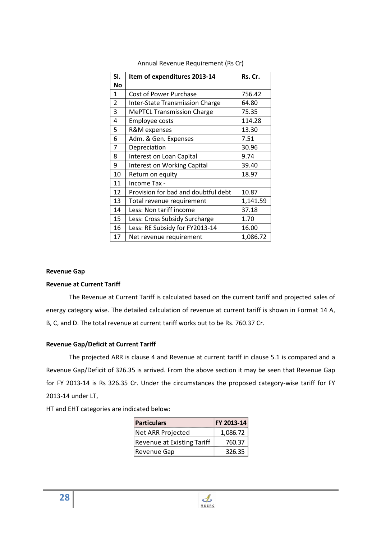| SI.            | Item of expenditures 2013-14        | Rs. Cr.  |
|----------------|-------------------------------------|----------|
| No             |                                     |          |
| $\mathbf{1}$   | Cost of Power Purchase              | 756.42   |
| $\overline{2}$ | Inter-State Transmission Charge     | 64.80    |
| 3              | <b>MePTCL Transmission Charge</b>   | 75.35    |
| 4              | Employee costs                      | 114.28   |
| 5              | R&M expenses                        | 13.30    |
| 6              | Adm. & Gen. Expenses                | 7.51     |
| 7              | Depreciation                        | 30.96    |
| 8              | Interest on Loan Capital            | 9.74     |
| 9              | <b>Interest on Working Capital</b>  | 39.40    |
| 10             | Return on equity                    | 18.97    |
| 11             | Income Tax -                        |          |
| 12             | Provision for bad and doubtful debt | 10.87    |
| 13             | Total revenue requirement           | 1,141.59 |
| 14             | Less: Non tariff income             | 37.18    |
| 15             | Less: Cross Subsidy Surcharge       | 1.70     |
| 16             | Less: RE Subsidy for FY2013-14      | 16.00    |
| 17             | Net revenue requirement             | 1,086.72 |

Annual Revenue Requirement (Rs Cr)

#### **Revenue Gap**

#### **Revenue at Current Tariff**

The Revenue at Current Tariff is calculated based on the current tariff and projected sales of energy category wise. The detailed calculation of revenue at current tariff is shown in Format 14 A, B, C, and D. The total revenue at current tariff works out to be Rs. 760.37 Cr.

#### **Revenue Gap/Deficit at Current Tariff**

The projected ARR is clause 4 and Revenue at current tariff in clause 5.1 is compared and a Revenue Gap/Deficit of 326.35 is arrived. From the above section it may be seen that Revenue Gap for FY 2013-14 is Rs 326.35 Cr. Under the circumstances the proposed category-wise tariff for FY 2013-14 under LT,

HT and EHT categories are indicated below:

| Particulars                       | FY 2013-14 |
|-----------------------------------|------------|
| Net ARR Projected                 | 1,086.72   |
| <b>Revenue at Existing Tariff</b> | 760.37     |
| Revenue Gap                       | 326.35     |

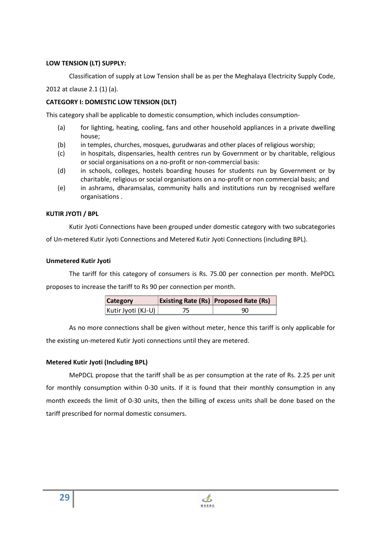## **LOW TENSION (LT) SUPPLY:**

Classification of supply at Low Tension shall be as per the Meghalaya Electricity Supply Code,

2012 at clause 2.1 (1) (a).

# **CATEGORY I: DOMESTIC LOW TENSION (DLT)**

This category shall be applicable to domestic consumption, which includes consumption-

- (a) for lighting, heating, cooling, fans and other household appliances in a private dwelling house;
- (b) in temples, churches, mosques, gurudwaras and other places of religious worship;
- (c) in hospitals, dispensaries, health centres run by Government or by charitable, religious or social organisations on a no-profit or non-commercial basis:
- (d) in schools, colleges, hostels boarding houses for students run by Government or by charitable, religious or social organisations on a no-profit or non commercial basis; and
- (e) in ashrams, dharamsalas, community halls and institutions run by recognised welfare organisations .

# **KUTIR JYOTI / BPL**

Kutir Jyoti Connections have been grouped under domestic category with two subcategories of Un-metered Kutir Jyoti Connections and Metered Kutir Jyoti Connections (including BPL).

## **Unmetered Kutir Jyoti**

The tariff for this category of consumers is Rs. 75.00 per connection per month. MePDCL proposes to increase the tariff to Rs 90 per connection per month.

| KSI IF<br>ITA I |                   |
|-----------------|-------------------|
|                 | <b>CONTRACTOR</b> |

As no more connections shall be given without meter, hence this tariff is only applicable for the existing un-metered Kutir Jyoti connections until they are metered.

# **Metered Kutir Jyoti (Including BPL)**

MePDCL propose that the tariff shall be as per consumption at the rate of Rs. 2.25 per unit for monthly consumption within 0-30 units. If it is found that their monthly consumption in any month exceeds the limit of 0-30 units, then the billing of excess units shall be done based on the tariff prescribed for normal domestic consumers.

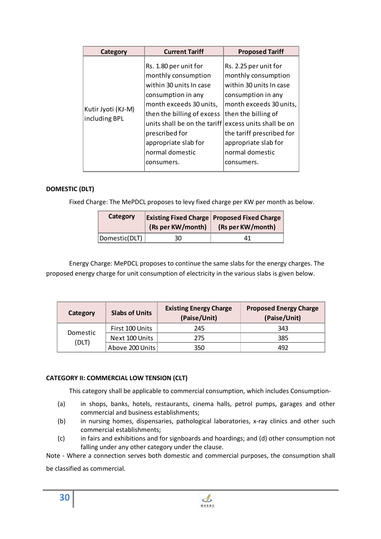| Category                            | <b>Current Tariff</b>                                                                                                                                                                                                                                             | <b>Proposed Tariff</b>                                                                                                                                                                                                                                            |
|-------------------------------------|-------------------------------------------------------------------------------------------------------------------------------------------------------------------------------------------------------------------------------------------------------------------|-------------------------------------------------------------------------------------------------------------------------------------------------------------------------------------------------------------------------------------------------------------------|
| Kutir Jyoti (KJ-M)<br>including BPL | Rs. 1.80 per unit for<br>monthly consumption<br>within 30 units In case<br>consumption in any<br>month exceeds 30 units,<br>then the billing of excess<br>units shall be on the tariff<br>prescribed for<br>appropriate slab for<br>normal domestic<br>consumers. | Rs. 2.25 per unit for<br>monthly consumption<br>within 30 units In case<br>consumption in any<br>month exceeds 30 units,<br>then the billing of<br>excess units shall be on<br>the tariff prescribed for<br>appropriate slab for<br>normal domestic<br>consumers. |

# **DOMESTIC (DLT)**

Fixed Charge: The MePDCL proposes to levy fixed charge per KW per month as below.

| Category     | (Rs per KW/month) | <b>Existing Fixed Charge Proposed Fixed Charge</b><br>(Rs per KW/month) |
|--------------|-------------------|-------------------------------------------------------------------------|
| Domestic DLT |                   |                                                                         |

Energy Charge: MePDCL proposes to continue the same slabs for the energy charges. The proposed energy charge for unit consumption of electricity in the various slabs is given below.

| Category         | <b>Slabs of Units</b> | <b>Existing Energy Charge</b><br>(Paise/Unit) | <b>Proposed Energy Charge</b><br>(Paise/Unit) |
|------------------|-----------------------|-----------------------------------------------|-----------------------------------------------|
| Domestic<br>'DLT | First 100 Units       | 245                                           | 343                                           |
|                  | Next 100 Units        | 275                                           | 385                                           |
|                  | Above 200 Units       |                                               |                                               |

## **CATEGORY II: COMMERCIAL LOW TENSION (CLT)**

This category shall be applicable to commercial consumption, which includes Consumption-

- (a) in shops, banks, hotels, restaurants, cinema halls, petrol pumps, garages and other commercial and business establishments;
- (b) in nursing homes, dispensaries, pathological laboratories, x-ray clinics and other such commercial establishments;
- (c) in fairs and exhibitions and for signboards and hoardings; and (d) other consumption not falling under any other category under the clause.

Note - Where a connection serves both domestic and commercial purposes, the consumption shall be classified as commercial.

**30**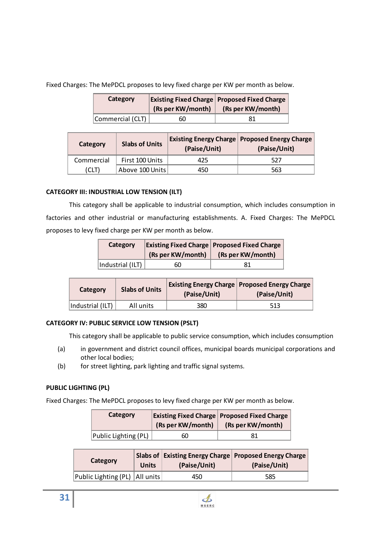Fixed Charges: The MePDCL proposes to levy fixed charge per KW per month as below.

| <b>Lategory</b> | (Rs per KW/month) | <b>Existing Fixed Charge Proposed Fixed Charge</b><br>(Rs per KW/month) |
|-----------------|-------------------|-------------------------------------------------------------------------|
| Commercial      |                   |                                                                         |

| Category   | <b>Slabs of Units</b> | (Paise/Unit) | <b>Existing Energy Charge   Proposed Energy Charge</b><br>(Paise/Unit) |
|------------|-----------------------|--------------|------------------------------------------------------------------------|
| Commercial | First 100 Units       |              |                                                                        |
|            | Above 100 Units       |              |                                                                        |

# **CATEGORY III: INDUSTRIAL LOW TENSION (ILT)**

This category shall be applicable to industrial consumption, which includes consumption in factories and other industrial or manufacturing establishments. A. Fixed Charges: The MePDCL proposes to levy fixed charge per KW per month as below.

| Category               | (Rs per KW/month) | <b>Existing Fixed Charge Proposed Fixed Charge</b><br>(Rs per KW/month) |
|------------------------|-------------------|-------------------------------------------------------------------------|
| <b>Industrial (IL)</b> |                   |                                                                         |

| Category | <b>Slabs of Units</b> | (Paise/Unit) | <b>Existing Energy Charge   Proposed Energy Charge  </b><br>(Paise/Unit) |
|----------|-----------------------|--------------|--------------------------------------------------------------------------|
|          |                       |              |                                                                          |

# **CATEGORY IV: PUBLIC SERVICE LOW TENSION (PSLT)**

This category shall be applicable to public service consumption, which includes consumption

- (a) in government and district council offices, municipal boards municipal corporations and other local bodies;
- (b) for street lighting, park lighting and traffic signal systems.

# **PUBLIC LIGHTING (PL)**

Fixed Charges: The MePDCL proposes to levy fixed charge per KW per month as below.

| Category             |                   | <b>Existing Fixed Charge Proposed Fixed Charge</b> |
|----------------------|-------------------|----------------------------------------------------|
|                      | (Rs per KW/month) | (Rs per KW/month)                                  |
| Public Lighting (PL) |                   |                                                    |

| Category            | Jnits | (Paise/Unit) | Slabs of Existing Energy Charge Proposed Energy Charge<br>(Paise/Unit) |
|---------------------|-------|--------------|------------------------------------------------------------------------|
| Public Lighting (PL |       |              |                                                                        |

 $\mathbf{A}$ **MSERC**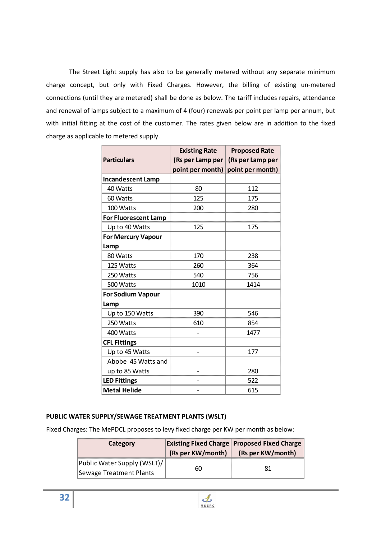The Street Light supply has also to be generally metered without any separate minimum charge concept, but only with Fixed Charges. However, the billing of existing un-metered connections (until they are metered) shall be done as below. The tariff includes repairs, attendance and renewal of lamps subject to a maximum of 4 (four) renewals per point per lamp per annum, but with initial fitting at the cost of the customer. The rates given below are in addition to the fixed charge as applicable to metered supply.

|                             | <b>Existing Rate</b> | <b>Proposed Rate</b> |
|-----------------------------|----------------------|----------------------|
| <b>Particulars</b>          | (Rs per Lamp per     | (Rs per Lamp per     |
|                             | point per month)     | point per month)     |
| <b>Incandescent Lamp</b>    |                      |                      |
| 40 Watts                    | 80                   | 112                  |
| 60 Watts                    | 125                  | 175                  |
| 100 Watts                   | 200                  | 280                  |
| <b>For Fluorescent Lamp</b> |                      |                      |
| Up to 40 Watts              | 125                  | 175                  |
| <b>For Mercury Vapour</b>   |                      |                      |
| Lamp                        |                      |                      |
| 80 Watts                    | 170                  | 238                  |
| 125 Watts                   | 260                  | 364                  |
| 250 Watts                   | 540                  | 756                  |
| 500 Watts                   | 1010                 | 1414                 |
| For Sodium Vapour           |                      |                      |
| Lamp                        |                      |                      |
| Up to 150 Watts             | 390                  | 546                  |
| 250 Watts                   | 610                  | 854                  |
| 400 Watts                   |                      | 1477                 |
| <b>CFL Fittings</b>         |                      |                      |
| Up to 45 Watts              |                      | 177                  |
| Abobe 45 Watts and          |                      |                      |
| up to 85 Watts              |                      | 280                  |
| <b>LED Fittings</b>         |                      | 522                  |
| <b>Metal Helide</b>         |                      | 615                  |

## **PUBLIC WATER SUPPLY/SEWAGE TREATMENT PLANTS (WSLT)**

Fixed Charges: The MePDCL proposes to levy fixed charge per KW per month as below:

| Category                                                      | (Rs per KW/month) | <b>Existing Fixed Charge Proposed Fixed Charge</b><br>(Rs per KW/month) |
|---------------------------------------------------------------|-------------------|-------------------------------------------------------------------------|
| Public Water Supply (WSLT)/<br><b>Sewage Treatment Plants</b> | 60                |                                                                         |

 $\clubsuit$ **MSERC**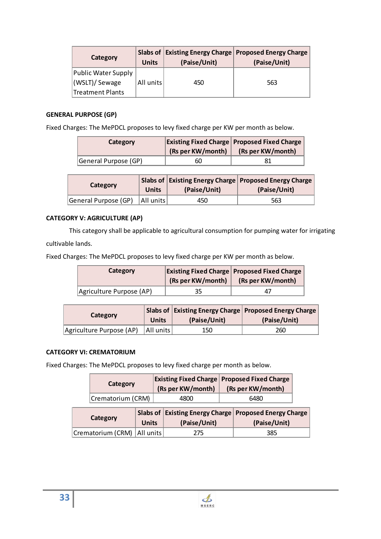| Category                             | <b>Units</b> | (Paise/Unit) | Slabs of Existing Energy Charge Proposed Energy Charge<br>(Paise/Unit) |
|--------------------------------------|--------------|--------------|------------------------------------------------------------------------|
| Public Water Supply<br>(WSLT)/Sewage | All units    | 450          | 563                                                                    |
| Treatment Plants                     |              |              |                                                                        |

# **GENERAL PURPOSE (GP)**

Fixed Charges: The MePDCL proposes to levy fixed charge per KW per month as below.

|                 | (Rs per KW/month) | <b>Existing Fixed Charge Proposed Fixed Charge</b><br>(Rs per KW/month) |
|-----------------|-------------------|-------------------------------------------------------------------------|
| General Purpose |                   |                                                                         |

| Category             | (Paise/Unit) | Slabs of   Existing Energy Charge   Proposed Energy Charge  <br>(Paise/Unit) |
|----------------------|--------------|------------------------------------------------------------------------------|
| General Purpose (GP) |              |                                                                              |

# **CATEGORY V: AGRICULTURE (AP)**

This category shall be applicable to agricultural consumption for pumping water for irrigating cultivable lands.

Fixed Charges: The MePDCL proposes to levy fixed charge per KW per month as below.

| Category                 |                   | <b>Existing Fixed Charge Proposed Fixed Charge</b> |
|--------------------------|-------------------|----------------------------------------------------|
|                          | (Rs per KW/month) | (Rs per KW/month)                                  |
| Agriculture Purpose (AP) |                   |                                                    |

| Category                             | (Paise/Unit) | <b>Slabs of Existing Energy Charge Proposed Energy Charge /</b><br>(Paise/Unit) |
|--------------------------------------|--------------|---------------------------------------------------------------------------------|
| Agriculture Purpose (AP)   All units |              |                                                                                 |

## **CATEGORY VI: CREMATORIUM**

Fixed Charges: The MePDCL proposes to levy fixed charge per month as below.

|  | (Rs per KW/month) | <b>Existing Fixed Charge Proposed Fixed Charge</b><br>(Rs per KW/month) |
|--|-------------------|-------------------------------------------------------------------------|
|  |                   |                                                                         |

|  | <b>Existing Energy Charge   Proposed Energy Charge  </b> |
|--|----------------------------------------------------------|
|  |                                                          |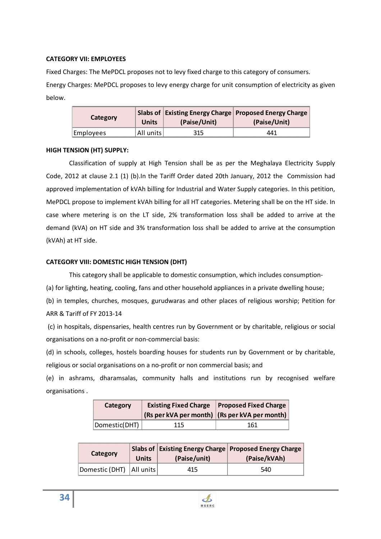#### **CATEGORY VII: EMPLOYEES**

Fixed Charges: The MePDCL proposes not to levy fixed charge to this category of consumers. Energy Charges: MePDCL proposes to levy energy charge for unit consumption of electricity as given below.

|  | (Paise/Unit) | <b>Existing Energy Charge   Proposed Energy Charge</b><br>Paise/Unit) |
|--|--------------|-----------------------------------------------------------------------|
|  |              |                                                                       |

## **HIGH TENSION (HT) SUPPLY:**

Classification of supply at High Tension shall be as per the Meghalaya Electricity Supply Code, 2012 at clause 2.1 (1) (b).In the Tariff Order dated 20th January, 2012 the Commission had approved implementation of kVAh billing for Industrial and Water Supply categories. In this petition, MePDCL propose to implement kVAh billing for all HT categories. Metering shall be on the HT side. In case where metering is on the LT side, 2% transformation loss shall be added to arrive at the demand (kVA) on HT side and 3% transformation loss shall be added to arrive at the consumption (kVAh) at HT side.

## **CATEGORY VIII: DOMESTIC HIGH TENSION (DHT)**

This category shall be applicable to domestic consumption, which includes consumption-

(a) for lighting, heating, cooling, fans and other household appliances in a private dwelling house;

(b) in temples, churches, mosques, gurudwaras and other places of religious worship; Petition for ARR & Tariff of FY 2013-14

 (c) in hospitals, dispensaries, health centres run by Government or by charitable, religious or social organisations on a no-profit or non-commercial basis:

(d) in schools, colleges, hostels boarding houses for students run by Government or by charitable, religious or social organisations on a no-profit or non commercial basis; and

(e) in ashrams, dharamsalas, community halls and institutions run by recognised welfare organisations .

| Category |                                               | <b>Existing Fixed Charge   Proposed Fixed Charge</b> |
|----------|-----------------------------------------------|------------------------------------------------------|
|          | (Rs per kVA per month) (Rs per kVA per month) |                                                      |
|          |                                               |                                                      |

| Category                   | Units | (Paise/unit) | <b>Slabs of Existing Energy Charge   Proposed Energy Charge  </b><br>(Paise/kVAh) |
|----------------------------|-------|--------------|-----------------------------------------------------------------------------------|
| Domestic (DHT)   All units |       |              |                                                                                   |



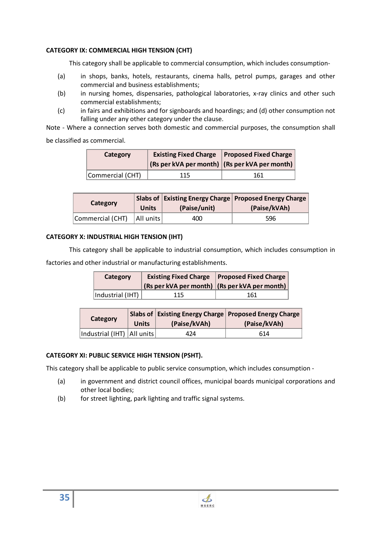## **CATEGORY IX: COMMERCIAL HIGH TENSION (CHT)**

This category shall be applicable to commercial consumption, which includes consumption-

- (a) in shops, banks, hotels, restaurants, cinema halls, petrol pumps, garages and other commercial and business establishments;
- (b) in nursing homes, dispensaries, pathological laboratories, x-ray clinics and other such commercial establishments;
- (c) in fairs and exhibitions and for signboards and hoardings; and (d) other consumption not falling under any other category under the clause.

Note - Where a connection serves both domestic and commercial purposes, the consumption shall

be classified as commercial.

| Category       | $\left  \right $ (Rs per kVA per month) $\left  \right $ (Rs per kVA per month) $\left  \right $ | Existing Fixed Charge   Proposed Fixed Charge |
|----------------|--------------------------------------------------------------------------------------------------|-----------------------------------------------|
| Commercial (C. |                                                                                                  |                                               |

| <b>Category</b>  | (Paise/unit) | <b>Slabs of Existing Energy Charge Proposed Energy Charge I</b><br>(Paise/kVAh) |
|------------------|--------------|---------------------------------------------------------------------------------|
| Commercial (CHT) |              |                                                                                 |

# **CATEGORY X: INDUSTRIAL HIGH TENSION (IHT)**

This category shall be applicable to industrial consumption, which includes consumption in

factories and other industrial or manufacturing establishments.

| Category        |                                                                                                  | <b>Existing Fixed Charge Proposed Fixed Charge</b> |
|-----------------|--------------------------------------------------------------------------------------------------|----------------------------------------------------|
|                 | $\left  \right $ (Rs per kVA per month) $\left  \right $ (Rs per kVA per month) $\left  \right $ |                                                    |
| Industrial (IHT |                                                                                                  |                                                    |

| Category                                                                          | Units | (Paise/kVAh) | Slabs of   Existing Energy Charge   Proposed Energy Charge  <br>(Paise/kVAh) |
|-----------------------------------------------------------------------------------|-------|--------------|------------------------------------------------------------------------------|
| inananana pranananananananananananana prananananana prananananananananananananana |       |              |                                                                              |

# **CATEGORY XI: PUBLIC SERVICE HIGH TENSION (PSHT).**

This category shall be applicable to public service consumption, which includes consumption -

- (a) in government and district council offices, municipal boards municipal corporations and other local bodies;
- (b) for street lighting, park lighting and traffic signal systems.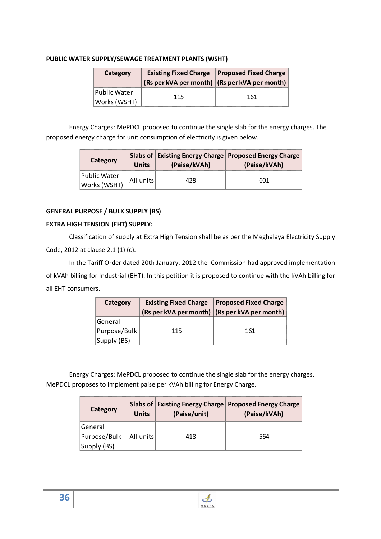# **PUBLIC WATER SUPPLY/SEWAGE TREATMENT PLANTS (WSHT)**

| Category            | $\vert$ (Rs per kVA per month) $\vert$ (Rs per kVA per month) $\vert$ | <b>Existing Fixed Charge   Proposed Fixed Charge  </b> |  |
|---------------------|-----------------------------------------------------------------------|--------------------------------------------------------|--|
| <b>Public Water</b> |                                                                       |                                                        |  |
| Works (WSHT)        | 115                                                                   | 161                                                    |  |

Energy Charges: MePDCL proposed to continue the single slab for the energy charges. The proposed energy charge for unit consumption of electricity is given below.

| Category                            | Units     | (Paise/kVAh) | Slabs of   Existing Energy Charge   Proposed Energy Charge  <br>(Paise/kVAh) |
|-------------------------------------|-----------|--------------|------------------------------------------------------------------------------|
| <b>Public Water</b><br>Works (WSHT) | All units |              |                                                                              |

# **GENERAL PURPOSE / BULK SUPPLY (BS)**

# **EXTRA HIGH TENSION (EHT) SUPPLY:**

Classification of supply at Extra High Tension shall be as per the Meghalaya Electricity Supply Code, 2012 at clause 2.1 (1) (c).

In the Tariff Order dated 20th January, 2012 the Commission had approved implementation of kVAh billing for Industrial (EHT). In this petition it is proposed to continue with the kVAh billing for all EHT consumers.

| Category       | <b>Existing Fixed Charge</b>                  | <b>Proposed Fixed Charge</b> |
|----------------|-----------------------------------------------|------------------------------|
|                | (Rs per kVA per month) (Rs per kVA per month) |                              |
| <b>General</b> |                                               |                              |
| Purpose/Bulk   | 115                                           | 161                          |
| (BS<br>Supply  |                                               |                              |

Energy Charges: MePDCL proposed to continue the single slab for the energy charges. MePDCL proposes to implement paise per kVAh billing for Energy Charge.

| Category     | <b>Units</b> | (Paise/unit) | Slabs of Existing Energy Charge   Proposed Energy Charge  <br>(Paise/kVAh) |
|--------------|--------------|--------------|----------------------------------------------------------------------------|
| General      |              |              |                                                                            |
| Purpose/Bulk | All units    | 418          | 564                                                                        |
| 'Supply (BS) |              |              |                                                                            |

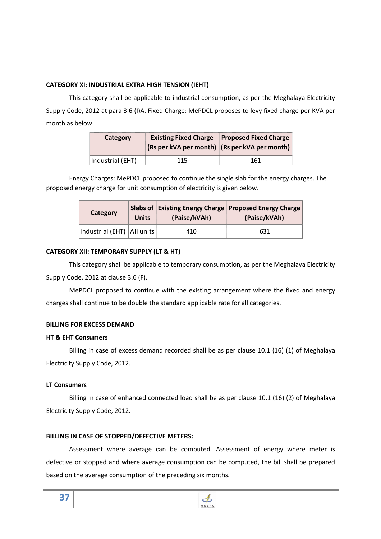## **CATEGORY XI: INDUSTRIAL EXTRA HIGH TENSION (IEHT)**

This category shall be applicable to industrial consumption, as per the Meghalaya Electricity Supply Code, 2012 at para 3.6 (I)A. Fixed Charge: MePDCL proposes to levy fixed charge per KVA per month as below.

| Category         | (Rs per kVA per month) (Rs per kVA per month) | <b>Existing Fixed Charge Proposed Fixed Charge</b> |  |  |
|------------------|-----------------------------------------------|----------------------------------------------------|--|--|
| Industrial (EHT) |                                               |                                                    |  |  |

Energy Charges: MePDCL proposed to continue the single slab for the energy charges. The proposed energy charge for unit consumption of electricity is given below.

| Category                     | Units | (Paise/kVAh) | <b>Slabs of Existing Energy Charge Proposed Energy Charge</b><br>(Paise/kVAh) |  |  |
|------------------------------|-------|--------------|-------------------------------------------------------------------------------|--|--|
| Industrial (EHT)   All units |       |              |                                                                               |  |  |

## **CATEGORY XII: TEMPORARY SUPPLY (LT & HT)**

This category shall be applicable to temporary consumption, as per the Meghalaya Electricity Supply Code, 2012 at clause 3.6 (F).

MePDCL proposed to continue with the existing arrangement where the fixed and energy charges shall continue to be double the standard applicable rate for all categories.

## **BILLING FOR EXCESS DEMAND**

## **HT & EHT Consumers**

Billing in case of excess demand recorded shall be as per clause 10.1 (16) (1) of Meghalaya Electricity Supply Code, 2012.

# **LT Consumers**

Billing in case of enhanced connected load shall be as per clause 10.1 (16) (2) of Meghalaya Electricity Supply Code, 2012.

# **BILLING IN CASE OF STOPPED/DEFECTIVE METERS:**

Assessment where average can be computed. Assessment of energy where meter is defective or stopped and where average consumption can be computed, the bill shall be prepared based on the average consumption of the preceding six months.

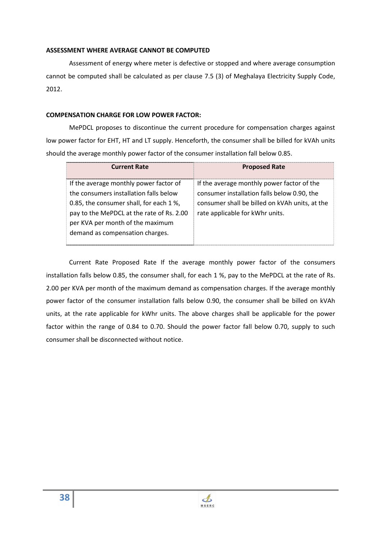## **ASSESSMENT WHERE AVERAGE CANNOT BE COMPUTED**

Assessment of energy where meter is defective or stopped and where average consumption cannot be computed shall be calculated as per clause 7.5 (3) of Meghalaya Electricity Supply Code, 2012.

## **COMPENSATION CHARGE FOR LOW POWER FACTOR:**

MePDCL proposes to discontinue the current procedure for compensation charges against low power factor for EHT, HT and LT supply. Henceforth, the consumer shall be billed for kVAh units should the average monthly power factor of the consumer installation fall below 0.85.

| <b>Current Rate</b>                       | <b>Proposed Rate</b>                           |
|-------------------------------------------|------------------------------------------------|
| If the average monthly power factor of    | If the average monthly power factor of the     |
| the consumers installation falls below    | consumer installation falls below 0.90, the    |
| 0.85, the consumer shall, for each 1 %,   | consumer shall be billed on kVAh units, at the |
| pay to the MePDCL at the rate of Rs. 2.00 | rate applicable for kWhr units.                |
| per KVA per month of the maximum          |                                                |
| demand as compensation charges.           |                                                |

Current Rate Proposed Rate If the average monthly power factor of the consumers installation falls below 0.85, the consumer shall, for each 1 %, pay to the MePDCL at the rate of Rs. 2.00 per KVA per month of the maximum demand as compensation charges. If the average monthly power factor of the consumer installation falls below 0.90, the consumer shall be billed on kVAh units, at the rate applicable for kWhr units. The above charges shall be applicable for the power factor within the range of 0.84 to 0.70. Should the power factor fall below 0.70, supply to such consumer shall be disconnected without notice.

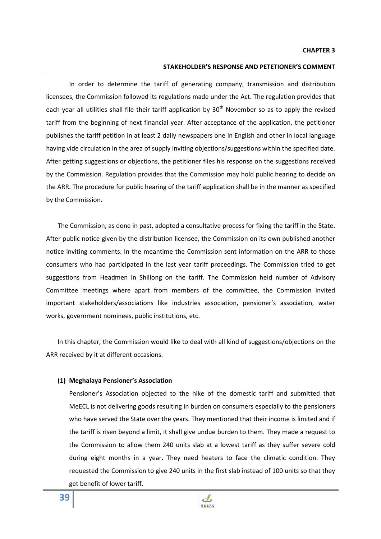#### **CHAPTER 3**

## **STAKEHOLDER'S RESPONSE AND PETETIONER'S COMMENT**

 In order to determine the tariff of generating company, transmission and distribution licensees, the Commission followed its regulations made under the Act. The regulation provides that each year all utilities shall file their tariff application by  $30<sup>th</sup>$  November so as to apply the revised tariff from the beginning of next financial year. After acceptance of the application, the petitioner publishes the tariff petition in at least 2 daily newspapers one in English and other in local language having vide circulation in the area of supply inviting objections/suggestions within the specified date. After getting suggestions or objections, the petitioner files his response on the suggestions received by the Commission. Regulation provides that the Commission may hold public hearing to decide on the ARR. The procedure for public hearing of the tariff application shall be in the manner as specified by the Commission.

The Commission, as done in past, adopted a consultative process for fixing the tariff in the State. After public notice given by the distribution licensee, the Commission on its own published another notice inviting comments. In the meantime the Commission sent information on the ARR to those consumers who had participated in the last year tariff proceedings. The Commission tried to get suggestions from Headmen in Shillong on the tariff. The Commission held number of Advisory Committee meetings where apart from members of the committee, the Commission invited important stakeholders/associations like industries association, pensioner's association, water works, government nominees, public institutions, etc.

In this chapter, the Commission would like to deal with all kind of suggestions/objections on the ARR received by it at different occasions.

### **(1) Meghalaya Pensioner's Association**

Pensioner's Association objected to the hike of the domestic tariff and submitted that MeECL is not delivering goods resulting in burden on consumers especially to the pensioners who have served the State over the years. They mentioned that their income is limited and if the tariff is risen beyond a limit, it shall give undue burden to them. They made a request to the Commission to allow them 240 units slab at a lowest tariff as they suffer severe cold during eight months in a year. They need heaters to face the climatic condition. They requested the Commission to give 240 units in the first slab instead of 100 units so that they get benefit of lower tariff.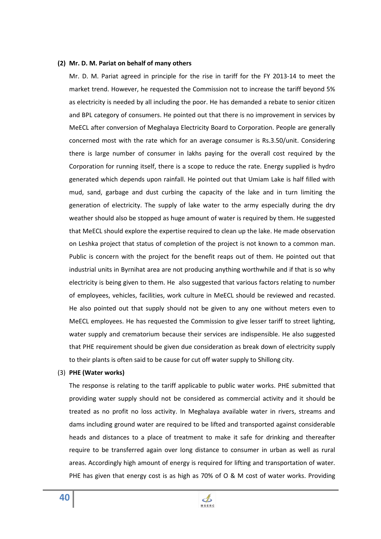### **(2) Mr. D. M. Pariat on behalf of many others**

Mr. D. M. Pariat agreed in principle for the rise in tariff for the FY 2013-14 to meet the market trend. However, he requested the Commission not to increase the tariff beyond 5% as electricity is needed by all including the poor. He has demanded a rebate to senior citizen and BPL category of consumers. He pointed out that there is no improvement in services by MeECL after conversion of Meghalaya Electricity Board to Corporation. People are generally concerned most with the rate which for an average consumer is Rs.3.50/unit. Considering there is large number of consumer in lakhs paying for the overall cost required by the Corporation for running itself, there is a scope to reduce the rate. Energy supplied is hydro generated which depends upon rainfall. He pointed out that Umiam Lake is half filled with mud, sand, garbage and dust curbing the capacity of the lake and in turn limiting the generation of electricity. The supply of lake water to the army especially during the dry weather should also be stopped as huge amount of water is required by them. He suggested that MeECL should explore the expertise required to clean up the lake. He made observation on Leshka project that status of completion of the project is not known to a common man. Public is concern with the project for the benefit reaps out of them. He pointed out that industrial units in Byrnihat area are not producing anything worthwhile and if that is so why electricity is being given to them. He also suggested that various factors relating to number of employees, vehicles, facilities, work culture in MeECL should be reviewed and recasted. He also pointed out that supply should not be given to any one without meters even to MeECL employees. He has requested the Commission to give lesser tariff to street lighting, water supply and crematorium because their services are indispensible. He also suggested that PHE requirement should be given due consideration as break down of electricity supply to their plants is often said to be cause for cut off water supply to Shillong city.

#### (3) **PHE (Water works)**

The response is relating to the tariff applicable to public water works. PHE submitted that providing water supply should not be considered as commercial activity and it should be treated as no profit no loss activity. In Meghalaya available water in rivers, streams and dams including ground water are required to be lifted and transported against considerable heads and distances to a place of treatment to make it safe for drinking and thereafter require to be transferred again over long distance to consumer in urban as well as rural areas. Accordingly high amount of energy is required for lifting and transportation of water. PHE has given that energy cost is as high as 70% of O & M cost of water works. Providing

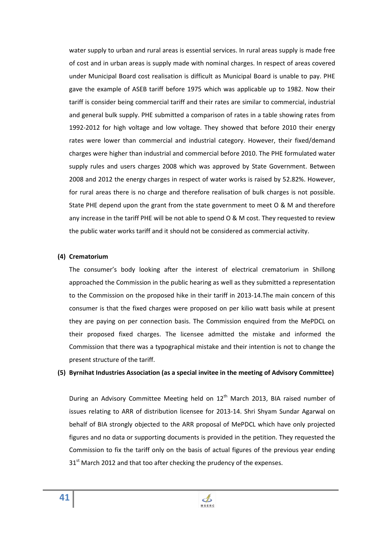water supply to urban and rural areas is essential services. In rural areas supply is made free of cost and in urban areas is supply made with nominal charges. In respect of areas covered under Municipal Board cost realisation is difficult as Municipal Board is unable to pay. PHE gave the example of ASEB tariff before 1975 which was applicable up to 1982. Now their tariff is consider being commercial tariff and their rates are similar to commercial, industrial and general bulk supply. PHE submitted a comparison of rates in a table showing rates from 1992-2012 for high voltage and low voltage. They showed that before 2010 their energy rates were lower than commercial and industrial category. However, their fixed/demand charges were higher than industrial and commercial before 2010. The PHE formulated water supply rules and users charges 2008 which was approved by State Government. Between 2008 and 2012 the energy charges in respect of water works is raised by 52.82%. However, for rural areas there is no charge and therefore realisation of bulk charges is not possible. State PHE depend upon the grant from the state government to meet O & M and therefore any increase in the tariff PHE will be not able to spend O & M cost. They requested to review the public water works tariff and it should not be considered as commercial activity.

### **(4) Crematorium**

The consumer's body looking after the interest of electrical crematorium in Shillong approached the Commission in the public hearing as well as they submitted a representation to the Commission on the proposed hike in their tariff in 2013-14.The main concern of this consumer is that the fixed charges were proposed on per kilio watt basis while at present they are paying on per connection basis. The Commission enquired from the MePDCL on their proposed fixed charges. The licensee admitted the mistake and informed the Commission that there was a typographical mistake and their intention is not to change the present structure of the tariff.

### **(5) Byrnihat Industries Association (as a special invitee in the meeting of Advisory Committee)**

During an Advisory Committee Meeting held on 12<sup>th</sup> March 2013, BIA raised number of issues relating to ARR of distribution licensee for 2013-14. Shri Shyam Sundar Agarwal on behalf of BIA strongly objected to the ARR proposal of MePDCL which have only projected figures and no data or supporting documents is provided in the petition. They requested the Commission to fix the tariff only on the basis of actual figures of the previous year ending  $31<sup>st</sup>$  March 2012 and that too after checking the prudency of the expenses.

> $\mathcal{A}$ **MSERC**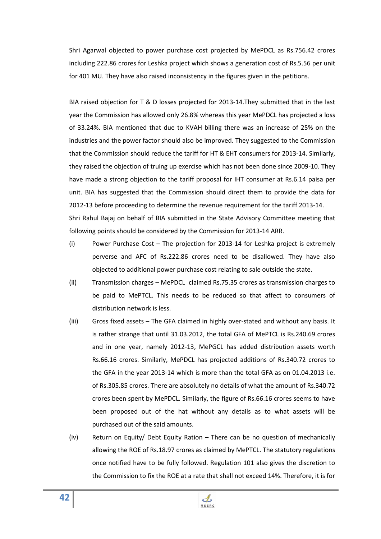Shri Agarwal objected to power purchase cost projected by MePDCL as Rs.756.42 crores including 222.86 crores for Leshka project which shows a generation cost of Rs.5.56 per unit for 401 MU. They have also raised inconsistency in the figures given in the petitions.

BIA raised objection for T & D losses projected for 2013-14.They submitted that in the last year the Commission has allowed only 26.8% whereas this year MePDCL has projected a loss of 33.24%. BIA mentioned that due to KVAH billing there was an increase of 25% on the industries and the power factor should also be improved. They suggested to the Commission that the Commission should reduce the tariff for HT & EHT consumers for 2013-14. Similarly, they raised the objection of truing up exercise which has not been done since 2009-10. They have made a strong objection to the tariff proposal for IHT consumer at Rs.6.14 paisa per unit. BIA has suggested that the Commission should direct them to provide the data for 2012-13 before proceeding to determine the revenue requirement for the tariff 2013-14. Shri Rahul Bajaj on behalf of BIA submitted in the State Advisory Committee meeting that following points should be considered by the Commission for 2013-14 ARR.

- (i) Power Purchase Cost The projection for 2013-14 for Leshka project is extremely perverse and AFC of Rs.222.86 crores need to be disallowed. They have also objected to additional power purchase cost relating to sale outside the state.
- (ii) Transmission charges MePDCL claimed Rs.75.35 crores as transmission charges to be paid to MePTCL. This needs to be reduced so that affect to consumers of distribution network is less.
- (iii) Gross fixed assets The GFA claimed in highly over-stated and without any basis. It is rather strange that until 31.03.2012, the total GFA of MePTCL is Rs.240.69 crores and in one year, namely 2012-13, MePGCL has added distribution assets worth Rs.66.16 crores. Similarly, MePDCL has projected additions of Rs.340.72 crores to the GFA in the year 2013-14 which is more than the total GFA as on 01.04.2013 i.e. of Rs.305.85 crores. There are absolutely no details of what the amount of Rs.340.72 crores been spent by MePDCL. Similarly, the figure of Rs.66.16 crores seems to have been proposed out of the hat without any details as to what assets will be purchased out of the said amounts.
- (iv) Return on Equity/ Debt Equity Ration There can be no question of mechanically allowing the ROE of Rs.18.97 crores as claimed by MePTCL. The statutory regulations once notified have to be fully followed. Regulation 101 also gives the discretion to the Commission to fix the ROE at a rate that shall not exceed 14%. Therefore, it is for

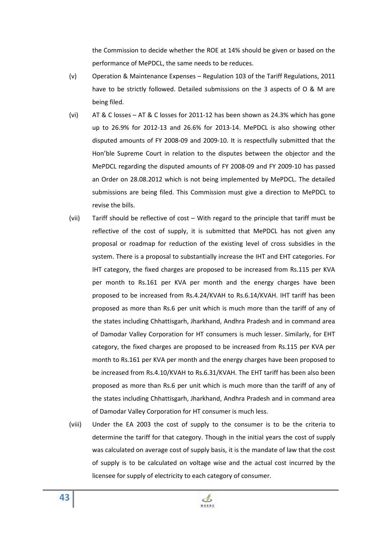the Commission to decide whether the ROE at 14% should be given or based on the performance of MePDCL, the same needs to be reduces.

- (v) Operation & Maintenance Expenses Regulation 103 of the Tariff Regulations, 2011 have to be strictly followed. Detailed submissions on the 3 aspects of O & M are being filed.
- (vi) AT & C losses AT & C losses for 2011-12 has been shown as 24.3% which has gone up to 26.9% for 2012-13 and 26.6% for 2013-14. MePDCL is also showing other disputed amounts of FY 2008-09 and 2009-10. It is respectfully submitted that the Hon'ble Supreme Court in relation to the disputes between the objector and the MePDCL regarding the disputed amounts of FY 2008-09 and FY 2009-10 has passed an Order on 28.08.2012 which is not being implemented by MePDCL. The detailed submissions are being filed. This Commission must give a direction to MePDCL to revise the bills.
- (vii) Tariff should be reflective of cost With regard to the principle that tariff must be reflective of the cost of supply, it is submitted that MePDCL has not given any proposal or roadmap for reduction of the existing level of cross subsidies in the system. There is a proposal to substantially increase the IHT and EHT categories. For IHT category, the fixed charges are proposed to be increased from Rs.115 per KVA per month to Rs.161 per KVA per month and the energy charges have been proposed to be increased from Rs.4.24/KVAH to Rs.6.14/KVAH. IHT tariff has been proposed as more than Rs.6 per unit which is much more than the tariff of any of the states including Chhattisgarh, Jharkhand, Andhra Pradesh and in command area of Damodar Valley Corporation for HT consumers is much lesser. Similarly, for EHT category, the fixed charges are proposed to be increased from Rs.115 per KVA per month to Rs.161 per KVA per month and the energy charges have been proposed to be increased from Rs.4.10/KVAH to Rs.6.31/KVAH. The EHT tariff has been also been proposed as more than Rs.6 per unit which is much more than the tariff of any of the states including Chhattisgarh, Jharkhand, Andhra Pradesh and in command area of Damodar Valley Corporation for HT consumer is much less.
- (viii) Under the EA 2003 the cost of supply to the consumer is to be the criteria to determine the tariff for that category. Though in the initial years the cost of supply was calculated on average cost of supply basis, it is the mandate of law that the cost of supply is to be calculated on voltage wise and the actual cost incurred by the licensee for supply of electricity to each category of consumer.

 $\mathbf{\mathbf{\Phi}}%$ **MSERC** 

**43**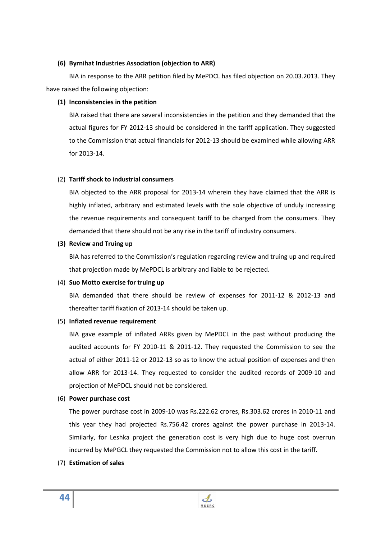# **(6) Byrnihat Industries Association (objection to ARR)**

 BIA in response to the ARR petition filed by MePDCL has filed objection on 20.03.2013. They have raised the following objection:

# **(1) Inconsistencies in the petition**

BIA raised that there are several inconsistencies in the petition and they demanded that the actual figures for FY 2012-13 should be considered in the tariff application. They suggested to the Commission that actual financials for 2012-13 should be examined while allowing ARR for 2013-14.

# (2) **Tariff shock to industrial consumers**

BIA objected to the ARR proposal for 2013-14 wherein they have claimed that the ARR is highly inflated, arbitrary and estimated levels with the sole objective of unduly increasing the revenue requirements and consequent tariff to be charged from the consumers. They demanded that there should not be any rise in the tariff of industry consumers.

# **(3) Review and Truing up**

BIA has referred to the Commission's regulation regarding review and truing up and required that projection made by MePDCL is arbitrary and liable to be rejected.

## (4) **Suo Motto exercise for truing up**

BIA demanded that there should be review of expenses for 2011-12 & 2012-13 and thereafter tariff fixation of 2013-14 should be taken up.

# (5) **Inflated revenue requirement**

BIA gave example of inflated ARRs given by MePDCL in the past without producing the audited accounts for FY 2010-11 & 2011-12. They requested the Commission to see the actual of either 2011-12 or 2012-13 so as to know the actual position of expenses and then allow ARR for 2013-14. They requested to consider the audited records of 2009-10 and projection of MePDCL should not be considered.

# (6) **Power purchase cost**

The power purchase cost in 2009-10 was Rs.222.62 crores, Rs.303.62 crores in 2010-11 and this year they had projected Rs.756.42 crores against the power purchase in 2013-14. Similarly, for Leshka project the generation cost is very high due to huge cost overrun incurred by MePGCL they requested the Commission not to allow this cost in the tariff.

## (7) **Estimation of sales**

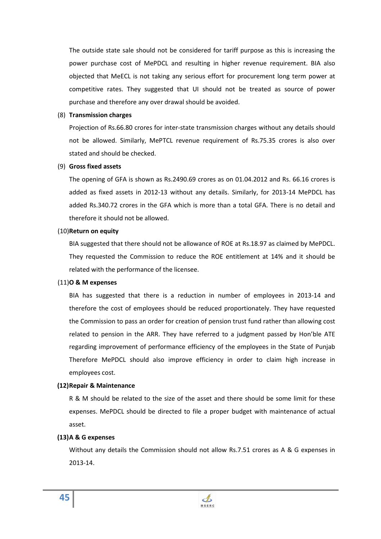The outside state sale should not be considered for tariff purpose as this is increasing the power purchase cost of MePDCL and resulting in higher revenue requirement. BIA also objected that MeECL is not taking any serious effort for procurement long term power at competitive rates. They suggested that UI should not be treated as source of power purchase and therefore any over drawal should be avoided.

## (8) **Transmission charges**

Projection of Rs.66.80 crores for inter-state transmission charges without any details should not be allowed. Similarly, MePTCL revenue requirement of Rs.75.35 crores is also over stated and should be checked.

## (9) **Gross fixed assets**

The opening of GFA is shown as Rs.2490.69 crores as on 01.04.2012 and Rs. 66.16 crores is added as fixed assets in 2012-13 without any details. Similarly, for 2013-14 MePDCL has added Rs.340.72 crores in the GFA which is more than a total GFA. There is no detail and therefore it should not be allowed.

## (10)**Return on equity**

BIA suggested that there should not be allowance of ROE at Rs.18.97 as claimed by MePDCL. They requested the Commission to reduce the ROE entitlement at 14% and it should be related with the performance of the licensee.

## (11)**O & M expenses**

BIA has suggested that there is a reduction in number of employees in 2013-14 and therefore the cost of employees should be reduced proportionately. They have requested the Commission to pass an order for creation of pension trust fund rather than allowing cost related to pension in the ARR. They have referred to a judgment passed by Hon'ble ATE regarding improvement of performance efficiency of the employees in the State of Punjab Therefore MePDCL should also improve efficiency in order to claim high increase in employees cost.

## **(12)Repair & Maintenance**

R & M should be related to the size of the asset and there should be some limit for these expenses. MePDCL should be directed to file a proper budget with maintenance of actual asset.

## **(13)A & G expenses**

Without any details the Commission should not allow Rs.7.51 crores as A & G expenses in 2013-14.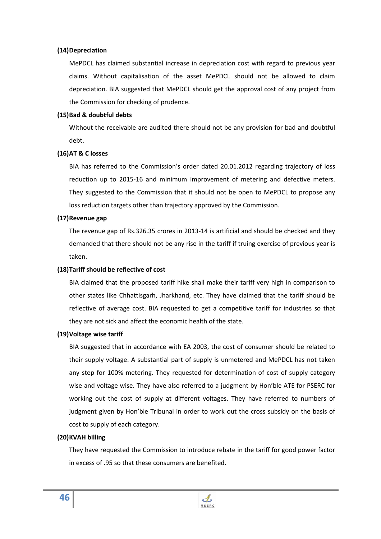## **(14)Depreciation**

MePDCL has claimed substantial increase in depreciation cost with regard to previous year claims. Without capitalisation of the asset MePDCL should not be allowed to claim depreciation. BIA suggested that MePDCL should get the approval cost of any project from the Commission for checking of prudence.

## **(15)Bad & doubtful debts**

Without the receivable are audited there should not be any provision for bad and doubtful debt.

## **(16)AT & C losses**

BIA has referred to the Commission's order dated 20.01.2012 regarding trajectory of loss reduction up to 2015-16 and minimum improvement of metering and defective meters. They suggested to the Commission that it should not be open to MePDCL to propose any loss reduction targets other than trajectory approved by the Commission.

## **(17)Revenue gap**

The revenue gap of Rs.326.35 crores in 2013-14 is artificial and should be checked and they demanded that there should not be any rise in the tariff if truing exercise of previous year is taken.

## **(18)Tariff should be reflective of cost**

BIA claimed that the proposed tariff hike shall make their tariff very high in comparison to other states like Chhattisgarh, Jharkhand, etc. They have claimed that the tariff should be reflective of average cost. BIA requested to get a competitive tariff for industries so that they are not sick and affect the economic health of the state.

## **(19)Voltage wise tariff**

BIA suggested that in accordance with EA 2003, the cost of consumer should be related to their supply voltage. A substantial part of supply is unmetered and MePDCL has not taken any step for 100% metering. They requested for determination of cost of supply category wise and voltage wise. They have also referred to a judgment by Hon'ble ATE for PSERC for working out the cost of supply at different voltages. They have referred to numbers of judgment given by Hon'ble Tribunal in order to work out the cross subsidy on the basis of cost to supply of each category.

## **(20)KVAH billing**

They have requested the Commission to introduce rebate in the tariff for good power factor in excess of .95 so that these consumers are benefited.

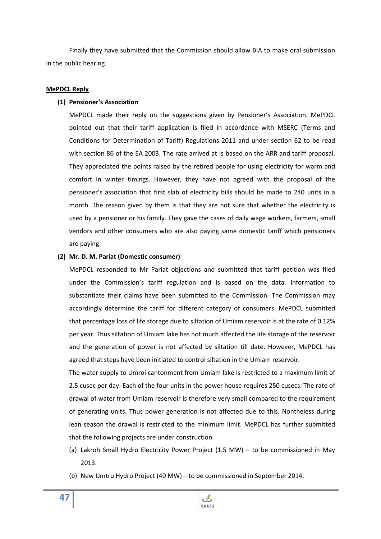Finally they have submitted that the Commission should allow BIA to make oral submission in the public hearing.

# **MePDCL Reply**

# **(1) Pensioner's Association**

MePDCL made their reply on the suggestions given by Pensioner's Association. MePDCL pointed out that their tariff application is filed in accordance with MSERC (Terms and Conditions for Determination of Tariff) Regulations 2011 and under section 62 to be read with section 86 of the EA 2003. The rate arrived at is based on the ARR and tariff proposal. They appreciated the points raised by the retired people for using electricity for warm and comfort in winter timings. However, they have not agreed with the proposal of the pensioner's association that first slab of electricity bills should be made to 240 units in a month. The reason given by them is that they are not sure that whether the electricity is used by a pensioner or his family. They gave the cases of daily wage workers, farmers, small vendors and other consumers who are also paying same domestic tariff which pensioners are paying.

## **(2) Mr. D. M. Pariat (Domestic consumer)**

MePDCL responded to Mr Pariat objections and submitted that tariff petition was filed under the Commission's tariff regulation and is based on the data. Information to substantiate their claims have been submitted to the Commission. The Commission may accordingly determine the tariff for different category of consumers. MePDCL submitted that percentage loss of life storage due to siltation of Umiam reservoir is at the rate of 0.12% per year. Thus siltation of Umiam lake has not much affected the life storage of the reservoir and the generation of power is not affected by siltation till date. However, MePDCL has agreed that steps have been initiated to control siltation in the Umiam reservoir.

The water supply to Umroi cantonment from Umiam lake is restricted to a maximum limit of 2.5 cusec per day. Each of the four units in the power house requires 250 cusecs. The rate of drawal of water from Umiam reservoir is therefore very small compared to the requirement of generating units. Thus power generation is not affected due to this. Nontheless during lean season the drawal is restricted to the minimum limit. MePDCL has further submitted that the following projects are under construction

- (a) Lakroh Small Hydro Electricity Power Project (1.5 MW) to be commissioned in May 2013.
- (b) New Umtru Hydro Project (40 MW) to be commissioned in September 2014.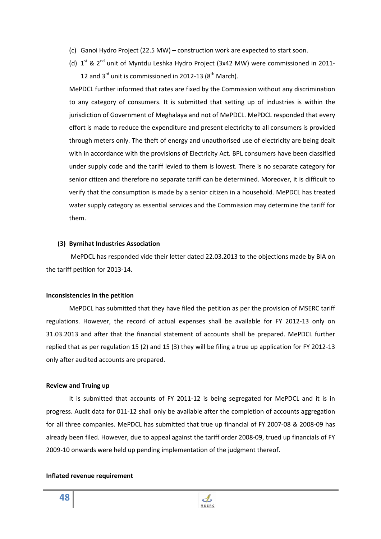- (c) Ganoi Hydro Project (22.5 MW) construction work are expected to start soon.
- (d)  $1<sup>st</sup>$  &  $2<sup>nd</sup>$  unit of Myntdu Leshka Hydro Project (3x42 MW) were commissioned in 2011-12 and  $3^{rd}$  unit is commissioned in 2012-13 ( $8^{th}$  March).

MePDCL further informed that rates are fixed by the Commission without any discrimination to any category of consumers. It is submitted that setting up of industries is within the jurisdiction of Government of Meghalaya and not of MePDCL. MePDCL responded that every effort is made to reduce the expenditure and present electricity to all consumers is provided through meters only. The theft of energy and unauthorised use of electricity are being dealt with in accordance with the provisions of Electricity Act. BPL consumers have been classified under supply code and the tariff levied to them is lowest. There is no separate category for senior citizen and therefore no separate tariff can be determined. Moreover, it is difficult to verify that the consumption is made by a senior citizen in a household. MePDCL has treated water supply category as essential services and the Commission may determine the tariff for them.

## **(3) Byrnihat Industries Association**

MePDCL has responded vide their letter dated 22.03.2013 to the objections made by BIA on the tariff petition for 2013-14.

### **Inconsistencies in the petition**

MePDCL has submitted that they have filed the petition as per the provision of MSERC tariff regulations. However, the record of actual expenses shall be available for FY 2012-13 only on 31.03.2013 and after that the financial statement of accounts shall be prepared. MePDCL further replied that as per regulation 15 (2) and 15 (3) they will be filing a true up application for FY 2012-13 only after audited accounts are prepared.

#### **Review and Truing up**

It is submitted that accounts of FY 2011-12 is being segregated for MePDCL and it is in progress. Audit data for 011-12 shall only be available after the completion of accounts aggregation for all three companies. MePDCL has submitted that true up financial of FY 2007-08 & 2008-09 has already been filed. However, due to appeal against the tariff order 2008-09, trued up financials of FY 2009-10 onwards were held up pending implementation of the judgment thereof.

### **Inflated revenue requirement**

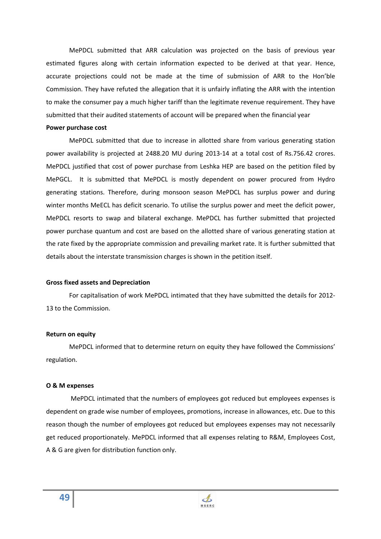MePDCL submitted that ARR calculation was projected on the basis of previous year estimated figures along with certain information expected to be derived at that year. Hence, accurate projections could not be made at the time of submission of ARR to the Hon'ble Commission. They have refuted the allegation that it is unfairly inflating the ARR with the intention to make the consumer pay a much higher tariff than the legitimate revenue requirement. They have submitted that their audited statements of account will be prepared when the financial year

### **Power purchase cost**

MePDCL submitted that due to increase in allotted share from various generating station power availability is projected at 2488.20 MU during 2013-14 at a total cost of Rs.756.42 crores. MePDCL justified that cost of power purchase from Leshka HEP are based on the petition filed by MePGCL. It is submitted that MePDCL is mostly dependent on power procured from Hydro generating stations. Therefore, during monsoon season MePDCL has surplus power and during winter months MeECL has deficit scenario. To utilise the surplus power and meet the deficit power, MePDCL resorts to swap and bilateral exchange. MePDCL has further submitted that projected power purchase quantum and cost are based on the allotted share of various generating station at the rate fixed by the appropriate commission and prevailing market rate. It is further submitted that details about the interstate transmission charges is shown in the petition itself.

#### **Gross fixed assets and Depreciation**

For capitalisation of work MePDCL intimated that they have submitted the details for 2012- 13 to the Commission.

### **Return on equity**

MePDCL informed that to determine return on equity they have followed the Commissions' regulation.

### **O & M expenses**

 MePDCL intimated that the numbers of employees got reduced but employees expenses is dependent on grade wise number of employees, promotions, increase in allowances, etc. Due to this reason though the number of employees got reduced but employees expenses may not necessarily get reduced proportionately. MePDCL informed that all expenses relating to R&M, Employees Cost, A & G are given for distribution function only.

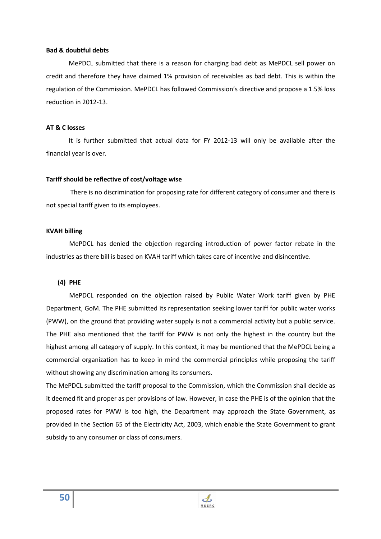### **Bad & doubtful debts**

MePDCL submitted that there is a reason for charging bad debt as MePDCL sell power on credit and therefore they have claimed 1% provision of receivables as bad debt. This is within the regulation of the Commission. MePDCL has followed Commission's directive and propose a 1.5% loss reduction in 2012-13.

### **AT & C losses**

It is further submitted that actual data for FY 2012-13 will only be available after the financial year is over.

### **Tariff should be reflective of cost/voltage wise**

 There is no discrimination for proposing rate for different category of consumer and there is not special tariff given to its employees.

### **KVAH billing**

MePDCL has denied the objection regarding introduction of power factor rebate in the industries as there bill is based on KVAH tariff which takes care of incentive and disincentive.

### **(4) PHE**

MePDCL responded on the objection raised by Public Water Work tariff given by PHE Department, GoM. The PHE submitted its representation seeking lower tariff for public water works (PWW), on the ground that providing water supply is not a commercial activity but a public service. The PHE also mentioned that the tariff for PWW is not only the highest in the country but the highest among all category of supply. In this context, it may be mentioned that the MePDCL being a commercial organization has to keep in mind the commercial principles while proposing the tariff without showing any discrimination among its consumers.

The MePDCL submitted the tariff proposal to the Commission, which the Commission shall decide as it deemed fit and proper as per provisions of law. However, in case the PHE is of the opinion that the proposed rates for PWW is too high, the Department may approach the State Government, as provided in the Section 65 of the Electricity Act, 2003, which enable the State Government to grant subsidy to any consumer or class of consumers.

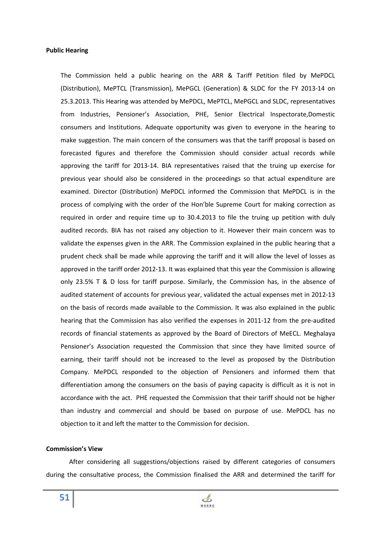### **Public Hearing**

The Commission held a public hearing on the ARR & Tariff Petition filed by MePDCL (Distribution), MePTCL (Transmission), MePGCL (Generation) & SLDC for the FY 2013-14 on 25.3.2013. This Hearing was attended by MePDCL, MePTCL, MePGCL and SLDC, representatives from Industries, Pensioner's Association, PHE, Senior Electrical Inspectorate,Domestic consumers and Institutions. Adequate opportunity was given to everyone in the hearing to make suggestion. The main concern of the consumers was that the tariff proposal is based on forecasted figures and therefore the Commission should consider actual records while approving the tariff for 2013-14. BIA representatives raised that the truing up exercise for previous year should also be considered in the proceedings so that actual expenditure are examined. Director (Distribution) MePDCL informed the Commission that MePDCL is in the process of complying with the order of the Hon'ble Supreme Court for making correction as required in order and require time up to 30.4.2013 to file the truing up petition with duly audited records. BIA has not raised any objection to it. However their main concern was to validate the expenses given in the ARR. The Commission explained in the public hearing that a prudent check shall be made while approving the tariff and it will allow the level of losses as approved in the tariff order 2012-13. It was explained that this year the Commission is allowing only 23.5% T & D loss for tariff purpose. Similarly, the Commission has, in the absence of audited statement of accounts for previous year, validated the actual expenses met in 2012-13 on the basis of records made available to the Commission. It was also explained in the public hearing that the Commission has also verified the expenses in 2011-12 from the pre-audited records of financial statements as approved by the Board of Directors of MeECL. Meghalaya Pensioner's Association requested the Commission that since they have limited source of earning, their tariff should not be increased to the level as proposed by the Distribution Company. MePDCL responded to the objection of Pensioners and informed them that differentiation among the consumers on the basis of paying capacity is difficult as it is not in accordance with the act. PHE requested the Commission that their tariff should not be higher than industry and commercial and should be based on purpose of use. MePDCL has no objection to it and left the matter to the Commission for decision.

### **Commission's View**

After considering all suggestions/objections raised by different categories of consumers during the consultative process, the Commission finalised the ARR and determined the tariff for

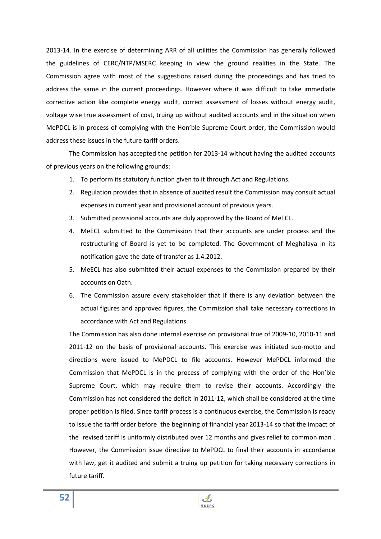2013-14. In the exercise of determining ARR of all utilities the Commission has generally followed the guidelines of CERC/NTP/MSERC keeping in view the ground realities in the State. The Commission agree with most of the suggestions raised during the proceedings and has tried to address the same in the current proceedings. However where it was difficult to take immediate corrective action like complete energy audit, correct assessment of losses without energy audit, voltage wise true assessment of cost, truing up without audited accounts and in the situation when MePDCL is in process of complying with the Hon'ble Supreme Court order, the Commission would address these issues in the future tariff orders.

The Commission has accepted the petition for 2013-14 without having the audited accounts of previous years on the following grounds:

- 1. To perform its statutory function given to it through Act and Regulations.
- 2. Regulation provides that in absence of audited result the Commission may consult actual expenses in current year and provisional account of previous years.
- 3. Submitted provisional accounts are duly approved by the Board of MeECL.
- 4. MeECL submitted to the Commission that their accounts are under process and the restructuring of Board is yet to be completed. The Government of Meghalaya in its notification gave the date of transfer as 1.4.2012.
- 5. MeECL has also submitted their actual expenses to the Commission prepared by their accounts on Oath.
- 6. The Commission assure every stakeholder that if there is any deviation between the actual figures and approved figures, the Commission shall take necessary corrections in accordance with Act and Regulations.

The Commission has also done internal exercise on provisional true of 2009-10, 2010-11 and 2011-12 on the basis of provisional accounts. This exercise was initiated suo-motto and directions were issued to MePDCL to file accounts. However MePDCL informed the Commission that MePDCL is in the process of complying with the order of the Hon'ble Supreme Court, which may require them to revise their accounts. Accordingly the Commission has not considered the deficit in 2011-12, which shall be considered at the time proper petition is filed. Since tariff process is a continuous exercise, the Commission is ready to issue the tariff order before the beginning of financial year 2013-14 so that the impact of the revised tariff is uniformly distributed over 12 months and gives relief to common man . However, the Commission issue directive to MePDCL to final their accounts in accordance with law, get it audited and submit a truing up petition for taking necessary corrections in future tariff.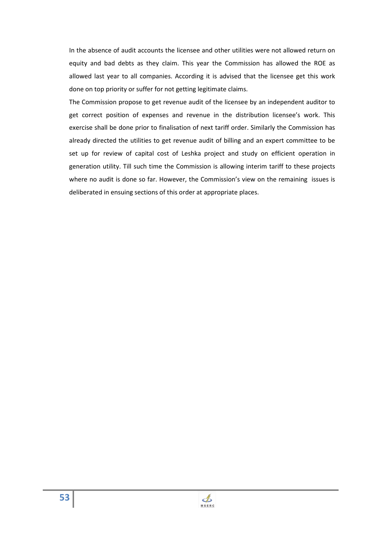In the absence of audit accounts the licensee and other utilities were not allowed return on equity and bad debts as they claim. This year the Commission has allowed the ROE as allowed last year to all companies. According it is advised that the licensee get this work done on top priority or suffer for not getting legitimate claims.

The Commission propose to get revenue audit of the licensee by an independent auditor to get correct position of expenses and revenue in the distribution licensee's work. This exercise shall be done prior to finalisation of next tariff order. Similarly the Commission has already directed the utilities to get revenue audit of billing and an expert committee to be set up for review of capital cost of Leshka project and study on efficient operation in generation utility. Till such time the Commission is allowing interim tariff to these projects where no audit is done so far. However, the Commission's view on the remaining issues is deliberated in ensuing sections of this order at appropriate places.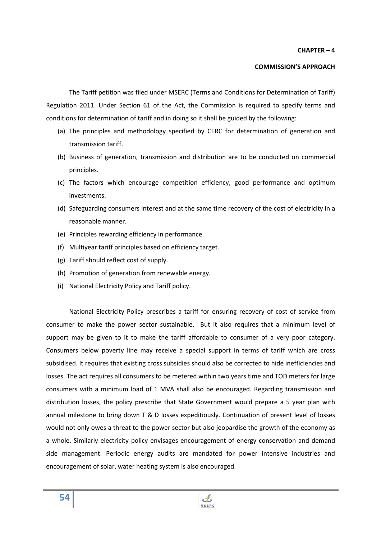The Tariff petition was filed under MSERC (Terms and Conditions for Determination of Tariff) Regulation 2011. Under Section 61 of the Act, the Commission is required to specify terms and conditions for determination of tariff and in doing so it shall be guided by the following:

- (a) The principles and methodology specified by CERC for determination of generation and transmission tariff.
- (b) Business of generation, transmission and distribution are to be conducted on commercial principles.
- (c) The factors which encourage competition efficiency, good performance and optimum investments.
- (d) Safeguarding consumers interest and at the same time recovery of the cost of electricity in a reasonable manner.
- (e) Principles rewarding efficiency in performance.
- (f) Multiyear tariff principles based on efficiency target.
- (g) Tariff should reflect cost of supply.
- (h) Promotion of generation from renewable energy.
- (i) National Electricity Policy and Tariff policy.

National Electricity Policy prescribes a tariff for ensuring recovery of cost of service from consumer to make the power sector sustainable. But it also requires that a minimum level of support may be given to it to make the tariff affordable to consumer of a very poor category. Consumers below poverty line may receive a special support in terms of tariff which are cross subsidised. It requires that existing cross subsidies should also be corrected to hide inefficiencies and losses. The act requires all consumers to be metered within two years time and TOD meters for large consumers with a minimum load of 1 MVA shall also be encouraged. Regarding transmission and distribution losses, the policy prescribe that State Government would prepare a 5 year plan with annual milestone to bring down T & D losses expeditiously. Continuation of present level of losses would not only owes a threat to the power sector but also jeopardise the growth of the economy as a whole. Similarly electricity policy envisages encouragement of energy conservation and demand side management. Periodic energy audits are mandated for power intensive industries and encouragement of solar, water heating system is also encouraged.

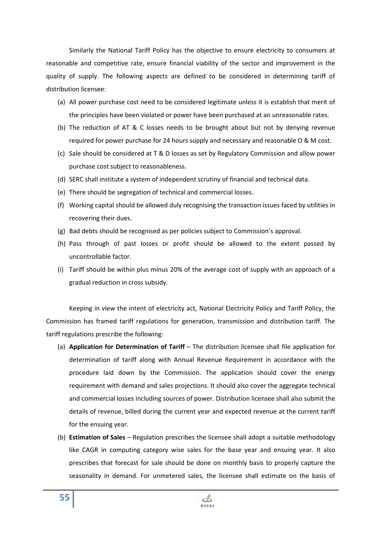Similarly the National Tariff Policy has the objective to ensure electricity to consumers at reasonable and competitive rate, ensure financial viability of the sector and improvement in the quality of supply. The following aspects are defined to be considered in determining tariff of distribution licensee:

- (a) All power purchase cost need to be considered legitimate unless it is establish that merit of the principles have been violated or power have been purchased at an unreasonable rates.
- (b) The reduction of AT & C losses needs to be brought about but not by denying revenue required for power purchase for 24 hours supply and necessary and reasonable O & M cost.
- (c) Sale should be considered at T & D losses as set by Regulatory Commission and allow power purchase cost subject to reasonableness.
- (d) SERC shall institute a system of independent scrutiny of financial and technical data.
- (e) There should be segregation of technical and commercial losses.
- (f) Working capital should be allowed duly recognising the transaction issues faced by utilities in recovering their dues.
- (g) Bad debts should be recognised as per policies subject to Commission's approval.
- (h) Pass through of past losses or profit should be allowed to the extent passed by uncontrollable factor.
- (i) Tariff should be within plus minus 20% of the average cost of supply with an approach of a gradual reduction in cross subsidy.

Keeping in view the intent of electricity act, National Electricity Policy and Tariff Policy, the Commission has framed tariff regulations for generation, transmission and distribution tariff. The tariff regulations prescribe the following:

- (a) **Application for Determination of Tariff** The distribution licensee shall file application for determination of tariff along with Annual Revenue Requirement in accordance with the procedure laid down by the Commission. The application should cover the energy requirement with demand and sales projections. It should also cover the aggregate technical and commercial losses including sources of power. Distribution licensee shall also submit the details of revenue, billed during the current year and expected revenue at the current tariff for the ensuing year.
- (b) **Estimation of Sales** Regulation prescribes the licensee shall adopt a suitable methodology like CAGR in computing category wise sales for the base year and ensuing year. It also prescribes that forecast for sale should be done on monthly basis to properly capture the seasonality in demand. For unmetered sales, the licensee shall estimate on the basis of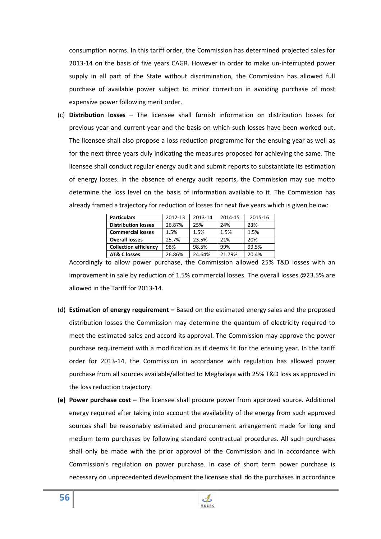consumption norms. In this tariff order, the Commission has determined projected sales for 2013-14 on the basis of five years CAGR. However in order to make un-interrupted power supply in all part of the State without discrimination, the Commission has allowed full purchase of available power subject to minor correction in avoiding purchase of most expensive power following merit order.

(c) **Distribution losses** – The licensee shall furnish information on distribution losses for previous year and current year and the basis on which such losses have been worked out. The licensee shall also propose a loss reduction programme for the ensuing year as well as for the next three years duly indicating the measures proposed for achieving the same. The licensee shall conduct regular energy audit and submit reports to substantiate its estimation of energy losses. In the absence of energy audit reports, the Commission may sue motto determine the loss level on the basis of information available to it. The Commission has already framed a trajectory for reduction of losses for next five years which is given below:

| <b>Particulars</b>           | 2012-13 | 2013-14 | 2014-15 | 2015-16 |
|------------------------------|---------|---------|---------|---------|
| <b>Distribution losses</b>   | 26.87%  | 25%     | 24%     | 23%     |
| <b>Commercial losses</b>     | 1.5%    | 1.5%    | 1.5%    | 1.5%    |
| <b>Overall losses</b>        | 25.7%   | 23.5%   | 21%     | 20%     |
| <b>Collection efficiency</b> | 98%     | 98.5%   | 99%     | 99.5%   |
| <b>AT&amp; C losses</b>      | 26.86%  | 24.64%  | 21.79%  | 20.4%   |

Accordingly to allow power purchase, the Commission allowed 25% T&D losses with an improvement in sale by reduction of 1.5% commercial losses. The overall losses @23.5% are allowed in the Tariff for 2013-14.

- (d) **Estimation of energy requirement** Based on the estimated energy sales and the proposed distribution losses the Commission may determine the quantum of electricity required to meet the estimated sales and accord its approval. The Commission may approve the power purchase requirement with a modification as it deems fit for the ensuing year. In the tariff order for 2013-14, the Commission in accordance with regulation has allowed power purchase from all sources available/allotted to Meghalaya with 25% T&D loss as approved in the loss reduction trajectory.
- **(e) Power purchase cost** The licensee shall procure power from approved source. Additional energy required after taking into account the availability of the energy from such approved sources shall be reasonably estimated and procurement arrangement made for long and medium term purchases by following standard contractual procedures. All such purchases shall only be made with the prior approval of the Commission and in accordance with Commission's regulation on power purchase. In case of short term power purchase is necessary on unprecedented development the licensee shall do the purchases in accordance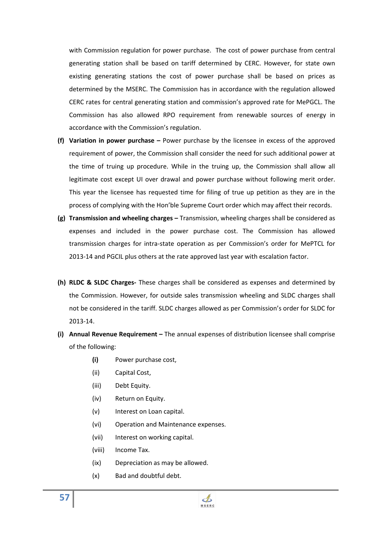with Commission regulation for power purchase. The cost of power purchase from central generating station shall be based on tariff determined by CERC. However, for state own existing generating stations the cost of power purchase shall be based on prices as determined by the MSERC. The Commission has in accordance with the regulation allowed CERC rates for central generating station and commission's approved rate for MePGCL. The Commission has also allowed RPO requirement from renewable sources of energy in accordance with the Commission's regulation.

- **(f) Variation in power purchase** Power purchase by the licensee in excess of the approved requirement of power, the Commission shall consider the need for such additional power at the time of truing up procedure. While in the truing up, the Commission shall allow all legitimate cost except UI over drawal and power purchase without following merit order. This year the licensee has requested time for filing of true up petition as they are in the process of complying with the Hon'ble Supreme Court order which may affect their records.
- **(g) Transmission and wheeling charges** Transmission, wheeling charges shall be considered as expenses and included in the power purchase cost. The Commission has allowed transmission charges for intra-state operation as per Commission's order for MePTCL for 2013-14 and PGCIL plus others at the rate approved last year with escalation factor.
- **(h) RLDC & SLDC Charges-** These charges shall be considered as expenses and determined by the Commission. However, for outside sales transmission wheeling and SLDC charges shall not be considered in the tariff. SLDC charges allowed as per Commission's order for SLDC for 2013-14.
- **(i) Annual Revenue Requirement –** The annual expenses of distribution licensee shall comprise of the following:
	- **(i)** Power purchase cost,
	- (ii) Capital Cost,
	- (iii) Debt Equity.
	- (iv) Return on Equity.
	- (v) Interest on Loan capital.
	- (vi) Operation and Maintenance expenses.
	- (vii) Interest on working capital.
	- (viii) Income Tax.

**57**

- (ix) Depreciation as may be allowed.
- (x) Bad and doubtful debt.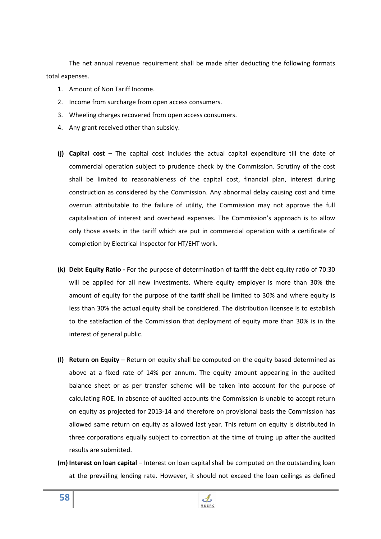The net annual revenue requirement shall be made after deducting the following formats total expenses.

- 1. Amount of Non Tariff Income.
- 2. Income from surcharge from open access consumers.
- 3. Wheeling charges recovered from open access consumers.
- 4. Any grant received other than subsidy.
- **(j) Capital cost** The capital cost includes the actual capital expenditure till the date of commercial operation subject to prudence check by the Commission. Scrutiny of the cost shall be limited to reasonableness of the capital cost, financial plan, interest during construction as considered by the Commission. Any abnormal delay causing cost and time overrun attributable to the failure of utility, the Commission may not approve the full capitalisation of interest and overhead expenses. The Commission's approach is to allow only those assets in the tariff which are put in commercial operation with a certificate of completion by Electrical Inspector for HT/EHT work.
- **(k) Debt Equity Ratio -** For the purpose of determination of tariff the debt equity ratio of 70:30 will be applied for all new investments. Where equity employer is more than 30% the amount of equity for the purpose of the tariff shall be limited to 30% and where equity is less than 30% the actual equity shall be considered. The distribution licensee is to establish to the satisfaction of the Commission that deployment of equity more than 30% is in the interest of general public.
- **(l) Return on Equity** Return on equity shall be computed on the equity based determined as above at a fixed rate of 14% per annum. The equity amount appearing in the audited balance sheet or as per transfer scheme will be taken into account for the purpose of calculating ROE. In absence of audited accounts the Commission is unable to accept return on equity as projected for 2013-14 and therefore on provisional basis the Commission has allowed same return on equity as allowed last year. This return on equity is distributed in three corporations equally subject to correction at the time of truing up after the audited results are submitted.
- **(m) Interest on loan capital** Interest on loan capital shall be computed on the outstanding loan at the prevailing lending rate. However, it should not exceed the loan ceilings as defined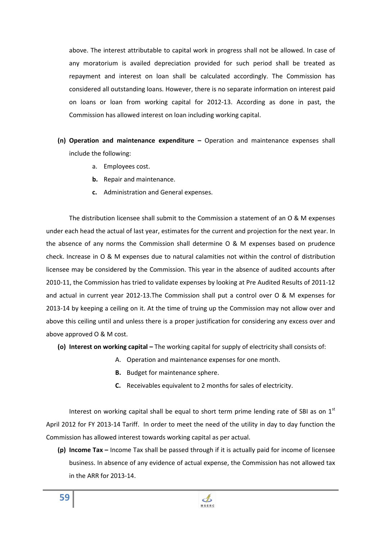above. The interest attributable to capital work in progress shall not be allowed. In case of any moratorium is availed depreciation provided for such period shall be treated as repayment and interest on loan shall be calculated accordingly. The Commission has considered all outstanding loans. However, there is no separate information on interest paid on loans or loan from working capital for 2012-13. According as done in past, the Commission has allowed interest on loan including working capital.

- **(n) Operation and maintenance expenditure** Operation and maintenance expenses shall include the following:
	- a. Employees cost.
	- **b.** Repair and maintenance.
	- **c.** Administration and General expenses.

The distribution licensee shall submit to the Commission a statement of an O & M expenses under each head the actual of last year, estimates for the current and projection for the next year. In the absence of any norms the Commission shall determine O & M expenses based on prudence check. Increase in O & M expenses due to natural calamities not within the control of distribution licensee may be considered by the Commission. This year in the absence of audited accounts after 2010-11, the Commission has tried to validate expenses by looking at Pre Audited Results of 2011-12 and actual in current year 2012-13.The Commission shall put a control over O & M expenses for 2013-14 by keeping a ceiling on it. At the time of truing up the Commission may not allow over and above this ceiling until and unless there is a proper justification for considering any excess over and above approved O & M cost.

- **(o) Interest on working capital** The working capital for supply of electricity shall consists of:
	- A. Operation and maintenance expenses for one month.
	- **B.** Budget for maintenance sphere.
	- **C.** Receivables equivalent to 2 months for sales of electricity.

Interest on working capital shall be equal to short term prime lending rate of SBI as on  $1<sup>st</sup>$ April 2012 for FY 2013-14 Tariff. In order to meet the need of the utility in day to day function the Commission has allowed interest towards working capital as per actual.

**(p) Income Tax –** Income Tax shall be passed through if it is actually paid for income of licensee business. In absence of any evidence of actual expense, the Commission has not allowed tax in the ARR for 2013-14.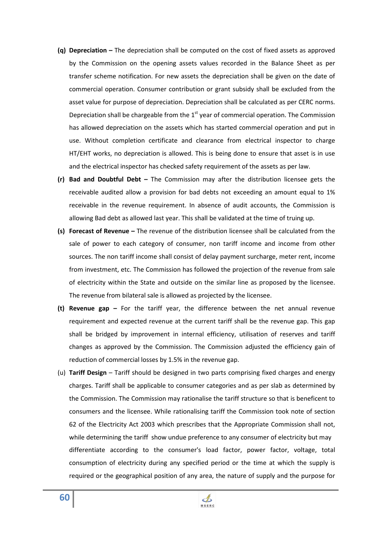- **(q) Depreciation** The depreciation shall be computed on the cost of fixed assets as approved by the Commission on the opening assets values recorded in the Balance Sheet as per transfer scheme notification. For new assets the depreciation shall be given on the date of commercial operation. Consumer contribution or grant subsidy shall be excluded from the asset value for purpose of depreciation. Depreciation shall be calculated as per CERC norms. Depreciation shall be chargeable from the  $1<sup>st</sup>$  year of commercial operation. The Commission has allowed depreciation on the assets which has started commercial operation and put in use. Without completion certificate and clearance from electrical inspector to charge HT/EHT works, no depreciation is allowed. This is being done to ensure that asset is in use and the electrical inspector has checked safety requirement of the assets as per law.
- **(r) Bad and Doubtful Debt** The Commission may after the distribution licensee gets the receivable audited allow a provision for bad debts not exceeding an amount equal to 1% receivable in the revenue requirement. In absence of audit accounts, the Commission is allowing Bad debt as allowed last year. This shall be validated at the time of truing up.
- **(s) Forecast of Revenue** The revenue of the distribution licensee shall be calculated from the sale of power to each category of consumer, non tariff income and income from other sources. The non tariff income shall consist of delay payment surcharge, meter rent, income from investment, etc. The Commission has followed the projection of the revenue from sale of electricity within the State and outside on the similar line as proposed by the licensee. The revenue from bilateral sale is allowed as projected by the licensee.
- **(t) Revenue gap** For the tariff year, the difference between the net annual revenue requirement and expected revenue at the current tariff shall be the revenue gap. This gap shall be bridged by improvement in internal efficiency, utilisation of reserves and tariff changes as approved by the Commission. The Commission adjusted the efficiency gain of reduction of commercial losses by 1.5% in the revenue gap.
- (u) **Tariff Design** Tariff should be designed in two parts comprising fixed charges and energy charges. Tariff shall be applicable to consumer categories and as per slab as determined by the Commission. The Commission may rationalise the tariff structure so that is beneficent to consumers and the licensee. While rationalising tariff the Commission took note of section 62 of the Electricity Act 2003 which prescribes that the Appropriate Commission shall not, while determining the tariff show undue preference to any consumer of electricity but may differentiate according to the consumer's load factor, power factor, voltage, total consumption of electricity during any specified period or the time at which the supply is required or the geographical position of any area, the nature of supply and the purpose for

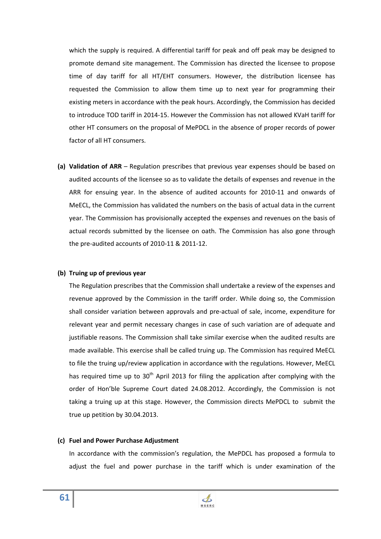which the supply is required. A differential tariff for peak and off peak may be designed to promote demand site management. The Commission has directed the licensee to propose time of day tariff for all HT/EHT consumers. However, the distribution licensee has requested the Commission to allow them time up to next year for programming their existing meters in accordance with the peak hours. Accordingly, the Commission has decided to introduce TOD tariff in 2014-15. However the Commission has not allowed KVaH tariff for other HT consumers on the proposal of MePDCL in the absence of proper records of power factor of all HT consumers.

**(a) Validation of ARR** – Regulation prescribes that previous year expenses should be based on audited accounts of the licensee so as to validate the details of expenses and revenue in the ARR for ensuing year. In the absence of audited accounts for 2010-11 and onwards of MeECL, the Commission has validated the numbers on the basis of actual data in the current year. The Commission has provisionally accepted the expenses and revenues on the basis of actual records submitted by the licensee on oath. The Commission has also gone through the pre-audited accounts of 2010-11 & 2011-12.

## **(b) Truing up of previous year**

The Regulation prescribes that the Commission shall undertake a review of the expenses and revenue approved by the Commission in the tariff order. While doing so, the Commission shall consider variation between approvals and pre-actual of sale, income, expenditure for relevant year and permit necessary changes in case of such variation are of adequate and justifiable reasons. The Commission shall take similar exercise when the audited results are made available. This exercise shall be called truing up. The Commission has required MeECL to file the truing up/review application in accordance with the regulations. However, MeECL has required time up to  $30<sup>th</sup>$  April 2013 for filing the application after complying with the order of Hon'ble Supreme Court dated 24.08.2012. Accordingly, the Commission is not taking a truing up at this stage. However, the Commission directs MePDCL to submit the true up petition by 30.04.2013.

## **(c) Fuel and Power Purchase Adjustment**

In accordance with the commission's regulation, the MePDCL has proposed a formula to adjust the fuel and power purchase in the tariff which is under examination of the

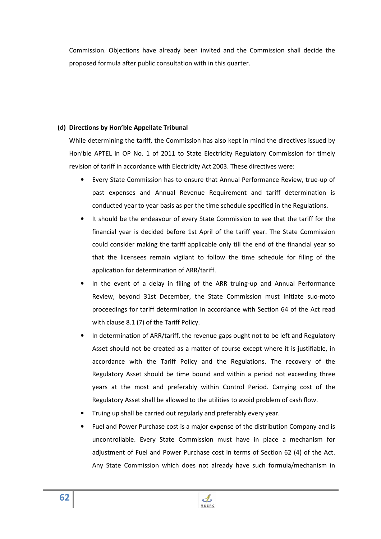Commission. Objections have already been invited and the Commission shall decide the proposed formula after public consultation with in this quarter.

# **(d) Directions by Hon'ble Appellate Tribunal**

While determining the tariff, the Commission has also kept in mind the directives issued by Hon'ble APTEL in OP No. 1 of 2011 to State Electricity Regulatory Commission for timely revision of tariff in accordance with Electricity Act 2003. These directives were:

- Every State Commission has to ensure that Annual Performance Review, true-up of past expenses and Annual Revenue Requirement and tariff determination is conducted year to year basis as per the time schedule specified in the Regulations.
- It should be the endeavour of every State Commission to see that the tariff for the financial year is decided before 1st April of the tariff year. The State Commission could consider making the tariff applicable only till the end of the financial year so that the licensees remain vigilant to follow the time schedule for filing of the application for determination of ARR/tariff.
- In the event of a delay in filing of the ARR truing-up and Annual Performance Review, beyond 31st December, the State Commission must initiate suo-moto proceedings for tariff determination in accordance with Section 64 of the Act read with clause 8.1 (7) of the Tariff Policy.
- In determination of ARR/tariff, the revenue gaps ought not to be left and Regulatory Asset should not be created as a matter of course except where it is justifiable, in accordance with the Tariff Policy and the Regulations. The recovery of the Regulatory Asset should be time bound and within a period not exceeding three years at the most and preferably within Control Period. Carrying cost of the Regulatory Asset shall be allowed to the utilities to avoid problem of cash flow.
- Truing up shall be carried out regularly and preferably every year.
- Fuel and Power Purchase cost is a major expense of the distribution Company and is uncontrollable. Every State Commission must have in place a mechanism for adjustment of Fuel and Power Purchase cost in terms of Section 62 (4) of the Act. Any State Commission which does not already have such formula/mechanism in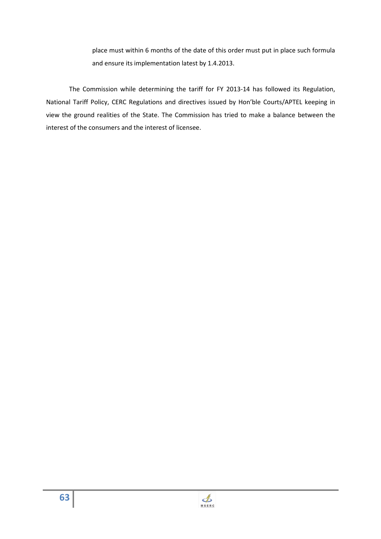place must within 6 months of the date of this order must put in place such formula and ensure its implementation latest by 1.4.2013.

The Commission while determining the tariff for FY 2013-14 has followed its Regulation, National Tariff Policy, CERC Regulations and directives issued by Hon'ble Courts/APTEL keeping in view the ground realities of the State. The Commission has tried to make a balance between the interest of the consumers and the interest of licensee.

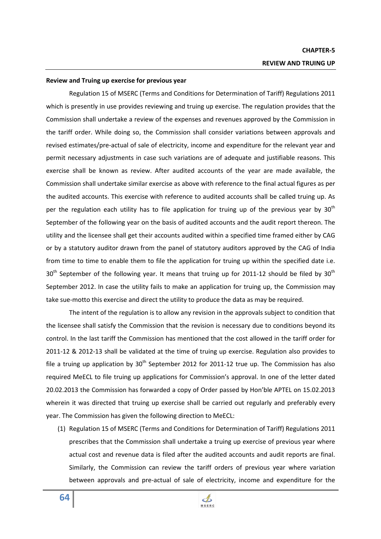### **Review and Truing up exercise for previous year**

Regulation 15 of MSERC (Terms and Conditions for Determination of Tariff) Regulations 2011 which is presently in use provides reviewing and truing up exercise. The regulation provides that the Commission shall undertake a review of the expenses and revenues approved by the Commission in the tariff order. While doing so, the Commission shall consider variations between approvals and revised estimates/pre-actual of sale of electricity, income and expenditure for the relevant year and permit necessary adjustments in case such variations are of adequate and justifiable reasons. This exercise shall be known as review. After audited accounts of the year are made available, the Commission shall undertake similar exercise as above with reference to the final actual figures as per the audited accounts. This exercise with reference to audited accounts shall be called truing up. As per the regulation each utility has to file application for truing up of the previous year by  $30<sup>th</sup>$ September of the following year on the basis of audited accounts and the audit report thereon. The utility and the licensee shall get their accounts audited within a specified time framed either by CAG or by a statutory auditor drawn from the panel of statutory auditors approved by the CAG of India from time to time to enable them to file the application for truing up within the specified date i.e.  $30<sup>th</sup>$  September of the following year. It means that truing up for 2011-12 should be filed by  $30<sup>th</sup>$ September 2012. In case the utility fails to make an application for truing up, the Commission may take sue-motto this exercise and direct the utility to produce the data as may be required.

The intent of the regulation is to allow any revision in the approvals subject to condition that the licensee shall satisfy the Commission that the revision is necessary due to conditions beyond its control. In the last tariff the Commission has mentioned that the cost allowed in the tariff order for 2011-12 & 2012-13 shall be validated at the time of truing up exercise. Regulation also provides to file a truing up application by  $30<sup>th</sup>$  September 2012 for 2011-12 true up. The Commission has also required MeECL to file truing up applications for Commission's approval. In one of the letter dated 20.02.2013 the Commission has forwarded a copy of Order passed by Hon'ble APTEL on 15.02.2013 wherein it was directed that truing up exercise shall be carried out regularly and preferably every year. The Commission has given the following direction to MeECL:

(1) Regulation 15 of MSERC (Terms and Conditions for Determination of Tariff) Regulations 2011 prescribes that the Commission shall undertake a truing up exercise of previous year where actual cost and revenue data is filed after the audited accounts and audit reports are final. Similarly, the Commission can review the tariff orders of previous year where variation between approvals and pre-actual of sale of electricity, income and expenditure for the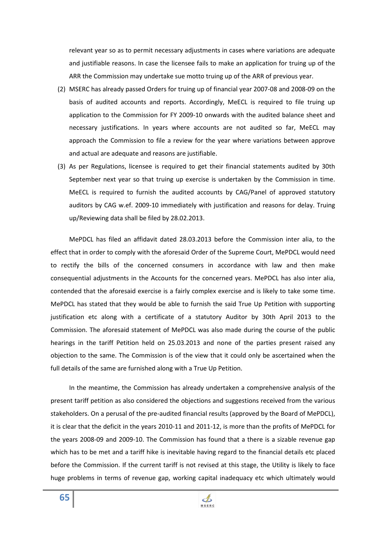relevant year so as to permit necessary adjustments in cases where variations are adequate and justifiable reasons. In case the licensee fails to make an application for truing up of the ARR the Commission may undertake sue motto truing up of the ARR of previous year.

- (2) MSERC has already passed Orders for truing up of financial year 2007-08 and 2008-09 on the basis of audited accounts and reports. Accordingly, MeECL is required to file truing up application to the Commission for FY 2009-10 onwards with the audited balance sheet and necessary justifications. In years where accounts are not audited so far, MeECL may approach the Commission to file a review for the year where variations between approve and actual are adequate and reasons are justifiable.
- (3) As per Regulations, licensee is required to get their financial statements audited by 30th September next year so that truing up exercise is undertaken by the Commission in time. MeECL is required to furnish the audited accounts by CAG/Panel of approved statutory auditors by CAG w.ef. 2009-10 immediately with justification and reasons for delay. Truing up/Reviewing data shall be filed by 28.02.2013.

MePDCL has filed an affidavit dated 28.03.2013 before the Commission inter alia, to the effect that in order to comply with the aforesaid Order of the Supreme Court, MePDCL would need to rectify the bills of the concerned consumers in accordance with law and then make consequential adjustments in the Accounts for the concerned years. MePDCL has also inter alia, contended that the aforesaid exercise is a fairly complex exercise and is likely to take some time. MePDCL has stated that they would be able to furnish the said True Up Petition with supporting justification etc along with a certificate of a statutory Auditor by 30th April 2013 to the Commission. The aforesaid statement of MePDCL was also made during the course of the public hearings in the tariff Petition held on 25.03.2013 and none of the parties present raised any objection to the same. The Commission is of the view that it could only be ascertained when the full details of the same are furnished along with a True Up Petition.

In the meantime, the Commission has already undertaken a comprehensive analysis of the present tariff petition as also considered the objections and suggestions received from the various stakeholders. On a perusal of the pre-audited financial results (approved by the Board of MePDCL), it is clear that the deficit in the years 2010-11 and 2011-12, is more than the profits of MePDCL for the years 2008-09 and 2009-10. The Commission has found that a there is a sizable revenue gap which has to be met and a tariff hike is inevitable having regard to the financial details etc placed before the Commission. If the current tariff is not revised at this stage, the Utility is likely to face huge problems in terms of revenue gap, working capital inadequacy etc which ultimately would

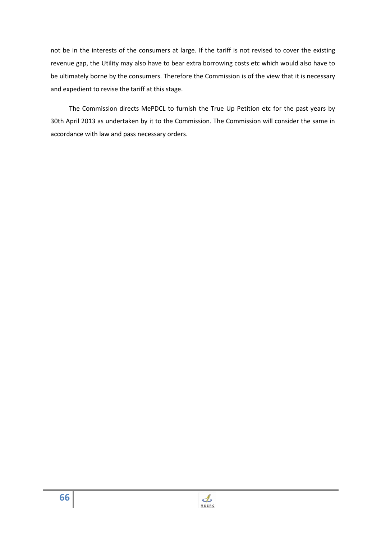not be in the interests of the consumers at large. If the tariff is not revised to cover the existing revenue gap, the Utility may also have to bear extra borrowing costs etc which would also have to be ultimately borne by the consumers. Therefore the Commission is of the view that it is necessary and expedient to revise the tariff at this stage.

The Commission directs MePDCL to furnish the True Up Petition etc for the past years by 30th April 2013 as undertaken by it to the Commission. The Commission will consider the same in accordance with law and pass necessary orders.

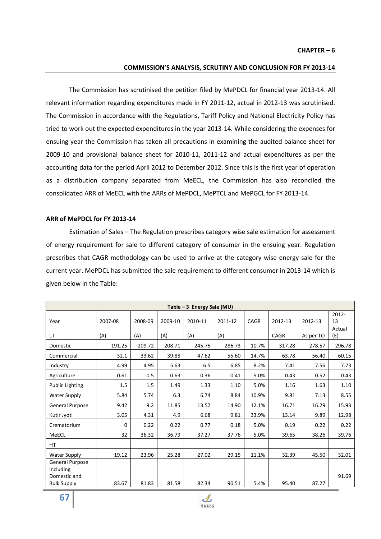### **COMMISSION'S ANALYSIS, SCRUTINY AND CONCLUSION FOR FY 2013-14**

The Commission has scrutinised the petition filed by MePDCL for financial year 2013-14. All relevant information regarding expenditures made in FY 2011-12, actual in 2012-13 was scrutinised. The Commission in accordance with the Regulations, Tariff Policy and National Electricity Policy has tried to work out the expected expenditures in the year 2013-14. While considering the expenses for ensuing year the Commission has taken all precautions in examining the audited balance sheet for 2009-10 and provisional balance sheet for 2010-11, 2011-12 and actual expenditures as per the accounting data for the period April 2012 to December 2012. Since this is the first year of operation as a distribution company separated from MeECL, the Commission has also reconciled the consolidated ARR of MeECL with the ARRs of MePDCL, MePTCL and MePGCL for FY 2013-14.

### **ARR of MePDCL for FY 2013-14**

Estimation of Sales – The Regulation prescribes category wise sale estimation for assessment of energy requirement for sale to different category of consumer in the ensuing year. Regulation prescribes that CAGR methodology can be used to arrive at the category wise energy sale for the current year. MePDCL has submitted the sale requirement to different consumer in 2013-14 which is given below in the Table:

| Table $-3$ Energy Sale (MU) |         |         |         |         |             |         |           |                |  |
|-----------------------------|---------|---------|---------|---------|-------------|---------|-----------|----------------|--|
| 2007-08                     | 2008-09 | 2009-10 | 2010-11 | 2011-12 | <b>CAGR</b> | 2012-13 | 2012-13   | $2012 -$<br>13 |  |
| (A)                         | (A)     | (A)     | (A)     | (A)     |             | CAGR    | As per TO | Actual<br>(E)  |  |
| 191.25                      | 209.72  | 208.71  | 245.75  | 286.73  | 10.7%       | 317.28  | 278.57    | 296.78         |  |
| 32.1                        | 33.62   | 39.88   | 47.62   | 55.60   | 14.7%       | 63.78   | 56.40     | 60.15          |  |
| 4.99                        | 4.95    | 5.63    | 6.5     | 6.85    | 8.2%        | 7.41    | 7.56      | 7.73           |  |
| 0.61                        | 0.5     | 0.63    | 0.36    | 0.41    | 5.0%        | 0.43    | 0.52      | 0.43           |  |
| 1.5                         | 1.5     | 1.49    | 1.33    | 1.10    | 5.0%        | 1.16    | 1.63      | 1.10           |  |
| 5.84                        | 5.74    | 6.3     | 6.74    | 8.84    | 10.9%       | 9.81    | 7.13      | 8.55           |  |
| 9.42                        | 9.2     | 11.85   | 13.57   | 14.90   | 12.1%       | 16.71   | 16.29     | 15.93          |  |
| 3.05                        | 4.31    | 4.9     | 6.68    | 9.81    | 33.9%       | 13.14   | 9.89      | 12.98          |  |
| 0                           | 0.22    | 0.22    | 0.77    | 0.18    | 5.0%        | 0.19    | 0.22      | 0.22           |  |
| 32                          | 36.32   | 36.79   | 37.27   | 37.76   | 5.0%        | 39.65   | 38.26     | 39.76          |  |
|                             |         |         |         |         |             |         |           |                |  |
| 19.12                       | 23.96   | 25.28   | 27.02   | 29.15   | 11.1%       | 32.39   | 45.50     | 32.01          |  |
|                             |         |         |         |         |             |         |           | 91.69          |  |
|                             | 83.67   | 81.83   | 81.58   | 82.34   | 90.51       | 5.4%    | 95.40     | 87.27          |  |

 $\mathbf{\mathcal{L}}$ **MSERC**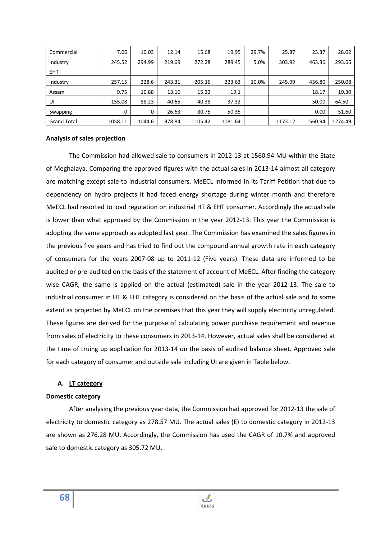| Commercial         | 7.06     | 10.03  | 12.14  | 15.68   | 19.95   | 29.7% | 25.87   | 23.37   | 28.02   |
|--------------------|----------|--------|--------|---------|---------|-------|---------|---------|---------|
| Industry           | 245.52   | 294.99 | 219.69 | 272.28  | 289.45  | 5.0%  | 303.92  | 463.36  | 293.66  |
| <b>EHT</b>         |          |        |        |         |         |       |         |         |         |
| Industry           | 257.15   | 228.6  | 243.31 | 205.16  | 223.63  | 10.0% | 245.99  | 456.80  | 250.08  |
| Assam              | 9.75     | 10.88  | 13.16  | 15.22   | 19.1    |       |         | 18.17   | 19.30   |
| UI                 | 155.08   | 88.23  | 40.65  | 40.38   | 37.32   |       |         | 50.00   | 64.50   |
| Swapping           | $\Omega$ | 0      | 26.63  | 80.75   | 50.35   |       |         | 0.00    | 51.60   |
| <b>Grand Total</b> | 1058.11  | 1044.6 | 978.84 | 1105.42 | 1181.64 |       | 1173.12 | 1560.94 | 1274.49 |

## **Analysis of sales projection**

 The Commission had allowed sale to consumers in 2012-13 at 1560.94 MU within the State of Meghalaya. Comparing the approved figures with the actual sales in 2013-14 almost all category are matching except sale to industrial consumers. MeECL informed in its Tariff Petition that due to dependency on hydro projects it had faced energy shortage during winter month and therefore MeECL had resorted to load regulation on industrial HT & EHT consumer. Accordingly the actual sale is lower than what approved by the Commission in the year 2012-13. This year the Commission is adopting the same approach as adopted last year. The Commission has examined the sales figures in the previous five years and has tried to find out the compound annual growth rate in each category of consumers for the years 2007-08 up to 2011-12 (Five years). These data are informed to be audited or pre-audited on the basis of the statement of account of MeECL. After finding the category wise CAGR, the same is applied on the actual (estimated) sale in the year 2012-13. The sale to industrial consumer in HT & EHT category is considered on the basis of the actual sale and to some extent as projected by MeECL on the premises that this year they will supply electricity unregulated. These figures are derived for the purpose of calculating power purchase requirement and revenue from sales of electricity to these consumers in 2013-14. However, actual sales shall be considered at the time of truing up application for 2013-14 on the basis of audited balance sheet. Approved sale for each category of consumer and outside sale including UI are given in Table below.

## **A. LT category**

### **Domestic category**

 After analysing the previous year data, the Commission had approved for 2012-13 the sale of electricity to domestic category as 278.57 MU. The actual sales (E) to domestic category in 2012-13 are shown as 276.28 MU. Accordingly, the Commission has used the CAGR of 10.7% and approved sale to domestic category as 305.72 MU.

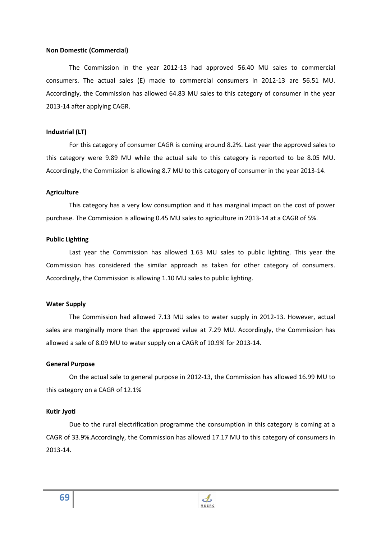### **Non Domestic (Commercial)**

 The Commission in the year 2012-13 had approved 56.40 MU sales to commercial consumers. The actual sales (E) made to commercial consumers in 2012-13 are 56.51 MU. Accordingly, the Commission has allowed 64.83 MU sales to this category of consumer in the year 2013-14 after applying CAGR.

## **Industrial (LT)**

 For this category of consumer CAGR is coming around 8.2%. Last year the approved sales to this category were 9.89 MU while the actual sale to this category is reported to be 8.05 MU. Accordingly, the Commission is allowing 8.7 MU to this category of consumer in the year 2013-14.

### **Agriculture**

 This category has a very low consumption and it has marginal impact on the cost of power purchase. The Commission is allowing 0.45 MU sales to agriculture in 2013-14 at a CAGR of 5%.

## **Public Lighting**

 Last year the Commission has allowed 1.63 MU sales to public lighting. This year the Commission has considered the similar approach as taken for other category of consumers. Accordingly, the Commission is allowing 1.10 MU sales to public lighting.

### **Water Supply**

 The Commission had allowed 7.13 MU sales to water supply in 2012-13. However, actual sales are marginally more than the approved value at 7.29 MU. Accordingly, the Commission has allowed a sale of 8.09 MU to water supply on a CAGR of 10.9% for 2013-14.

### **General Purpose**

 On the actual sale to general purpose in 2012-13, the Commission has allowed 16.99 MU to this category on a CAGR of 12.1%

### **Kutir Jyoti**

 Due to the rural electrification programme the consumption in this category is coming at a CAGR of 33.9%.Accordingly, the Commission has allowed 17.17 MU to this category of consumers in 2013-14.

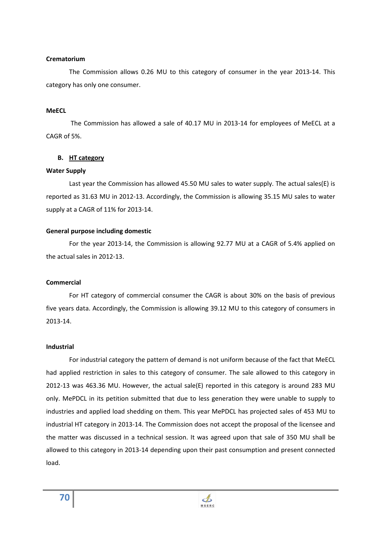## **Crematorium**

 The Commission allows 0.26 MU to this category of consumer in the year 2013-14. This category has only one consumer.

## **MeECL**

 The Commission has allowed a sale of 40.17 MU in 2013-14 for employees of MeECL at a CAGR of 5%.

## **B. HT category**

### **Water Supply**

 Last year the Commission has allowed 45.50 MU sales to water supply. The actual sales(E) is reported as 31.63 MU in 2012-13. Accordingly, the Commission is allowing 35.15 MU sales to water supply at a CAGR of 11% for 2013-14.

## **General purpose including domestic**

 For the year 2013-14, the Commission is allowing 92.77 MU at a CAGR of 5.4% applied on the actual sales in 2012-13.

### **Commercial**

For HT category of commercial consumer the CAGR is about 30% on the basis of previous five years data. Accordingly, the Commission is allowing 39.12 MU to this category of consumers in 2013-14.

## **Industrial**

For industrial category the pattern of demand is not uniform because of the fact that MeECL had applied restriction in sales to this category of consumer. The sale allowed to this category in 2012-13 was 463.36 MU. However, the actual sale(E) reported in this category is around 283 MU only. MePDCL in its petition submitted that due to less generation they were unable to supply to industries and applied load shedding on them. This year MePDCL has projected sales of 453 MU to industrial HT category in 2013-14. The Commission does not accept the proposal of the licensee and the matter was discussed in a technical session. It was agreed upon that sale of 350 MU shall be allowed to this category in 2013-14 depending upon their past consumption and present connected load.

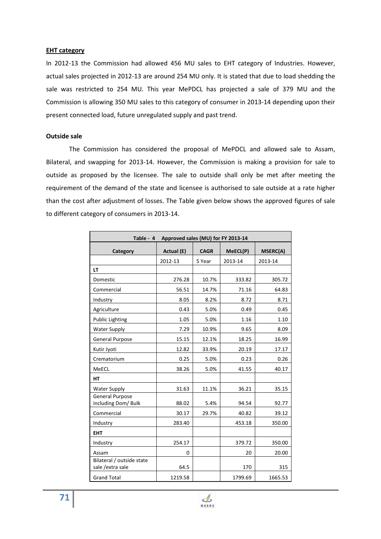## **EHT category**

In 2012-13 the Commission had allowed 456 MU sales to EHT category of Industries. However, actual sales projected in 2012-13 are around 254 MU only. It is stated that due to load shedding the sale was restricted to 254 MU. This year MePDCL has projected a sale of 379 MU and the Commission is allowing 350 MU sales to this category of consumer in 2013-14 depending upon their present connected load, future unregulated supply and past trend.

## **Outside sale**

 The Commission has considered the proposal of MePDCL and allowed sale to Assam, Bilateral, and swapping for 2013-14. However, the Commission is making a provision for sale to outside as proposed by the licensee. The sale to outside shall only be met after meeting the requirement of the demand of the state and licensee is authorised to sale outside at a rate higher than the cost after adjustment of losses. The Table given below shows the approved figures of sale to different category of consumers in 2013-14.

| Approved sales (MU) for FY 2013-14<br>Table - 4 |            |             |          |                 |  |  |
|-------------------------------------------------|------------|-------------|----------|-----------------|--|--|
| Category                                        | Actual (E) | <b>CAGR</b> | MeECL(P) | <b>MSERC(A)</b> |  |  |
|                                                 | 2012-13    | 5 Year      | 2013-14  | 2013-14         |  |  |
| LT                                              |            |             |          |                 |  |  |
| Domestic                                        | 276.28     | 10.7%       | 333.82   | 305.72          |  |  |
| Commercial                                      | 56.51      | 14.7%       | 71.16    | 64.83           |  |  |
| Industry                                        | 8.05       | 8.2%        | 8.72     | 8.71            |  |  |
| Agriculture                                     | 0.43       | 5.0%        | 0.49     | 0.45            |  |  |
| <b>Public Lighting</b>                          | 1.05       | 5.0%        | 1.16     | 1.10            |  |  |
| <b>Water Supply</b>                             | 7.29       | 10.9%       | 9.65     | 8.09            |  |  |
| General Purpose                                 | 15.15      | 12.1%       | 18.25    | 16.99           |  |  |
| Kutir Jyoti                                     | 12.82      | 33.9%       | 20.19    | 17.17           |  |  |
| Crematorium                                     | 0.25       | 5.0%        | 0.23     | 0.26            |  |  |
| MeECL                                           | 38.26      | 5.0%        | 41.55    | 40.17           |  |  |
| HT                                              |            |             |          |                 |  |  |
| <b>Water Supply</b>                             | 31.63      | 11.1%       | 36.21    | 35.15           |  |  |
| <b>General Purpose</b><br>including Dom/ Bulk   | 88.02      | 5.4%        | 94.54    | 92.77           |  |  |
| Commercial                                      | 30.17      | 29.7%       | 40.82    | 39.12           |  |  |
| Industry                                        | 283.40     |             | 453.18   | 350.00          |  |  |
| <b>EHT</b>                                      |            |             |          |                 |  |  |
| Industry                                        | 254.17     |             | 379.72   | 350.00          |  |  |
| Assam                                           | 0          |             | 20       | 20.00           |  |  |
| Bilateral / outside state<br>sale /extra sale   | 64.5       |             | 170      | 315             |  |  |
| <b>Grand Total</b>                              | 1219.58    |             | 1799.69  | 1665.53         |  |  |

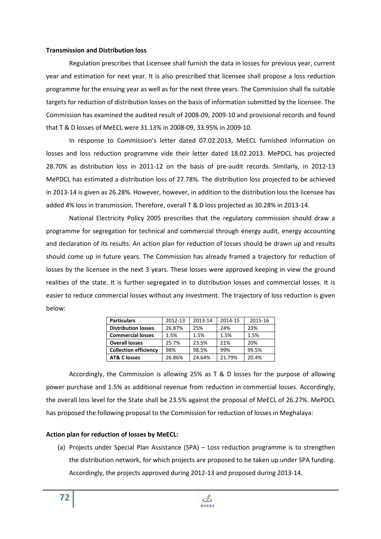## **Transmission and Distribution loss**

 Regulation prescribes that Licensee shall furnish the data in losses for previous year, current year and estimation for next year. It is also prescribed that licensee shall propose a loss reduction programme for the ensuing year as well as for the next three years. The Commission shall fix suitable targets for reduction of distribution losses on the basis of information submitted by the licensee. The Commission has examined the audited result of 2008-09, 2009-10 and provisional records and found that T & D losses of MeECL were 31.13% in 2008-09, 33.95% in 2009-10.

 In response to Commission's letter dated 07.02.2013, MeECL furnished information on losses and loss reduction programme vide their letter dated 18.02.2013. MePDCL has projected 28.70% as distribution loss in 2011-12 on the basis of pre-audit records. Similarly, in 2012-13 MePDCL has estimated a distribution loss of 27.78%. The distribution loss projected to be achieved in 2013-14 is given as 26.28%. However, however, in addition to the distribution loss the licensee has added 4% loss in transmission. Therefore, overall T & D loss projected as 30.28% in 2013-14.

 National Electricity Policy 2005 prescribes that the regulatory commission should draw a programme for segregation for technical and commercial through energy audit, energy accounting and declaration of its results. An action plan for reduction of losses should be drawn up and results should come up in future years. The Commission has already framed a trajectory for reduction of losses by the licensee in the next 3 years. These losses were approved keeping in view the ground realities of the state. It is further segregated in to distribution losses and commercial losses. It is easier to reduce commercial losses without any investment. The trajectory of loss reduction is given below:

| <b>Particulars</b>           | 2012-13 | 2013-14    | 2014-15 | 2015-16 |  |
|------------------------------|---------|------------|---------|---------|--|
| <b>Distribution losses</b>   | 26.87%  | 24%<br>25% |         | 23%     |  |
| <b>Commercial losses</b>     | 1.5%    | 1.5%       | 1.5%    | 1.5%    |  |
| <b>Overall losses</b>        | 25.7%   | 23.5%      | 21%     | 20%     |  |
| <b>Collection efficiency</b> | 98%     | 98.5%      | 99%     | 99.5%   |  |
| <b>AT&amp; C losses</b>      | 26.86%  | 24.64%     | 21.79%  | 20.4%   |  |

 Accordingly, the Commission is allowing 25% as T & D losses for the purpose of allowing power purchase and 1.5% as additional revenue from reduction in commercial losses. Accordingly, the overall loss level for the State shall be 23.5% against the proposal of MeECL of 26.27%. MePDCL has proposed the following proposal to the Commission for reduction of losses in Meghalaya:

## **Action plan for reduction of losses by MeECL:**

(a) Projects under Special Plan Assistance (SPA) – Loss reduction programme is to strengthen the distribution network, for which projects are proposed to be taken up under SPA funding. Accordingly, the projects approved during 2012-13 and proposed during 2013-14.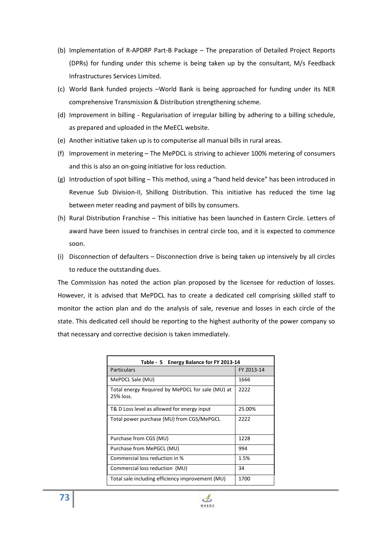- (b) Implementation of R-APDRP Part-B Package The preparation of Detailed Project Reports (DPRs) for funding under this scheme is being taken up by the consultant, M/s Feedback Infrastructures Services Limited.
- (c) World Bank funded projects –World Bank is being approached for funding under its NER comprehensive Transmission & Distribution strengthening scheme.
- (d) Improvement in billing Regularisation of irregular billing by adhering to a billing schedule, as prepared and uploaded in the MeECL website.
- (e) Another initiative taken up is to computerise all manual bills in rural areas.
- (f) Improvement in metering The MePDCL is striving to achiever 100% metering of consumers and this is also an on-going initiative for loss reduction.
- (g) Introduction of spot billing This method, using a "hand held device" has been introduced in Revenue Sub Division-II, Shillong Distribution. This initiative has reduced the time lag between meter reading and payment of bills by consumers.
- (h) Rural Distribution Franchise This initiative has been launched in Eastern Circle. Letters of award have been issued to franchises in central circle too, and it is expected to commence soon.
- (i) Disconnection of defaulters Disconnection drive is being taken up intensively by all circles to reduce the outstanding dues.

The Commission has noted the action plan proposed by the licensee for reduction of losses. However, it is advised that MePDCL has to create a dedicated cell comprising skilled staff to monitor the action plan and do the analysis of sale, revenue and losses in each circle of the state. This dedicated cell should be reporting to the highest authority of the power company so that necessary and corrective decision is taken immediately.

| Table - 5 Energy Balance for FY 2013-14                       |            |  |  |  |
|---------------------------------------------------------------|------------|--|--|--|
| <b>Particulars</b>                                            | FY 2013-14 |  |  |  |
| MePDCL Sale (MU)                                              | 1666       |  |  |  |
| Total energy Required by MePDCL for sale (MU) at<br>25% loss. | 2222       |  |  |  |
| T& D Loss level as allowed for energy input                   | 25.00%     |  |  |  |
| Total power purchase (MU) from CGS/MePGCL                     | 2222       |  |  |  |
| Purchase from CGS (MU)                                        | 1228       |  |  |  |
| Purchase from MePGCL (MU)                                     | 994        |  |  |  |
| Commercial loss reduction in %                                | 1.5%       |  |  |  |
| Commercial loss reduction (MU)                                | 34         |  |  |  |
| Total sale including efficiency improvement (MU)              | 1700       |  |  |  |

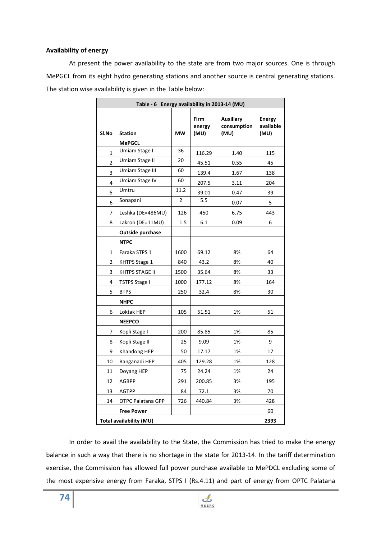#### **Availability of energy**

 At present the power availability to the state are from two major sources. One is through MePGCL from its eight hydro generating stations and another source is central generating stations. The station wise availability is given in the Table below:

| Table - 6 Energy availability in 2013-14 (MU) |                      |                |                        |                                         |                                    |
|-----------------------------------------------|----------------------|----------------|------------------------|-----------------------------------------|------------------------------------|
| SI.No                                         | <b>Station</b>       | <b>MW</b>      | Firm<br>energy<br>(MU) | <b>Auxiliary</b><br>consumption<br>(MU) | <b>Energy</b><br>available<br>(MU) |
|                                               | <b>MePGCL</b>        |                |                        |                                         |                                    |
| 1                                             | Umiam Stage I        | 36             | 116.29                 | 1.40                                    | 115                                |
| $\overline{2}$                                | Umiam Stage II       | 20             | 45.51                  | 0.55                                    | 45                                 |
| 3                                             | Umiam Stage III      | 60             | 139.4                  | 1.67                                    | 138                                |
| 4                                             | Umiam Stage IV       | 60             | 207.5                  | 3.11                                    | 204                                |
| 5                                             | Umtru                | 11.2           | 39.01                  | 0.47                                    | 39                                 |
| 6                                             | Sonapani             | $\overline{2}$ | 5.5                    | 0.07                                    | 5                                  |
| 7                                             | Leshka (DE=486MU)    | 126            | 450                    | 6.75                                    | 443                                |
| 8                                             | Lakroh (DE=11MU)     | 1.5            | 6.1                    | 0.09                                    | 6                                  |
|                                               | Outside purchase     |                |                        |                                         |                                    |
|                                               | <b>NTPC</b>          |                |                        |                                         |                                    |
| 1                                             | Faraka STPS 1        | 1600           | 69.12                  | 8%                                      | 64                                 |
| 2                                             | KHTPS Stage 1        | 840            | 43.2                   | 8%                                      | 40                                 |
| 3                                             | KHTPS STAGE ii       | 1500           | 35.64                  | 8%                                      | 33                                 |
| 4                                             | <b>TSTPS Stage I</b> | 1000           | 177.12                 | 8%                                      | 164                                |
| 5                                             | <b>BTPS</b>          | 250            | 32.4                   | 8%                                      | 30                                 |
|                                               | <b>NHPC</b>          |                |                        |                                         |                                    |
| 6                                             | Loktak HEP           | 105            | 51.51                  | 1%                                      | 51                                 |
|                                               | <b>NEEPCO</b>        |                |                        |                                         |                                    |
| 7                                             | Kopli Stage I        | 200            | 85.85                  | 1%                                      | 85                                 |
| 8                                             | Kopli Stage II       | 25             | 9.09                   | 1%                                      | 9                                  |
| 9                                             | Khandong HEP         | 50             | 17.17                  | 1%                                      | 17                                 |
| 10                                            | Ranganadi HEP        | 405            | 129.28                 | 1%                                      | 128                                |
| 11                                            | Doyang HEP           | 75             | 24.24                  | 1%                                      | 24                                 |
| 12                                            | <b>AGBPP</b>         | 291            | 200.85                 | 3%                                      | 195                                |
| 13                                            | AGTPP                | 84             | 72.1                   | 3%                                      | 70                                 |
| 14                                            | OTPC Palatana GPP    | 726            | 440.84                 | 3%                                      | 428                                |
|                                               | <b>Free Power</b>    |                |                        |                                         | 60                                 |
| Total availability (MU)                       |                      |                |                        |                                         |                                    |

In order to avail the availability to the State, the Commission has tried to make the energy balance in such a way that there is no shortage in the state for 2013-14. In the tariff determination exercise, the Commission has allowed full power purchase available to MePDCL excluding some of the most expensive energy from Faraka, STPS I (Rs.4.11) and part of energy from OPTC Palatana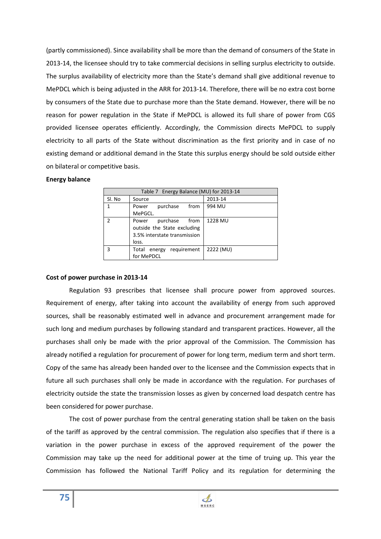(partly commissioned). Since availability shall be more than the demand of consumers of the State in 2013-14, the licensee should try to take commercial decisions in selling surplus electricity to outside. The surplus availability of electricity more than the State's demand shall give additional revenue to MePDCL which is being adjusted in the ARR for 2013-14. Therefore, there will be no extra cost borne by consumers of the State due to purchase more than the State demand. However, there will be no reason for power regulation in the State if MePDCL is allowed its full share of power from CGS provided licensee operates efficiently. Accordingly, the Commission directs MePDCL to supply electricity to all parts of the State without discrimination as the first priority and in case of no existing demand or additional demand in the State this surplus energy should be sold outside either on bilateral or competitive basis.

### **Energy balance**

|        | Table 7 Energy Balance (MU) for 2013-14 |           |
|--------|-----------------------------------------|-----------|
| Sl. No | Source                                  | 2013-14   |
|        | purchase<br>from<br>Power               | 994 MU    |
|        | MePGCL.                                 |           |
|        | purchase<br>from<br>Power               | 1228 MU   |
|        | outside the State excluding             |           |
|        | 3.5% interstate transmission            |           |
|        | loss.                                   |           |
|        | requirement<br>Total<br>energy          | 2222 (MU) |
|        | for MePDCL                              |           |

## **Cost of power purchase in 2013-14**

 Regulation 93 prescribes that licensee shall procure power from approved sources. Requirement of energy, after taking into account the availability of energy from such approved sources, shall be reasonably estimated well in advance and procurement arrangement made for such long and medium purchases by following standard and transparent practices. However, all the purchases shall only be made with the prior approval of the Commission. The Commission has already notified a regulation for procurement of power for long term, medium term and short term. Copy of the same has already been handed over to the licensee and the Commission expects that in future all such purchases shall only be made in accordance with the regulation. For purchases of electricity outside the state the transmission losses as given by concerned load despatch centre has been considered for power purchase.

 The cost of power purchase from the central generating station shall be taken on the basis of the tariff as approved by the central commission. The regulation also specifies that if there is a variation in the power purchase in excess of the approved requirement of the power the Commission may take up the need for additional power at the time of truing up. This year the Commission has followed the National Tariff Policy and its regulation for determining the

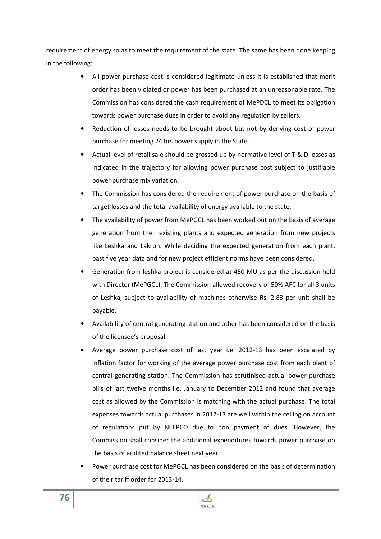requirement of energy so as to meet the requirement of the state. The same has been done keeping in the following:

- All power purchase cost is considered legitimate unless it is established that merit order has been violated or power has been purchased at an unreasonable rate. The Commission has considered the cash requirement of MePDCL to meet its obligation towards power purchase dues in order to avoid any regulation by sellers.
- Reduction of losses needs to be brought about but not by denying cost of power purchase for meeting 24 hrs power supply in the State.
- Actual level of retail sale should be grossed up by normative level of T & D losses as indicated in the trajectory for allowing power purchase cost subject to justifiable power purchase mix variation.
- The Commission has considered the requirement of power purchase on the basis of target losses and the total availability of energy available to the state.
- The availability of power from MePGCL has been worked out on the basis of average generation from their existing plants and expected generation from new projects like Leshka and Lakroh. While deciding the expected generation from each plant, past five year data and for new project efficient norms have been considered.
- Generation from leshka project is considered at 450 MU as per the discussion held with Director (MePGCL). The Commission allowed recovery of 50% AFC for all 3 units of Leshka, subject to availability of machines otherwise Rs. 2.83 per unit shall be payable.
- Availability of central generating station and other has been considered on the basis of the licensee's proposal.
- Average power purchase cost of last year i.e. 2012-13 has been escalated by inflation factor for working of the average power purchase cost from each plant of central generating station. The Commission has scrutinised actual power purchase bills of last twelve months i.e. January to December 2012 and found that average cost as allowed by the Commission is matching with the actual purchase. The total expenses towards actual purchases in 2012-13 are well within the ceiling on account of regulations put by NEEPCO due to non payment of dues. However, the Commission shall consider the additional expenditures towards power purchase on the basis of audited balance sheet next year.
- Power purchase cost for MePGCL has been considered on the basis of determination of their tariff order for 2013-14.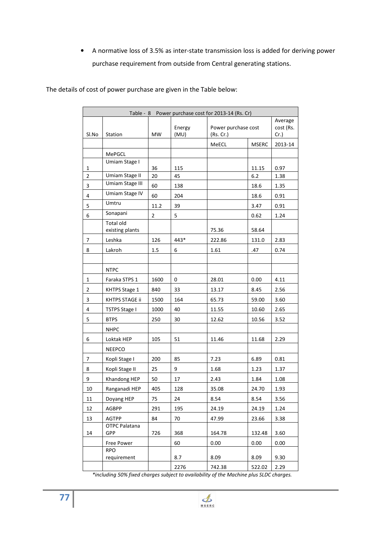• A normative loss of 3.5% as inter-state transmission loss is added for deriving power purchase requirement from outside from Central generating stations.

The details of cost of power purchase are given in the Table below:

|                | Table - 8 Power purchase cost for 2013-14 (Rs. Cr) |                |                |                                  |              |                                 |
|----------------|----------------------------------------------------|----------------|----------------|----------------------------------|--------------|---------------------------------|
| Sl.No          | Station                                            | <b>MW</b>      | Energy<br>(MU) | Power purchase cost<br>(Rs. Cr.) |              | Average<br>cost (Rs.<br>$Cr.$ ) |
|                |                                                    |                |                | MeECL                            | <b>MSERC</b> | 2013-14                         |
|                | MePGCL                                             |                |                |                                  |              |                                 |
| 1              | Umiam Stage I                                      | 36             | 115            |                                  | 11.15        | 0.97                            |
| $\overline{2}$ | Umiam Stage II                                     | 20             | 45             |                                  | 6.2          | 1.38                            |
| 3              | Umiam Stage III                                    | 60             | 138            |                                  | 18.6         | 1.35                            |
| 4              | Umiam Stage IV                                     | 60             | 204            |                                  | 18.6         | 0.91                            |
| 5              | Umtru                                              | 11.2           | 39             |                                  | 3.47         | 0.91                            |
| 6              | Sonapani                                           | $\overline{2}$ | 5              |                                  | 0.62         | 1.24                            |
|                | <b>Total old</b><br>existing plants                |                |                | 75.36                            | 58.64        |                                 |
| 7              | Leshka                                             | 126            | 443*           | 222.86                           | 131.0        | 2.83                            |
| 8              | Lakroh                                             | 1.5            | 6              | 1.61                             | .47          | 0.74                            |
|                |                                                    |                |                |                                  |              |                                 |
|                | <b>NTPC</b>                                        |                |                |                                  |              |                                 |
| 1              | Faraka STPS 1                                      | 1600           | 0              | 28.01                            | 0.00         | 4.11                            |
| $\overline{2}$ | KHTPS Stage 1                                      | 840            | 33             | 13.17                            | 8.45         | 2.56                            |
| 3              | KHTPS STAGE ii                                     | 1500           | 164            | 65.73                            | 59.00        | 3.60                            |
| 4              | <b>TSTPS Stage I</b>                               | 1000           | 40             | 11.55                            | 10.60        | 2.65                            |
| 5              | <b>BTPS</b>                                        | 250            | 30             | 12.62                            | 10.56        | 3.52                            |
|                | <b>NHPC</b>                                        |                |                |                                  |              |                                 |
| 6              | Loktak HEP                                         | 105            | 51             | 11.46                            | 11.68        | 2.29                            |
|                | <b>NEEPCO</b>                                      |                |                |                                  |              |                                 |
| 7              | Kopli Stage I                                      | 200            | 85             | 7.23                             | 6.89         | 0.81                            |
| 8              | Kopli Stage II                                     | 25             | 9              | 1.68                             | 1.23         | 1.37                            |
| 9              | Khandong HEP                                       | 50             | 17             | 2.43                             | 1.84         | 1.08                            |
| 10             | Ranganadi HEP                                      | 405            | 128            | 35.08                            | 24.70        | 1.93                            |
| 11             | Doyang HEP                                         | 75             | 24             | 8.54                             | 8.54         | 3.56                            |
| 12             | AGBPP                                              | 291            | 195            | 24.19                            | 24.19        | 1.24                            |
| 13             | AGTPP                                              | 84             | 70             | 47.99                            | 23.66        | 3.38                            |
| 14             | OTPC Palatana<br>GPP                               | 726            | 368            | 164.78                           | 132.48       | 3.60                            |
|                | Free Power                                         |                | 60             | 0.00                             | 0.00         | 0.00                            |
|                | <b>RPO</b><br>requirement                          |                | 8.7            | 8.09                             | 8.09         | 9.30                            |
|                |                                                    |                | 2276           | 742.38                           | 522.02       | 2.29                            |

*\*including 50% fixed charges subject to availability of the Machine plus SLDC charges.* 

 $\clubsuit$ **MSERC**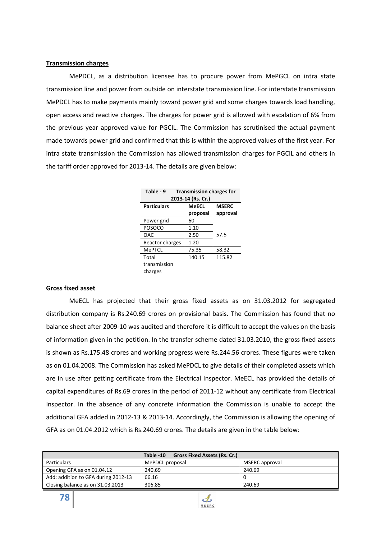#### **Transmission charges**

 MePDCL, as a distribution licensee has to procure power from MePGCL on intra state transmission line and power from outside on interstate transmission line. For interstate transmission MePDCL has to make payments mainly toward power grid and some charges towards load handling, open access and reactive charges. The charges for power grid is allowed with escalation of 6% from the previous year approved value for PGCIL. The Commission has scrutinised the actual payment made towards power grid and confirmed that this is within the approved values of the first year. For intra state transmission the Commission has allowed transmission charges for PGCIL and others in the tariff order approved for 2013-14. The details are given below:

| Table - 9<br><b>Transmission charges for</b><br>2013-14 (Rs. Cr.) |          |              |  |  |  |
|-------------------------------------------------------------------|----------|--------------|--|--|--|
| <b>Particulars</b>                                                | MeECL    | <b>MSERC</b> |  |  |  |
|                                                                   | proposal | approval     |  |  |  |
| Power grid                                                        | 60       |              |  |  |  |
| POSOCO                                                            | 1.10     |              |  |  |  |
| <b>OAC</b>                                                        | 2.50     | 57.5         |  |  |  |
| Reactor charges                                                   | 1.20     |              |  |  |  |
| MePTCL                                                            | 75.35    | 58.32        |  |  |  |
| Total                                                             | 140.15   | 115.82       |  |  |  |
| transmission                                                      |          |              |  |  |  |
| charges                                                           |          |              |  |  |  |

#### **Gross fixed asset**

MeECL has projected that their gross fixed assets as on 31.03.2012 for segregated distribution company is Rs.240.69 crores on provisional basis. The Commission has found that no balance sheet after 2009-10 was audited and therefore it is difficult to accept the values on the basis of information given in the petition. In the transfer scheme dated 31.03.2010, the gross fixed assets is shown as Rs.175.48 crores and working progress were Rs.244.56 crores. These figures were taken as on 01.04.2008. The Commission has asked MePDCL to give details of their completed assets which are in use after getting certificate from the Electrical Inspector. MeECL has provided the details of capital expenditures of Rs.69 crores in the period of 2011-12 without any certificate from Electrical Inspector. In the absence of any concrete information the Commission is unable to accept the additional GFA added in 2012-13 & 2013-14. Accordingly, the Commission is allowing the opening of GFA as on 01.04.2012 which is Rs.240.69 crores. The details are given in the table below:

|                                     | <b>Gross Fixed Assets (Rs. Cr.)</b><br>Table -10 |                |
|-------------------------------------|--------------------------------------------------|----------------|
| <b>Particulars</b>                  | MePDCL proposal                                  | MSERC approval |
| Opening GFA as on 01.04.12          | 240.69                                           | 240.69         |
| Add: addition to GFA during 2012-13 | 66.16                                            |                |
| Closing balance as on 31.03.2013    | 306.85                                           | 240.69         |

 $\mathbf{\mathcal{L}}$ **MSERC**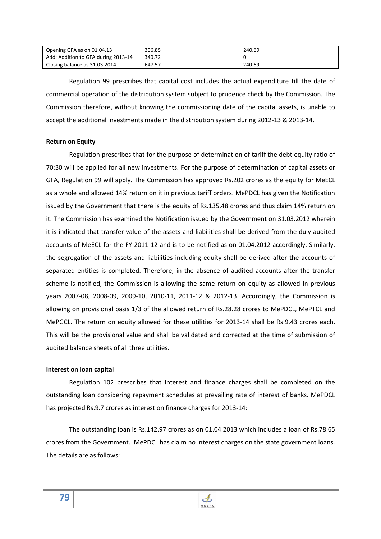| Opening GFA as on 01.04.13          | 306.85 | 240.69 |
|-------------------------------------|--------|--------|
| Add: Addition to GFA during 2013-14 | 340.72 |        |
| Closing balance as 31.03.2014       | 647.57 | 240.69 |

Regulation 99 prescribes that capital cost includes the actual expenditure till the date of commercial operation of the distribution system subject to prudence check by the Commission. The Commission therefore, without knowing the commissioning date of the capital assets, is unable to accept the additional investments made in the distribution system during 2012-13 & 2013-14.

## **Return on Equity**

 Regulation prescribes that for the purpose of determination of tariff the debt equity ratio of 70:30 will be applied for all new investments. For the purpose of determination of capital assets or GFA, Regulation 99 will apply. The Commission has approved Rs.202 crores as the equity for MeECL as a whole and allowed 14% return on it in previous tariff orders. MePDCL has given the Notification issued by the Government that there is the equity of Rs.135.48 crores and thus claim 14% return on it. The Commission has examined the Notification issued by the Government on 31.03.2012 wherein it is indicated that transfer value of the assets and liabilities shall be derived from the duly audited accounts of MeECL for the FY 2011-12 and is to be notified as on 01.04.2012 accordingly. Similarly, the segregation of the assets and liabilities including equity shall be derived after the accounts of separated entities is completed. Therefore, in the absence of audited accounts after the transfer scheme is notified, the Commission is allowing the same return on equity as allowed in previous years 2007-08, 2008-09, 2009-10, 2010-11, 2011-12 & 2012-13. Accordingly, the Commission is allowing on provisional basis 1/3 of the allowed return of Rs.28.28 crores to MePDCL, MePTCL and MePGCL. The return on equity allowed for these utilities for 2013-14 shall be Rs.9.43 crores each. This will be the provisional value and shall be validated and corrected at the time of submission of audited balance sheets of all three utilities.

#### **Interest on loan capital**

 Regulation 102 prescribes that interest and finance charges shall be completed on the outstanding loan considering repayment schedules at prevailing rate of interest of banks. MePDCL has projected Rs.9.7 crores as interest on finance charges for 2013-14:

 The outstanding loan is Rs.142.97 crores as on 01.04.2013 which includes a loan of Rs.78.65 crores from the Government. MePDCL has claim no interest charges on the state government loans. The details are as follows:

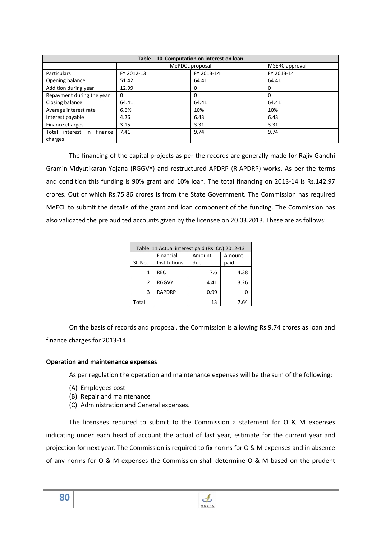| Table - 10 Computation on interest on loan |            |                 |                       |  |  |
|--------------------------------------------|------------|-----------------|-----------------------|--|--|
|                                            |            | MePDCL proposal | <b>MSERC</b> approval |  |  |
| Particulars                                | FY 2012-13 | FY 2013-14      | FY 2013-14            |  |  |
| Opening balance                            | 51.42      | 64.41           | 64.41                 |  |  |
| Addition during year                       | 12.99      | $\Omega$        | 0                     |  |  |
| Repayment during the year                  | 0          | $\Omega$        | 0                     |  |  |
| Closing balance                            | 64.41      | 64.41           | 64.41                 |  |  |
| Average interest rate                      | 6.6%       | 10%             | 10%                   |  |  |
| Interest payable                           | 4.26       | 6.43            | 6.43                  |  |  |
| Finance charges                            | 3.15       | 3.31            | 3.31                  |  |  |
| Total interest in finance                  | 7.41       | 9.74            | 9.74                  |  |  |
| charges                                    |            |                 |                       |  |  |

The financing of the capital projects as per the records are generally made for Rajiv Gandhi Gramin Vidyutikaran Yojana (RGGVY) and restructured APDRP (R-APDRP) works. As per the terms and condition this funding is 90% grant and 10% loan. The total financing on 2013-14 is Rs.142.97 crores. Out of which Rs.75.86 crores is from the State Government. The Commission has required MeECL to submit the details of the grant and loan component of the funding. The Commission has also validated the pre audited accounts given by the licensee on 20.03.2013. These are as follows:

| Table 11 Actual interest paid (Rs. Cr.) 2012-13 |                           |               |                |  |  |  |
|-------------------------------------------------|---------------------------|---------------|----------------|--|--|--|
| Sl. No.                                         | Financial<br>Institutions | Amount<br>due | Amount<br>paid |  |  |  |
| 1                                               | <b>REC</b>                | 7.6           | 4.38           |  |  |  |
| 2                                               | <b>RGGVY</b>              | 4.41          | 3.26           |  |  |  |
| 3                                               | <b>RAPDRP</b>             | 0.99          |                |  |  |  |
| Total                                           |                           | 13            | 7.64           |  |  |  |

On the basis of records and proposal, the Commission is allowing Rs.9.74 crores as loan and finance charges for 2013-14.

#### **Operation and maintenance expenses**

As per regulation the operation and maintenance expenses will be the sum of the following:

- (A) Employees cost
- (B) Repair and maintenance
- (C) Administration and General expenses.

The licensees required to submit to the Commission a statement for O & M expenses indicating under each head of account the actual of last year, estimate for the current year and projection for next year. The Commission is required to fix norms for O & M expenses and in absence of any norms for O & M expenses the Commission shall determine O & M based on the prudent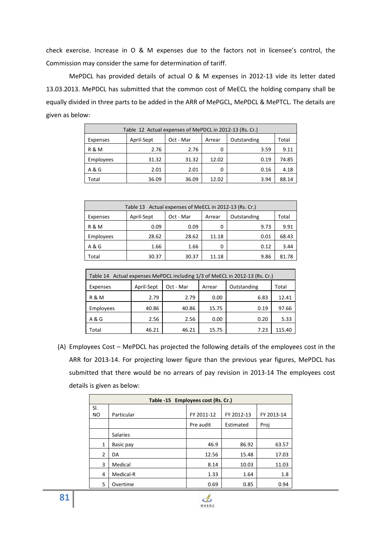check exercise. Increase in O & M expenses due to the factors not in licensee's control, the Commission may consider the same for determination of tariff.

MePDCL has provided details of actual O & M expenses in 2012-13 vide its letter dated 13.03.2013. MePDCL has submitted that the common cost of MeECL the holding company shall be equally divided in three parts to be added in the ARR of MePGCL, MePDCL & MePTCL. The details are given as below:

| Table 12 Actual expenses of MePDCL in 2012-13 (Rs. Cr.) |            |           |        |             |       |  |
|---------------------------------------------------------|------------|-----------|--------|-------------|-------|--|
| Expenses                                                | April-Sept | Oct - Mar | Arrear | Outstanding | Total |  |
| <b>R&amp;M</b>                                          | 2.76       | 2.76      | 0      | 3.59        | 9.11  |  |
| Employees                                               | 31.32      | 31.32     | 12.02  | 0.19        | 74.85 |  |
| A & G                                                   | 2.01       | 2.01      | 0      | 0.16        | 4.18  |  |
| Total                                                   | 36.09      | 36.09     | 12.02  | 3.94        | 88.14 |  |

| Table 13 Actual expenses of MeECL in 2012-13 (Rs. Cr.) |            |           |        |             |       |  |
|--------------------------------------------------------|------------|-----------|--------|-------------|-------|--|
| Expenses                                               | April-Sept | Oct - Mar | Arrear | Outstanding | Total |  |
| <b>R&amp;M</b>                                         | 0.09       | 0.09      | 0      | 9.73        | 9.91  |  |
| Employees                                              | 28.62      | 28.62     | 11.18  | 0.01        | 68.43 |  |
| A & G                                                  | 1.66       | 1.66      | 0      | 0.12        | 3.44  |  |
| Total                                                  | 30.37      | 30.37     | 11.18  | 9.86        | 81.78 |  |

| Table 14 Actual expenses MePDCL including 1/3 of MeECL in 2012-13 (Rs. Cr.) |            |           |        |             |        |
|-----------------------------------------------------------------------------|------------|-----------|--------|-------------|--------|
| Expenses                                                                    | April-Sept | Oct - Mar | Arrear | Outstanding | Total  |
| R & M                                                                       | 2.79       | 2.79      | 0.00   | 6.83        | 12.41  |
| Employees                                                                   | 40.86      | 40.86     | 15.75  | 0.19        | 97.66  |
| A & G                                                                       | 2.56       | 2.56      | 0.00   | 0.20        | 5.33   |
| Total                                                                       | 46.21      | 46.21     | 15.75  | 7.23        | 115.40 |

(A) Employees Cost – MePDCL has projected the following details of the employees cost in the ARR for 2013-14. For projecting lower figure than the previous year figures, MePDCL has submitted that there would be no arrears of pay revision in 2013-14 The employees cost details is given as below:

|     | Table -15 Employees cost (Rs. Cr.) |            |            |            |  |  |  |
|-----|------------------------------------|------------|------------|------------|--|--|--|
| SI. |                                    |            |            |            |  |  |  |
| NO. | Particular                         | FY 2011-12 | FY 2012-13 | FY 2013-14 |  |  |  |
|     |                                    | Pre audit  | Estimated  | Proj       |  |  |  |
|     | <b>Salaries</b>                    |            |            |            |  |  |  |
| 1   | Basic pay                          | 46.9       | 86.92      | 63.57      |  |  |  |
| 2   | DA                                 | 12.56      | 15.48      | 17.03      |  |  |  |
| 3   | Medical                            | 8.14       | 10.03      | 11.03      |  |  |  |
| 4   | Medical-R                          | 1.33       | 1.64       | 1.8        |  |  |  |
| 5   | Overtime                           | 0.69       | 0.85       | 0.94       |  |  |  |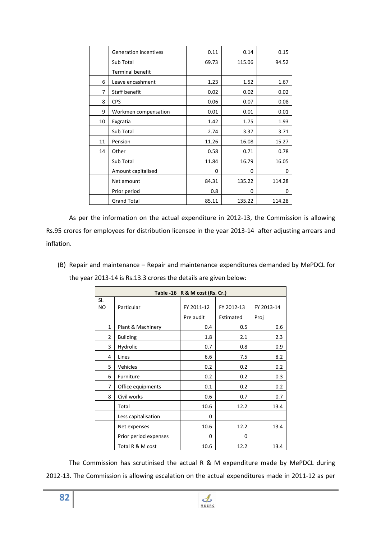|    | <b>Generation incentives</b> | 0.11     | 0.14   | 0.15   |
|----|------------------------------|----------|--------|--------|
|    | Sub Total                    | 69.73    | 115.06 | 94.52  |
|    | <b>Terminal benefit</b>      |          |        |        |
| 6  | Leave encashment             | 1.23     | 1.52   | 1.67   |
| 7  | <b>Staff benefit</b>         | 0.02     | 0.02   | 0.02   |
| 8  | <b>CPS</b>                   | 0.06     | 0.07   | 0.08   |
| 9  | Workmen compensation         | 0.01     | 0.01   | 0.01   |
| 10 | Exgratia                     | 1.42     | 1.75   | 1.93   |
|    | Sub Total                    | 2.74     | 3.37   | 3.71   |
| 11 | Pension                      | 11.26    | 16.08  | 15.27  |
| 14 | Other                        | 0.58     | 0.71   | 0.78   |
|    | Sub Total                    | 11.84    | 16.79  | 16.05  |
|    | Amount capitalised           | $\Omega$ | 0      | 0      |
|    | Net amount                   | 84.31    | 135.22 | 114.28 |
|    | Prior period                 | 0.8      | 0      | 0      |
|    | <b>Grand Total</b>           | 85.11    | 135.22 | 114.28 |

As per the information on the actual expenditure in 2012-13, the Commission is allowing Rs.95 crores for employees for distribution licensee in the year 2013-14 after adjusting arrears and inflation.

(B) Repair and maintenance – Repair and maintenance expenditures demanded by MePDCL for the year 2013-14 is Rs.13.3 crores the details are given below:

| Table -16 R & M cost (Rs. Cr.) |                       |            |            |            |  |
|--------------------------------|-----------------------|------------|------------|------------|--|
| SI.<br>NO.                     | Particular            | FY 2011-12 | FY 2012-13 | FY 2013-14 |  |
|                                |                       | Pre audit  | Estimated  | Proj       |  |
| $\mathbf{1}$                   | Plant & Machinery     | 0.4        | 0.5        | 0.6        |  |
| $\overline{2}$                 | <b>Building</b>       | 1.8        | 2.1        | 2.3        |  |
| 3                              | Hydrolic              | 0.7        | 0.8        | 0.9        |  |
| 4                              | Lines                 | 6.6        | 7.5        | 8.2        |  |
| 5.                             | Vehicles              | 0.2        | 0.2        | 0.2        |  |
| 6                              | Furniture             | 0.2        | 0.2        | 0.3        |  |
| 7                              | Office equipments     | 0.1        | 0.2        | 0.2        |  |
| 8                              | Civil works           | 0.6        | 0.7        | 0.7        |  |
|                                | Total                 | 10.6       | 12.2       | 13.4       |  |
|                                | Less capitalisation   | $\Omega$   |            |            |  |
|                                | Net expenses          | 10.6       | 12.2       | 13.4       |  |
|                                | Prior period expenses | $\Omega$   | 0          |            |  |
|                                | Total R & M cost      | 10.6       | 12.2       | 13.4       |  |

The Commission has scrutinised the actual R & M expenditure made by MePDCL during 2012-13. The Commission is allowing escalation on the actual expenditures made in 2011-12 as per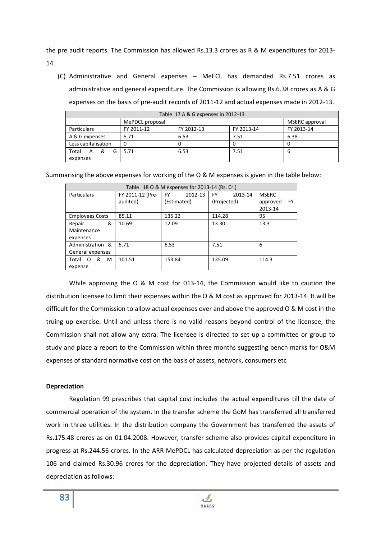the pre audit reports. The Commission has allowed Rs.13.3 crores as R & M expenditures for 2013- 14.

(C) Administrative and General expenses – MeECL has demanded Rs.7.51 crores as administrative and general expenditure. The Commission is allowing Rs.6.38 crores as A & G expenses on the basis of pre-audit records of 2011-12 and actual expenses made in 2012-13.

| Table 17 A & G expenses in 2012-13 |                 |            |            |                |  |
|------------------------------------|-----------------|------------|------------|----------------|--|
|                                    | MePDCL proposal |            |            | MSERC approval |  |
| <b>Particulars</b>                 | FY 2011-12      | FY 2012-13 | FY 2013-14 | FY 2013-14     |  |
| A & G expenses                     | 5.71            | 6.53       | 7.51       | 6.38           |  |
| Less capitalisation                | 0               |            | 0          |                |  |
| &<br>Total<br>G<br>A               | 5.71            | 6.53       | 7.51       | b              |  |
| expenses                           |                 |            |            |                |  |

Summarising the above expenses for working of the O & M expenses is given in the table below:

|                        | Table 18 O & M expenses for 2013-14 (Rs. Cr.) |               |                      |                |  |  |
|------------------------|-----------------------------------------------|---------------|----------------------|----------------|--|--|
| <b>Particulars</b>     | FY 2011-12 (Pre-                              | 2012-13<br>FY | <b>FY</b><br>2013-14 | <b>MSERC</b>   |  |  |
|                        | audited)                                      | (Estimated)   | (Projected)          | FY<br>approved |  |  |
|                        |                                               |               |                      | 2013-14        |  |  |
| <b>Employees Costs</b> | 85.11                                         | 135.22        | 114.28               | 95             |  |  |
| &<br>Repair            | 10.69                                         | 12.09         | 13.30                | 13.3           |  |  |
| Maintenance            |                                               |               |                      |                |  |  |
| expenses               |                                               |               |                      |                |  |  |
| Administration &       | 5.71                                          | 6.53          | 7.51                 | 6              |  |  |
| General expenses       |                                               |               |                      |                |  |  |
| &<br>M<br>Total<br>O   | 101.51                                        | 153.84        | 135.09               | 114.3          |  |  |
| expense                |                                               |               |                      |                |  |  |

While approving the O & M cost for 013-14, the Commission would like to caution the distribution licensee to limit their expenses within the O & M cost as approved for 2013-14. It will be difficult for the Commission to allow actual expenses over and above the approved O & M cost in the truing up exercise. Until and unless there is no valid reasons beyond control of the licensee, the Commission shall not allow any extra. The licensee is directed to set up a committee or group to study and place a report to the Commission within three months suggesting bench marks for O&M expenses of standard normative cost on the basis of assets, network, consumers etc

## **Depreciation**

Regulation 99 prescribes that capital cost includes the actual expenditures till the date of commercial operation of the system. In the transfer scheme the GoM has transferred all transferred work in three utilities. In the distribution company the Government has transferred the assets of Rs.175.48 crores as on 01.04.2008. However, transfer scheme also provides capital expenditure in progress at Rs.244.56 crores. In the ARR MePDCL has calculated depreciation as per the regulation 106 and claimed Rs.30.96 crores for the depreciation. They have projected details of assets and depreciation as follows:

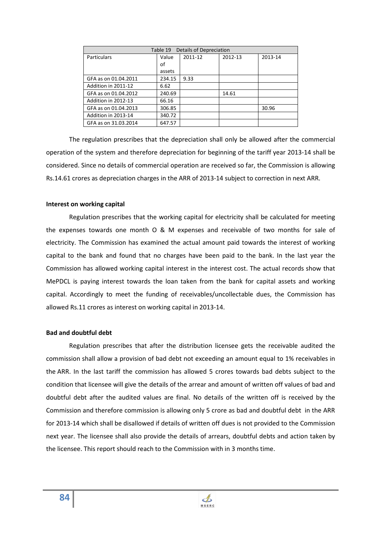| Details of Depreciation<br>Table 19 |        |         |         |         |  |
|-------------------------------------|--------|---------|---------|---------|--|
| <b>Particulars</b>                  | Value  | 2011-12 | 2012-13 | 2013-14 |  |
|                                     | of     |         |         |         |  |
|                                     | assets |         |         |         |  |
| GFA as on 01.04.2011                | 234.15 | 9.33    |         |         |  |
| Addition in 2011-12                 | 6.62   |         |         |         |  |
| GFA as on 01.04.2012                | 240.69 |         | 14.61   |         |  |
| Addition in 2012-13                 | 66.16  |         |         |         |  |
| GFA as on 01.04.2013                | 306.85 |         |         | 30.96   |  |
| Addition in 2013-14                 | 340.72 |         |         |         |  |
| GFA as on 31.03.2014                | 647.57 |         |         |         |  |

The regulation prescribes that the depreciation shall only be allowed after the commercial operation of the system and therefore depreciation for beginning of the tariff year 2013-14 shall be considered. Since no details of commercial operation are received so far, the Commission is allowing Rs.14.61 crores as depreciation charges in the ARR of 2013-14 subject to correction in next ARR.

#### **Interest on working capital**

Regulation prescribes that the working capital for electricity shall be calculated for meeting the expenses towards one month O & M expenses and receivable of two months for sale of electricity. The Commission has examined the actual amount paid towards the interest of working capital to the bank and found that no charges have been paid to the bank. In the last year the Commission has allowed working capital interest in the interest cost. The actual records show that MePDCL is paying interest towards the loan taken from the bank for capital assets and working capital. Accordingly to meet the funding of receivables/uncollectable dues, the Commission has allowed Rs.11 crores as interest on working capital in 2013-14.

#### **Bad and doubtful debt**

 Regulation prescribes that after the distribution licensee gets the receivable audited the commission shall allow a provision of bad debt not exceeding an amount equal to 1% receivables in the ARR . In the last tariff the commission has allowed 5 crores towards bad debts subject to the condition that licensee will give the details of the arrear and amount of written off values of bad and doubtful debt after the audited values are final. No details of the written off is received by the Commission and therefore commission is allowing only 5 crore as bad and doubtful debt in the ARR for 2013-14 which shall be disallowed if details of written off dues is not provided to the Commission next year. The licensee shall also provide the details of arrears, doubtful debts and action taken by the licensee. This report should reach to the Commission with in 3 months time.

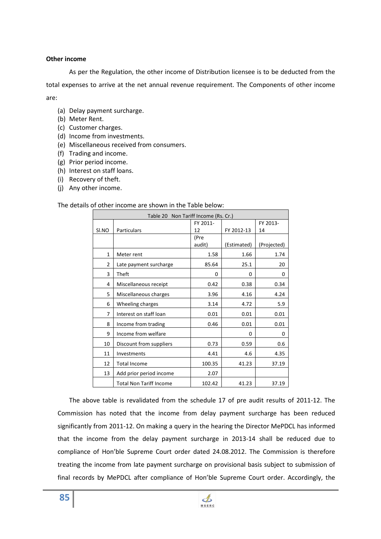#### **Other income**

As per the Regulation, the other income of Distribution licensee is to be deducted from the total expenses to arrive at the net annual revenue requirement. The Components of other income are:

- (a) Delay payment surcharge.
- (b) Meter Rent.
- (c) Customer charges.
- (d) Income from investments.
- (e) Miscellaneous received from consumers.
- (f) Trading and income.
- (g) Prior period income.
- (h) Interest on staff loans.
- (i) Recovery of theft.
- (j) Any other income.

#### The details of other income are shown in the Table below:

| Table 20 Non Tariff Income (Rs. Cr.) |                                |          |             |             |
|--------------------------------------|--------------------------------|----------|-------------|-------------|
|                                      |                                | FY 2011- |             | FY 2013-    |
| SI.NO                                | <b>Particulars</b>             | 12       | FY 2012-13  | 14          |
|                                      |                                | (Pre     |             |             |
|                                      |                                | audit)   | (Estimated) | (Projected) |
| 1                                    | Meter rent                     | 1.58     | 1.66        | 1.74        |
| $\overline{2}$                       | Late payment surcharge         | 85.64    | 25.1        | 20          |
| 3                                    | Theft                          | 0        | 0           | 0           |
| 4                                    | Miscellaneous receipt          | 0.42     | 0.38        | 0.34        |
| 5                                    | Miscellaneous charges          | 3.96     | 4.16        | 4.24        |
| 6                                    | Wheeling charges               | 3.14     | 4.72        | 5.9         |
| 7                                    | Interest on staff loan         | 0.01     | 0.01        | 0.01        |
| 8                                    | Income from trading            | 0.46     | 0.01        | 0.01        |
| 9                                    | Income from welfare            |          | 0           | 0           |
| 10                                   | Discount from suppliers        | 0.73     | 0.59        | 0.6         |
| 11                                   | Investments                    | 4.41     | 4.6         | 4.35        |
| 12                                   | <b>Total Income</b>            | 100.35   | 41.23       | 37.19       |
| 13                                   | Add prior period income        | 2.07     |             |             |
|                                      | <b>Total Non Tariff Income</b> | 102.42   | 41.23       | 37.19       |

The above table is revalidated from the schedule 17 of pre audit results of 2011-12. The Commission has noted that the income from delay payment surcharge has been reduced significantly from 2011-12. On making a query in the hearing the Director MePDCL has informed that the income from the delay payment surcharge in 2013-14 shall be reduced due to compliance of Hon'ble Supreme Court order dated 24.08.2012. The Commission is therefore treating the income from late payment surcharge on provisional basis subject to submission of final records by MePDCL after compliance of Hon'ble Supreme Court order. Accordingly, the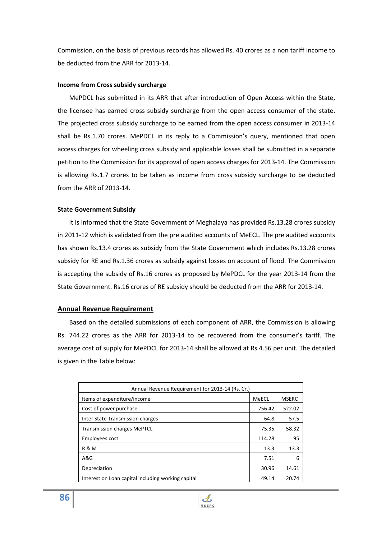Commission, on the basis of previous records has allowed Rs. 40 crores as a non tariff income to be deducted from the ARR for 2013-14.

#### **Income from Cross subsidy surcharge**

 MePDCL has submitted in its ARR that after introduction of Open Access within the State, the licensee has earned cross subsidy surcharge from the open access consumer of the state. The projected cross subsidy surcharge to be earned from the open access consumer in 2013-14 shall be Rs.1.70 crores. MePDCL in its reply to a Commission's query, mentioned that open access charges for wheeling cross subsidy and applicable losses shall be submitted in a separate petition to the Commission for its approval of open access charges for 2013-14. The Commission is allowing Rs.1.7 crores to be taken as income from cross subsidy surcharge to be deducted from the ARR of 2013-14.

#### **State Government Subsidy**

It is informed that the State Government of Meghalaya has provided Rs.13.28 crores subsidy in 2011-12 which is validated from the pre audited accounts of MeECL. The pre audited accounts has shown Rs.13.4 crores as subsidy from the State Government which includes Rs.13.28 crores subsidy for RE and Rs.1.36 crores as subsidy against losses on account of flood. The Commission is accepting the subsidy of Rs.16 crores as proposed by MePDCL for the year 2013-14 from the State Government. Rs.16 crores of RE subsidy should be deducted from the ARR for 2013-14.

#### **Annual Revenue Requirement**

 Based on the detailed submissions of each component of ARR, the Commission is allowing Rs. 744.22 crores as the ARR for 2013-14 to be recovered from the consumer's tariff. The average cost of supply for MePDCL for 2013-14 shall be allowed at Rs.4.56 per unit. The detailed is given in the Table below:

| Annual Revenue Requirement for 2013-14 (Rs. Cr.)   |        |              |  |  |  |
|----------------------------------------------------|--------|--------------|--|--|--|
| Items of expenditure/income                        | MeECL  | <b>MSERC</b> |  |  |  |
| Cost of power purchase                             | 756.42 | 522.02       |  |  |  |
| Inter State Transmission charges                   | 64.8   | 57.5         |  |  |  |
| <b>Transmission charges MePTCL</b>                 | 75.35  | 58.32        |  |  |  |
| Employees cost                                     | 114.28 | 95           |  |  |  |
| R & M                                              | 13.3   | 13.3         |  |  |  |
| A&G                                                | 7.51   | 6            |  |  |  |
| Depreciation                                       | 30.96  | 14.61        |  |  |  |
| Interest on Loan capital including working capital | 49.14  | 20.74        |  |  |  |

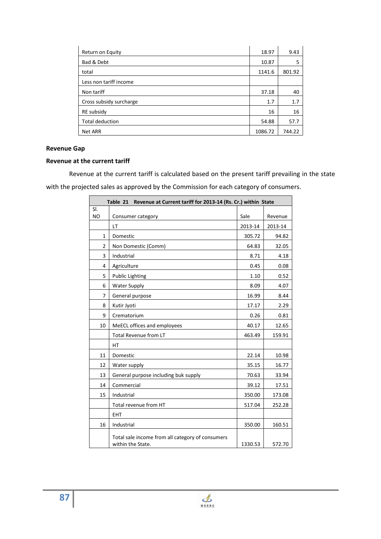| Return on Equity        | 18.97   | 9.43   |
|-------------------------|---------|--------|
| Bad & Debt              | 10.87   | 5      |
| total                   | 1141.6  | 801.92 |
| Less non tariff income  |         |        |
| Non tariff              | 37.18   | 40     |
| Cross subsidy surcharge | 1.7     | 1.7    |
| RE subsidy              | 16      | 16     |
| Total deduction         | 54.88   | 57.7   |
| Net ARR                 | 1086.72 | 744.22 |

# **Revenue Gap**

#### **Revenue at the current tariff**

 Revenue at the current tariff is calculated based on the present tariff prevailing in the state with the projected sales as approved by the Commission for each category of consumers.

| Table 21 Revenue at Current tariff for 2013-14 (Rs. Cr.) within State |                                                                       |         |         |  |
|-----------------------------------------------------------------------|-----------------------------------------------------------------------|---------|---------|--|
| SI.                                                                   |                                                                       |         |         |  |
| N <sub>O</sub>                                                        | Consumer category                                                     | Sale    | Revenue |  |
|                                                                       | LT                                                                    | 2013-14 | 2013-14 |  |
| $\mathbf{1}$                                                          | Domestic                                                              | 305.72  | 94.82   |  |
| $\overline{2}$                                                        | Non Domestic (Comm)                                                   | 64.83   | 32.05   |  |
| 3                                                                     | Industrial                                                            | 8.71    | 4.18    |  |
| 4                                                                     | Agriculture                                                           | 0.45    | 0.08    |  |
| 5                                                                     | <b>Public Lighting</b>                                                | 1.10    | 0.52    |  |
| 6                                                                     | <b>Water Supply</b>                                                   | 8.09    | 4.07    |  |
| 7                                                                     | General purpose                                                       | 16.99   | 8.44    |  |
| 8                                                                     | Kutir Jyoti                                                           | 17.17   | 2.29    |  |
| 9                                                                     | Crematorium                                                           | 0.26    | 0.81    |  |
| 10                                                                    | MeECL offices and employees                                           | 40.17   | 12.65   |  |
|                                                                       | Total Revenue from LT                                                 | 463.49  | 159.91  |  |
|                                                                       | <b>HT</b>                                                             |         |         |  |
| 11                                                                    | Domestic                                                              | 22.14   | 10.98   |  |
| 12                                                                    | Water supply                                                          | 35.15   | 16.77   |  |
| 13                                                                    | General purpose including buk supply                                  | 70.63   | 33.94   |  |
| 14                                                                    | Commercial                                                            | 39.12   | 17.51   |  |
| 15                                                                    | Industrial                                                            | 350.00  | 173.08  |  |
|                                                                       | Total revenue from HT                                                 | 517.04  | 252.28  |  |
|                                                                       | <b>EHT</b>                                                            |         |         |  |
| 16                                                                    | Industrial                                                            | 350.00  | 160.51  |  |
|                                                                       | Total sale income from all category of consumers<br>within the State. | 1330.53 | 572.70  |  |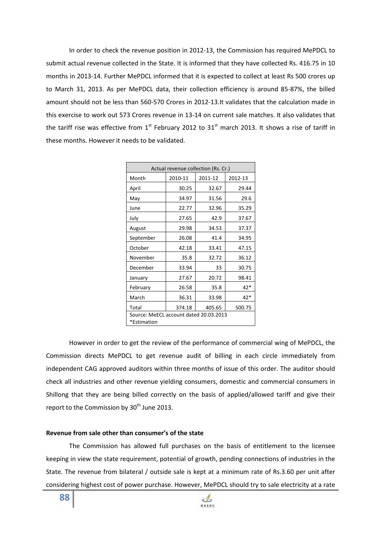In order to check the revenue position in 2012-13, the Commission has required MePDCL to submit actual revenue collected in the State. It is informed that they have collected Rs. 416.75 in 10 months in 2013-14. Further MePDCL informed that it is expected to collect at least Rs 500 crores up to March 31, 2013. As per MePDCL data, their collection efficiency is around 85-87%, the billed amount should not be less than 560-570 Crores in 2012-13.It validates that the calculation made in this exercise to work out 573 Crores revenue in 13-14 on current sale matches. It also validates that the tariff rise was effective from  $1<sup>st</sup>$  February 2012 to 31 $<sup>st</sup>$  march 2013. It shows a rise of tariff in</sup> these months. However it needs to be validated.

| Actual revenue collection (Rs. Cr.)                   |                            |         |         |  |  |
|-------------------------------------------------------|----------------------------|---------|---------|--|--|
| Month                                                 | 2010-11                    | 2011-12 | 2012-13 |  |  |
| April                                                 | 30.25                      | 32.67   | 29.44   |  |  |
| May                                                   | 34.97                      | 31.56   | 29.6    |  |  |
| June                                                  | 22.77                      | 32.96   | 35.29   |  |  |
| July                                                  | 27.65                      | 42.9    | 37.67   |  |  |
| August                                                | 29.98                      | 34.53   | 37.37   |  |  |
| September                                             | 26.08                      | 41.4    | 34.95   |  |  |
| October                                               | 42.18                      | 33.41   | 47.15   |  |  |
| November                                              | 35.8                       | 32.72   | 36.12   |  |  |
| December                                              | 33.94                      | 33      | 30.75   |  |  |
| January                                               | 27.67                      | 20.72   | 98.41   |  |  |
| February                                              | 26.58                      | 35.8    | $42*$   |  |  |
| March                                                 | 36.31                      | 33.98   | $42*$   |  |  |
| Total                                                 | 374.18<br>405.65<br>500.75 |         |         |  |  |
| Source: MeECL account dated 20.03.2013<br>*Estimation |                            |         |         |  |  |

However in order to get the review of the performance of commercial wing of MePDCL, the Commission directs MePDCL to get revenue audit of billing in each circle immediately from independent CAG approved auditors within three months of issue of this order. The auditor should check all industries and other revenue yielding consumers, domestic and commercial consumers in Shillong that they are being billed correctly on the basis of applied/allowed tariff and give their report to the Commission by  $30<sup>th</sup>$  June 2013.

#### **Revenue from sale other than consumer's of the state**

 The Commission has allowed full purchases on the basis of entitlement to the licensee keeping in view the state requirement, potential of growth, pending connections of industries in the State. The revenue from bilateral / outside sale is kept at a minimum rate of Rs.3.60 per unit after considering highest cost of power purchase. However, MePDCL should try to sale electricity at a rate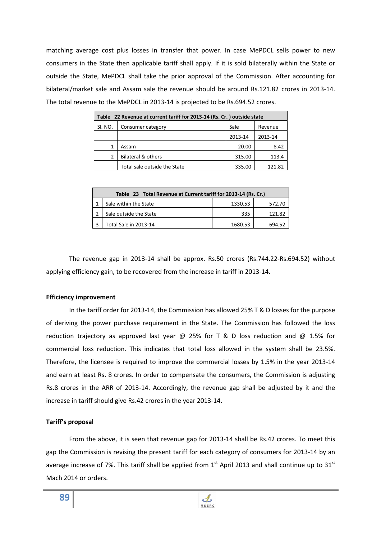matching average cost plus losses in transfer that power. In case MePDCL sells power to new consumers in the State then applicable tariff shall apply. If it is sold bilaterally within the State or outside the State, MePDCL shall take the prior approval of the Commission. After accounting for bilateral/market sale and Assam sale the revenue should be around Rs.121.82 crores in 2013-14. The total revenue to the MePDCL in 2013-14 is projected to be Rs.694.52 crores.

| Table 22 Revenue at current tariff for 2013-14 (Rs. Cr. ) outside state |                               |         |         |  |  |
|-------------------------------------------------------------------------|-------------------------------|---------|---------|--|--|
| SI. NO.                                                                 | Consumer category             | Sale    | Revenue |  |  |
|                                                                         |                               | 2013-14 | 2013-14 |  |  |
|                                                                         | Assam                         | 20.00   | 8.42    |  |  |
|                                                                         | <b>Bilateral &amp; others</b> | 315.00  | 113.4   |  |  |
|                                                                         | Total sale outside the State  | 335.00  | 121.82  |  |  |

| Table 23 Total Revenue at Current tariff for 2013-14 (Rs. Cr.) |         |        |  |  |  |
|----------------------------------------------------------------|---------|--------|--|--|--|
| Sale within the State                                          | 1330.53 | 572.70 |  |  |  |
| Sale outside the State                                         | 335     | 121.82 |  |  |  |
| Total Sale in 2013-14                                          | 1680.53 | 694.52 |  |  |  |

 The revenue gap in 2013-14 shall be approx. Rs.50 crores (Rs.744.22-Rs.694.52) without applying efficiency gain, to be recovered from the increase in tariff in 2013-14.

#### **Efficiency improvement**

 In the tariff order for 2013-14, the Commission has allowed 25% T & D losses for the purpose of deriving the power purchase requirement in the State. The Commission has followed the loss reduction trajectory as approved last year  $\omega$  25% for T & D loss reduction and  $\omega$  1.5% for commercial loss reduction. This indicates that total loss allowed in the system shall be 23.5%. Therefore, the licensee is required to improve the commercial losses by 1.5% in the year 2013-14 and earn at least Rs. 8 crores. In order to compensate the consumers, the Commission is adjusting Rs.8 crores in the ARR of 2013-14. Accordingly, the revenue gap shall be adjusted by it and the increase in tariff should give Rs.42 crores in the year 2013-14.

## **Tariff's proposal**

From the above, it is seen that revenue gap for 2013-14 shall be Rs.42 crores. To meet this gap the Commission is revising the present tariff for each category of consumers for 2013-14 by an average increase of 7%. This tariff shall be applied from  $1<sup>st</sup>$  April 2013 and shall continue up to 31 $<sup>st</sup>$ </sup> Mach 2014 or orders.

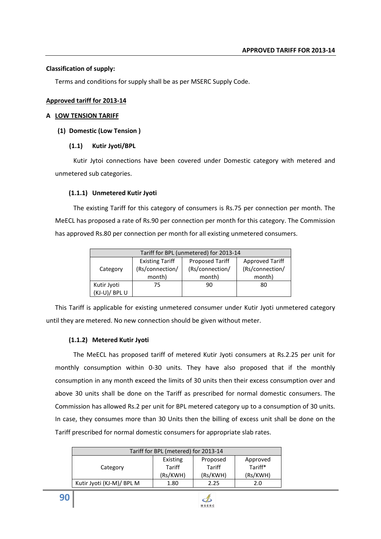#### **Classification of supply:**

Terms and conditions for supply shall be as per MSERC Supply Code.

#### **Approved tariff for 2013-14**

#### **A LOW TENSION TARIFF**

#### **(1) Domestic (Low Tension )**

#### **(1.1) Kutir Jyoti/BPL**

Kutir Jytoi connections have been covered under Domestic category with metered and unmetered sub categories.

#### **(1.1.1) Unmetered Kutir Jyoti**

The existing Tariff for this category of consumers is Rs.75 per connection per month. The MeECL has proposed a rate of Rs.90 per connection per month for this category. The Commission has approved Rs.80 per connection per month for all existing unmetered consumers.

| Tariff for BPL (unmetered) for 2013-14 |                        |                        |                        |  |  |
|----------------------------------------|------------------------|------------------------|------------------------|--|--|
|                                        | <b>Existing Tariff</b> | <b>Proposed Tariff</b> | <b>Approved Tariff</b> |  |  |
| Category                               | (Rs/connection/        | (Rs/connection/        | (Rs/connection/        |  |  |
|                                        | month)                 | month)                 | month)                 |  |  |
| Kutir Jyoti                            | 75                     | 90                     | 80                     |  |  |
| (KJ-U)/ BPL U                          |                        |                        |                        |  |  |

This Tariff is applicable for existing unmetered consumer under Kutir Jyoti unmetered category until they are metered. No new connection should be given without meter.

#### **(1.1.2) Metered Kutir Jyoti**

The MeECL has proposed tariff of metered Kutir Jyoti consumers at Rs.2.25 per unit for monthly consumption within 0-30 units. They have also proposed that if the monthly consumption in any month exceed the limits of 30 units then their excess consumption over and above 30 units shall be done on the Tariff as prescribed for normal domestic consumers. The Commission has allowed Rs.2 per unit for BPL metered category up to a consumption of 30 units. In case, they consumes more than 30 Units then the billing of excess unit shall be done on the Tariff prescribed for normal domestic consumers for appropriate slab rates.

| Tariff for BPL (metered) for 2013-14 |          |          |          |  |  |
|--------------------------------------|----------|----------|----------|--|--|
|                                      | Existing | Proposed | Approved |  |  |
| Category                             | Tariff   | Tariff   | Tariff*  |  |  |
|                                      | (Rs/KWH) | (Rs/KWH) | (Rs/KWH) |  |  |
| Kutir Jyoti (KJ-M)/ BPL M            | 1.80     | 2.25     | 2.0      |  |  |

**90**

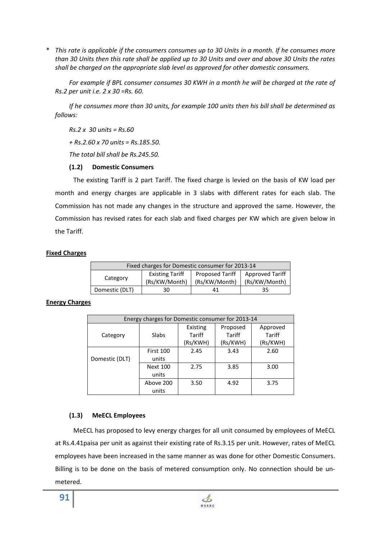\* *This rate is applicable if the consumers consumes up to 30 Units in a month. If he consumes more than 30 Units then this rate shall be applied up to 30 Units and over and above 30 Units the rates shall be charged on the appropriate slab level as approved for other domestic consumers.* 

 *For example if BPL consumer consumes 30 KWH in a month he will be charged at the rate of Rs.2 per unit i.e. 2 x 30 =Rs. 60.* 

 *If he consumes more than 30 units, for example 100 units then his bill shall be determined as follows:* 

 *Rs.2 x 30 units = Rs.60* 

 *+ Rs.2.60 x 70 units = Rs.185.50.* 

 *The total bill shall be Rs.245.50.* 

## **(1.2) Domestic Consumers**

The existing Tariff is 2 part Tariff. The fixed charge is levied on the basis of KW load per month and energy charges are applicable in 3 slabs with different rates for each slab. The Commission has not made any changes in the structure and approved the same. However, the Commission has revised rates for each slab and fixed charges per KW which are given below in the Tariff.

## **Fixed Charges**

| Fixed charges for Domestic consumer for 2013-14 |                                         |                                  |                                         |  |  |
|-------------------------------------------------|-----------------------------------------|----------------------------------|-----------------------------------------|--|--|
| Category                                        | <b>Existing Tariff</b><br>(Rs/KW/Month) | Proposed Tariff<br>(Rs/KW/Month) | <b>Approved Tariff</b><br>(Rs/KW/Month) |  |  |
| Domestic (DLT)                                  | 30                                      | 41                               | 35                                      |  |  |

## **Energy Charges**

| Energy charges for Domestic consumer for 2013-14 |                 |          |          |          |  |
|--------------------------------------------------|-----------------|----------|----------|----------|--|
|                                                  |                 | Existing | Proposed | Approved |  |
| Category                                         | Slabs           | Tariff   | Tariff   | Tariff   |  |
|                                                  |                 | (Rs/KWH) | (Rs/KWH) | (Rs/KWH) |  |
|                                                  | First 100       | 2.45     | 3.43     | 2.60     |  |
| Domestic (DLT)                                   | units           |          |          |          |  |
|                                                  | <b>Next 100</b> | 2.75     | 3.85     | 3.00     |  |
|                                                  | units           |          |          |          |  |
|                                                  | Above 200       | 3.50     | 4.92     | 3.75     |  |
|                                                  | units           |          |          |          |  |

## **(1.3) MeECL Employees**

MeECL has proposed to levy energy charges for all unit consumed by employees of MeECL at Rs.4.41paisa per unit as against their existing rate of Rs.3.15 per unit. However, rates of MeECL employees have been increased in the same manner as was done for other Domestic Consumers. Billing is to be done on the basis of metered consumption only. No connection should be unmetered.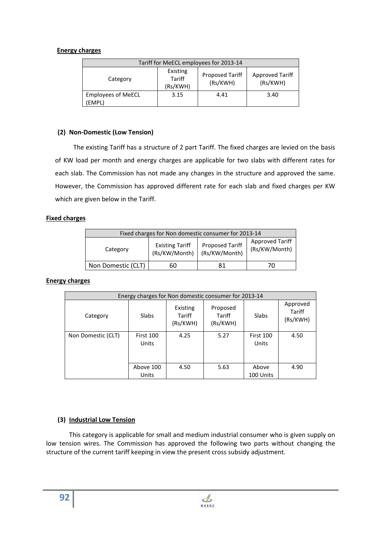### **Energy charges**

| Tariff for MeECL employees for 2013-14 |                                    |                                    |      |  |  |
|----------------------------------------|------------------------------------|------------------------------------|------|--|--|
| Category                               | <b>Proposed Tariff</b><br>(Rs/KWH) | <b>Approved Tariff</b><br>(Rs/KWH) |      |  |  |
| <b>Employees of MeECL</b><br>(EMPL)    | 3.15                               | 4.41                               | 3.40 |  |  |

## **(2) Non-Domestic (Low Tension)**

The existing Tariff has a structure of 2 part Tariff. The fixed charges are levied on the basis of KW load per month and energy charges are applicable for two slabs with different rates for each slab. The Commission has not made any changes in the structure and approved the same. However, the Commission has approved different rate for each slab and fixed charges per KW which are given below in the Tariff.

### **Fixed charges**

| Fixed charges for Non domestic consumer for 2013-14                                                                                       |    |    |    |  |  |
|-------------------------------------------------------------------------------------------------------------------------------------------|----|----|----|--|--|
| <b>Approved Tariff</b><br><b>Proposed Tariff</b><br><b>Existing Tariff</b><br>(Rs/KW/Month)<br>Category<br>(Rs/KW/Month)<br>(Rs/KW/Month) |    |    |    |  |  |
| Non Domestic (CLT)                                                                                                                        | 60 | 81 | 70 |  |  |

#### **Energy charges**

| Energy charges for Non domestic consumer for 2013-14 |                    |                                |                                |                           |                                |
|------------------------------------------------------|--------------------|--------------------------------|--------------------------------|---------------------------|--------------------------------|
| Category                                             | <b>Slabs</b>       | Existing<br>Tariff<br>(Rs/KWH) | Proposed<br>Tariff<br>(Rs/KWH) | Slabs                     | Approved<br>Tariff<br>(Rs/KWH) |
| Non Domestic (CLT)                                   | First 100<br>Units | 4.25                           | 5.27                           | <b>First 100</b><br>Units | 4.50                           |
|                                                      | Above 100<br>Units | 4.50                           | 5.63                           | Above<br>100 Units        | 4.90                           |

## **(3) Industrial Low Tension**

 This category is applicable for small and medium industrial consumer who is given supply on low tension wires. The Commission has approved the following two parts without changing the structure of the current tariff keeping in view the present cross subsidy adjustment.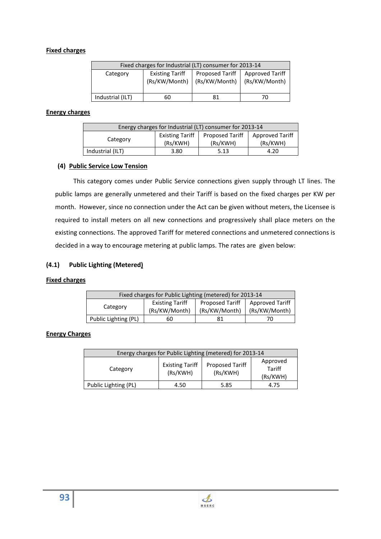## **Fixed charges**

| Fixed charges for Industrial (LT) consumer for 2013-14 |                                                                                                                |    |    |  |  |
|--------------------------------------------------------|----------------------------------------------------------------------------------------------------------------|----|----|--|--|
| Category                                               | Proposed Tariff   Approved Tariff<br><b>Existing Tariff</b><br>(Rs/KW/Month)<br>(Rs/KW/Month)<br>(Rs/KW/Month) |    |    |  |  |
| Industrial (ILT)                                       | 60                                                                                                             | 81 | 70 |  |  |

## **Energy charges**

| Energy charges for Industrial (LT) consumer for 2013-14 |                             |                                    |      |  |  |  |
|---------------------------------------------------------|-----------------------------|------------------------------------|------|--|--|--|
| Category                                                | Proposed Tariff<br>(Rs/KWH) | <b>Approved Tariff</b><br>(Rs/KWH) |      |  |  |  |
| Industrial (ILT)                                        | 3.80                        | 5.13                               | 4.20 |  |  |  |

### **(4) Public Service Low Tension**

This category comes under Public Service connections given supply through LT lines. The public lamps are generally unmetered and their Tariff is based on the fixed charges per KW per month. However, since no connection under the Act can be given without meters, the Licensee is required to install meters on all new connections and progressively shall place meters on the existing connections. The approved Tariff for metered connections and unmetered connections is decided in a way to encourage metering at public lamps. The rates are given below:

## **(4.1) Public Lighting (Metered)**

#### **Fixed charges**

| Fixed charges for Public Lighting (metered) for 2013-14                                                                            |    |  |  |  |  |
|------------------------------------------------------------------------------------------------------------------------------------|----|--|--|--|--|
| <b>Approved Tariff</b><br>Proposed Tariff<br><b>Existing Tariff</b><br>Category<br>(Rs/KW/Month)<br>(Rs/KW/Month)<br>(Rs/KW/Month) |    |  |  |  |  |
| Public Lighting (PL)                                                                                                               | 60 |  |  |  |  |

## **Energy Charges**

| Energy charges for Public Lighting (metered) for 2013-14                                                               |      |      |      |  |  |
|------------------------------------------------------------------------------------------------------------------------|------|------|------|--|--|
| Approved<br><b>Existing Tariff</b><br><b>Proposed Tariff</b><br>Tariff<br>Category<br>(Rs/KWH)<br>(Rs/KWH)<br>(Rs/KWH) |      |      |      |  |  |
| Public Lighting (PL)                                                                                                   | 4.50 | 5.85 | 4.75 |  |  |

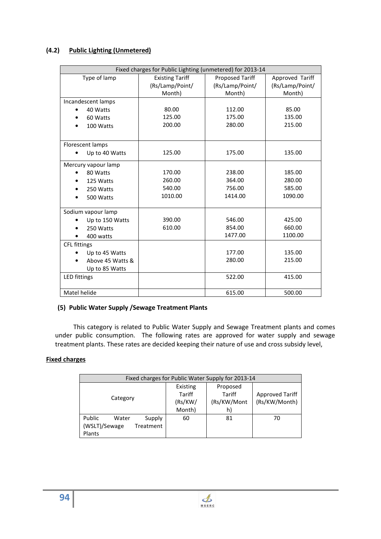# **(4.2) Public Lighting (Unmetered)**

|                     | Fixed charges for Public Lighting (unmetered) for 2013-14 |                        |                 |  |  |
|---------------------|-----------------------------------------------------------|------------------------|-----------------|--|--|
| Type of lamp        | <b>Existing Tariff</b>                                    | <b>Proposed Tariff</b> | Approved Tariff |  |  |
|                     | (Rs/Lamp/Point/                                           | (Rs/Lamp/Point/        | (Rs/Lamp/Point/ |  |  |
|                     | Month)                                                    | Month)                 | Month)          |  |  |
| Incandescent lamps  |                                                           |                        |                 |  |  |
| 40 Watts            | 80.00                                                     | 112.00                 | 85.00           |  |  |
| 60 Watts            | 125.00                                                    | 175.00                 | 135.00          |  |  |
| 100 Watts           | 200.00                                                    | 280.00                 | 215.00          |  |  |
| Florescent lamps    |                                                           |                        |                 |  |  |
| Up to 40 Watts      | 125.00                                                    | 175.00                 | 135.00          |  |  |
| Mercury vapour lamp |                                                           |                        |                 |  |  |
| 80 Watts            | 170.00                                                    | 238.00                 | 185.00          |  |  |
| 125 Watts           | 260.00                                                    | 364.00                 | 280.00          |  |  |
| 250 Watts           | 540.00                                                    | 756.00                 | 585.00          |  |  |
| 500 Watts           | 1010.00                                                   | 1414.00                | 1090.00         |  |  |
| Sodium vapour lamp  |                                                           |                        |                 |  |  |
| Up to 150 Watts     | 390.00                                                    | 546.00                 | 425.00          |  |  |
| 250 Watts           | 610.00                                                    | 854.00                 | 660.00          |  |  |
| 400 watts           |                                                           | 1477.00                | 1100.00         |  |  |
| CFL fittings        |                                                           |                        |                 |  |  |
| Up to 45 Watts      |                                                           | 177.00                 | 135.00          |  |  |
| Above 45 Watts &    |                                                           | 280.00                 | 215.00          |  |  |
| Up to 85 Watts      |                                                           |                        |                 |  |  |
| LED fittings        |                                                           | 522.00                 | 415.00          |  |  |
| Matel helide        |                                                           | 615.00                 | 500.00          |  |  |

## **(5) Public Water Supply /Sewage Treatment Plants**

This category is related to Public Water Supply and Sewage Treatment plants and comes under public consumption. The following rates are approved for water supply and sewage treatment plants. These rates are decided keeping their nature of use and cross subsidy level,

## **Fixed charges**

| Fixed charges for Public Water Supply for 2013-14                 |                                                |                                         |                                  |  |
|-------------------------------------------------------------------|------------------------------------------------|-----------------------------------------|----------------------------------|--|
| Category                                                          | Existing<br><b>Tariff</b><br>(Rs/KW/<br>Month) | Proposed<br>Tariff<br>(Rs/KW/Mont<br>h) | Approved Tariff<br>(Rs/KW/Month) |  |
| Public<br>Supply<br>Water<br>(WSLT)/Sewage<br>Treatment<br>Plants | 60                                             | 81                                      | 70                               |  |

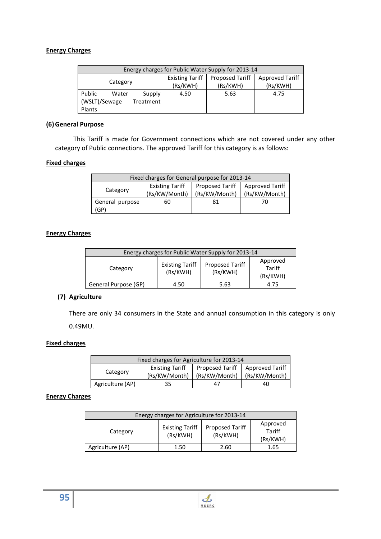## **Energy Charges**

| Energy charges for Public Water Supply for 2013-14 |  |      |                                    |                             |                                    |
|----------------------------------------------------|--|------|------------------------------------|-----------------------------|------------------------------------|
| Category                                           |  |      | <b>Existing Tariff</b><br>(Rs/KWH) | Proposed Tariff<br>(Rs/KWH) | <b>Approved Tariff</b><br>(Rs/KWH) |
| Public<br>Supply<br>Water                          |  | 4.50 | 5.63                               | 4.75                        |                                    |
| (WSLT)/Sewage<br>Treatment                         |  |      |                                    |                             |                                    |
| Plants                                             |  |      |                                    |                             |                                    |

## **(6)General Purpose**

This Tariff is made for Government connections which are not covered under any other category of Public connections. The approved Tariff for this category is as follows:

### **Fixed charges**

| Fixed charges for General purpose for 2013-14 |                                                                                                                        |    |    |  |  |
|-----------------------------------------------|------------------------------------------------------------------------------------------------------------------------|----|----|--|--|
| Category                                      | Proposed Tariff<br><b>Existing Tariff</b><br><b>Approved Tariff</b><br>(Rs/KW/Month)<br>(Rs/KW/Month)<br>(Rs/KW/Month) |    |    |  |  |
| General purpose                               | 60                                                                                                                     | 81 | 70 |  |  |
| (GP)                                          |                                                                                                                        |    |    |  |  |

## **Energy Charges**

| Energy charges for Public Water Supply for 2013-14                                                              |      |      |      |  |  |
|-----------------------------------------------------------------------------------------------------------------|------|------|------|--|--|
| Approved<br><b>Existing Tariff</b><br>Proposed Tariff<br>Tariff<br>Category<br>(Rs/KWH)<br>(Rs/KWH)<br>(Rs/KWH) |      |      |      |  |  |
| General Purpose (GP)                                                                                            | 4.50 | 5.63 | 4.75 |  |  |

## **(7) Agriculture**

There are only 34 consumers in the State and annual consumption in this category is only 0.49MU.

#### **Fixed charges**

| Fixed charges for Agriculture for 2013-14 |                        |                 |                 |  |
|-------------------------------------------|------------------------|-----------------|-----------------|--|
| Category                                  | <b>Existing Tariff</b> | Proposed Tariff | Approved Tariff |  |
|                                           | (Rs/KW/Month)          | (Rs/KW/Month)   | (Rs/KW/Month)   |  |
| Agriculture (AP)<br>35<br>40              |                        |                 |                 |  |

## **Energy Charges**

| Energy charges for Agriculture for 2013-14                                                                             |      |      |      |  |  |
|------------------------------------------------------------------------------------------------------------------------|------|------|------|--|--|
| Approved<br><b>Proposed Tariff</b><br><b>Existing Tariff</b><br>Tariff<br>Category<br>(Rs/KWH)<br>(Rs/KWH)<br>(Rs/KWH) |      |      |      |  |  |
| Agriculture (AP)                                                                                                       | 1.50 | 2.60 | 1.65 |  |  |



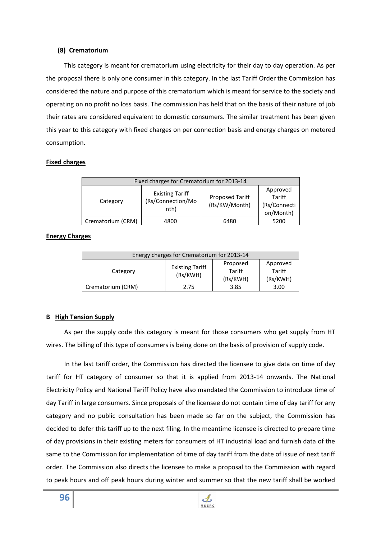#### **(8) Crematorium**

This category is meant for crematorium using electricity for their day to day operation. As per the proposal there is only one consumer in this category. In the last Tariff Order the Commission has considered the nature and purpose of this crematorium which is meant for service to the society and operating on no profit no loss basis. The commission has held that on the basis of their nature of job their rates are considered equivalent to domestic consumers. The similar treatment has been given this year to this category with fixed charges on per connection basis and energy charges on metered consumption.

## **Fixed charges**

| Fixed charges for Crematorium for 2013-14 |                                                     |                                         |                                                        |  |
|-------------------------------------------|-----------------------------------------------------|-----------------------------------------|--------------------------------------------------------|--|
| Category                                  | <b>Existing Tariff</b><br>(Rs/Connection/Mo<br>nth) | <b>Proposed Tariff</b><br>(Rs/KW/Month) | Approved<br><b>Tariff</b><br>(Rs/Connecti<br>on/Month) |  |
| Crematorium (CRM)                         | 4800                                                | 6480                                    | 5200                                                   |  |

## **Energy Charges**

| Energy charges for Crematorium for 2013-14 |                                    |                                |                                |  |  |
|--------------------------------------------|------------------------------------|--------------------------------|--------------------------------|--|--|
| Category                                   | <b>Existing Tariff</b><br>(Rs/KWH) | Proposed<br>Tariff<br>(Rs/KWH) | Approved<br>Tariff<br>(Rs/KWH) |  |  |
| Crematorium (CRM)                          | 2.75                               | 3.85                           | 3.00                           |  |  |

## **B High Tension Supply**

As per the supply code this category is meant for those consumers who get supply from HT wires. The billing of this type of consumers is being done on the basis of provision of supply code.

In the last tariff order, the Commission has directed the licensee to give data on time of day tariff for HT category of consumer so that it is applied from 2013-14 onwards. The National Electricity Policy and National Tariff Policy have also mandated the Commission to introduce time of day Tariff in large consumers. Since proposals of the licensee do not contain time of day tariff for any category and no public consultation has been made so far on the subject, the Commission has decided to defer this tariff up to the next filing. In the meantime licensee is directed to prepare time of day provisions in their existing meters for consumers of HT industrial load and furnish data of the same to the Commission for implementation of time of day tariff from the date of issue of next tariff order. The Commission also directs the licensee to make a proposal to the Commission with regard to peak hours and off peak hours during winter and summer so that the new tariff shall be worked

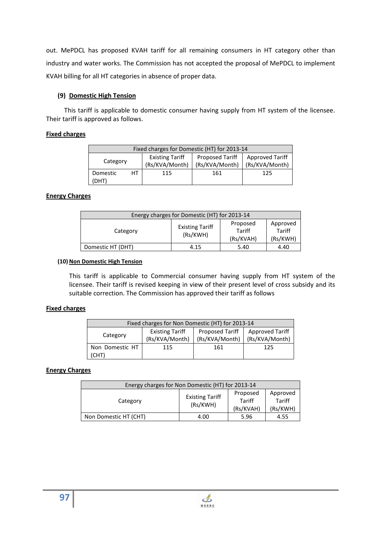out. MePDCL has proposed KVAH tariff for all remaining consumers in HT category other than industry and water works. The Commission has not accepted the proposal of MePDCL to implement KVAH billing for all HT categories in absence of proper data.

# **(9) Domestic High Tension**

This tariff is applicable to domestic consumer having supply from HT system of the licensee. Their tariff is approved as follows.

# **Fixed charges**

|                   | Fixed charges for Domestic (HT) for 2013-14                                                                                      |     |     |     |  |  |
|-------------------|----------------------------------------------------------------------------------------------------------------------------------|-----|-----|-----|--|--|
| Category          | <b>Proposed Tariff</b><br><b>Existing Tariff</b><br><b>Approved Tariff</b><br>(Rs/KVA/Month)<br>(Rs/KVA/Month)<br>(Rs/KVA/Month) |     |     |     |  |  |
| Domestic<br>(DHT) | HТ                                                                                                                               | 115 | 161 | 125 |  |  |

# **Energy Charges**

| Energy charges for Domestic (HT) for 2013-14 |                                    |                                 |                                       |  |  |  |
|----------------------------------------------|------------------------------------|---------------------------------|---------------------------------------|--|--|--|
| Category                                     | <b>Existing Tariff</b><br>(Rs/KWH) | Proposed<br>Tariff<br>(Rs/KVAH) | Approved<br><b>Tariff</b><br>(Rs/KWH) |  |  |  |
| Domestic HT (DHT)<br>4.40<br>4.15<br>5.40    |                                    |                                 |                                       |  |  |  |

## **(10) Non Domestic High Tension**

This tariff is applicable to Commercial consumer having supply from HT system of the licensee. Their tariff is revised keeping in view of their present level of cross subsidy and its suitable correction. The Commission has approved their tariff as follows

## **Fixed charges**

| Fixed charges for Non Domestic (HT) for 2013-14 |                        |                        |                        |  |
|-------------------------------------------------|------------------------|------------------------|------------------------|--|
| Category                                        | <b>Existing Tariff</b> | <b>Proposed Tariff</b> | <b>Approved Tariff</b> |  |
|                                                 | (Rs/KVA/Month)         | (Rs/KVA/Month)         | (Rs/KVA/Month)         |  |
| Non Domestic HT                                 | 115                    | 161                    | 125                    |  |
| (CHT)                                           |                        |                        |                        |  |

# **Energy Charges**

| Energy charges for Non Domestic (HT) for 2013-14 |                                    |                                 |                                |  |
|--------------------------------------------------|------------------------------------|---------------------------------|--------------------------------|--|
| Category                                         | <b>Existing Tariff</b><br>(Rs/KWH) | Proposed<br>Tariff<br>(Rs/KVAH) | Approved<br>Tariff<br>(Rs/KWH) |  |
| Non Domestic HT (CHT)                            | 4.00                               | 5.96                            | 4.55                           |  |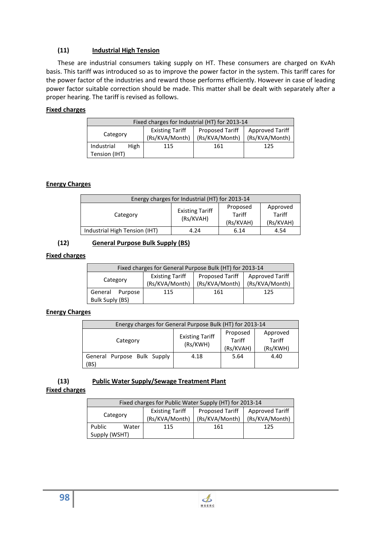# **(11) Industrial High Tension**

These are industrial consumers taking supply on HT. These consumers are charged on KvAh basis. This tariff was introduced so as to improve the power factor in the system. This tariff cares for the power factor of the industries and reward those performs efficiently. However in case of leading power factor suitable correction should be made. This matter shall be dealt with separately after a proper hearing. The tariff is revised as follows.

## **Fixed charges**

| Fixed charges for Industrial (HT) for 2013-14 |      |                        |                 |                 |
|-----------------------------------------------|------|------------------------|-----------------|-----------------|
|                                               |      | <b>Existing Tariff</b> | Proposed Tariff | Approved Tariff |
| Category                                      |      | (Rs/KVA/Month)         | (Rs/KVA/Month)  | (Rs/KVA/Month)  |
| Industrial                                    | High | 115                    | 161             | 125             |
| Tension (IHT)                                 |      |                        |                 |                 |

# **Energy Charges**

| Energy charges for Industrial (HT) for 2013-14                                                                        |      |      |      |  |
|-----------------------------------------------------------------------------------------------------------------------|------|------|------|--|
| Approved<br>Proposed<br><b>Existing Tariff</b><br>Tariff<br>Tariff<br>Category<br>(Rs/KVAH)<br>(Rs/KVAH)<br>(Rs/KVAH) |      |      |      |  |
| Industrial High Tension (IHT)                                                                                         | 4.24 | 6.14 | 4.54 |  |

# **(12) General Purpose Bulk Supply (BS)**

## **Fixed charges**

| Fixed charges for General Purpose Bulk (HT) for 2013-14                                                                        |     |     |     |  |  |
|--------------------------------------------------------------------------------------------------------------------------------|-----|-----|-----|--|--|
| Approved Tariff<br>Proposed Tariff<br><b>Existing Tariff</b><br>Category<br>(Rs/KVA/Month)<br>(Rs/KVA/Month)<br>(Rs/KVA/Month) |     |     |     |  |  |
| General<br>Purpose<br>Bulk Suply (BS)                                                                                          | 115 | 161 | 125 |  |  |

## **Energy Charges**

| Energy charges for General Purpose Bulk (HT) for 2013-14                                                                   |      |      |      |  |
|----------------------------------------------------------------------------------------------------------------------------|------|------|------|--|
| Approved<br>Proposed<br><b>Existing Tariff</b><br><b>Tariff</b><br>Tariff<br>Category<br>(Rs/KWH)<br>(Rs/KVAH)<br>(Rs/KWH) |      |      |      |  |
| General Purpose Bulk Supply<br>(BS)                                                                                        | 4.18 | 5.64 | 4.40 |  |

# **(13) Public Water Supply/Sewage Treatment Plant**

## **Fixed charges**

|               | Fixed charges for Public Water Supply (HT) for 2013-14 |                        |                 |                        |  |  |
|---------------|--------------------------------------------------------|------------------------|-----------------|------------------------|--|--|
|               |                                                        | <b>Existing Tariff</b> | Proposed Tariff | <b>Approved Tariff</b> |  |  |
| Category      |                                                        | (Rs/KVA/Month)         | (Rs/KVA/Month)  | (Rs/KVA/Month)         |  |  |
| Public        | Water                                                  | 115                    | 161             | 125                    |  |  |
| Supply (WSHT) |                                                        |                        |                 |                        |  |  |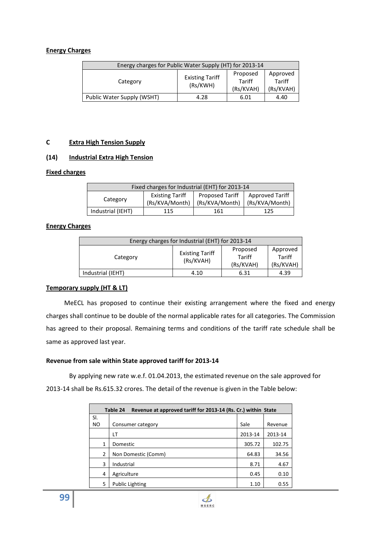### **Energy Charges**

| Energy charges for Public Water Supply (HT) for 2013-14                                                              |      |      |      |  |
|----------------------------------------------------------------------------------------------------------------------|------|------|------|--|
| Proposed<br>Approved<br><b>Existing Tariff</b><br>Tariff<br>Tariff<br>Category<br>(Rs/KWH)<br>(Rs/KVAH)<br>(Rs/KVAH) |      |      |      |  |
| Public Water Supply (WSHT)                                                                                           | 4.28 | 6.01 | 4.40 |  |

### **C Extra High Tension Supply**

### **(14) Industrial Extra High Tension**

#### **Fixed charges**

| Fixed charges for Industrial (EHT) for 2013-14 |                        |                 |                        |  |  |
|------------------------------------------------|------------------------|-----------------|------------------------|--|--|
|                                                | <b>Existing Tariff</b> | Proposed Tariff | <b>Approved Tariff</b> |  |  |
| Category                                       | (Rs/KVA/Month)         | (Rs/KVA/Month)  | (Rs/KVA/Month)         |  |  |
| Industrial (IEHT)<br>161<br>115<br>125         |                        |                 |                        |  |  |

### **Energy Charges**

| Energy charges for Industrial (EHT) for 2013-14 |                                     |                                 |                                 |  |
|-------------------------------------------------|-------------------------------------|---------------------------------|---------------------------------|--|
| Category                                        | <b>Existing Tariff</b><br>(Rs/KVAH) | Proposed<br>Tariff<br>(Rs/KVAH) | Approved<br>Tariff<br>(Rs/KVAH) |  |
| Industrial (IEHT)                               | 4.10                                | 6.31                            | 4.39                            |  |

#### **Temporary supply (HT & LT)**

MeECL has proposed to continue their existing arrangement where the fixed and energy charges shall continue to be double of the normal applicable rates for all categories. The Commission has agreed to their proposal. Remaining terms and conditions of the tariff rate schedule shall be same as approved last year.

#### **Revenue from sale within State approved tariff for 2013-14**

By applying new rate w.e.f. 01.04.2013, the estimated revenue on the sale approved for 2013-14 shall be Rs.615.32 crores. The detail of the revenue is given in the Table below:

| Revenue at approved tariff for 2013-14 (Rs. Cr.) within State<br>Table 24 |                        |         |         |
|---------------------------------------------------------------------------|------------------------|---------|---------|
| SI.                                                                       |                        |         |         |
| NO.                                                                       | Consumer category      | Sale    | Revenue |
|                                                                           | LТ                     | 2013-14 | 2013-14 |
| 1                                                                         | Domestic               | 305.72  | 102.75  |
| $\mathcal{P}$                                                             | Non Domestic (Comm)    | 64.83   | 34.56   |
| 3                                                                         | Industrial             | 8.71    | 4.67    |
| 4                                                                         | Agriculture            | 0.45    | 0.10    |
| 5                                                                         | <b>Public Lighting</b> | 1.10    | 0.55    |

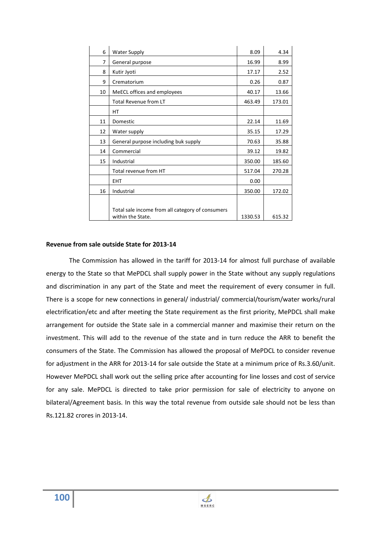| 6  | <b>Water Supply</b>                                                   | 8.09    | 4.34   |
|----|-----------------------------------------------------------------------|---------|--------|
| 7  | General purpose                                                       | 16.99   | 8.99   |
| 8  | Kutir Jyoti                                                           | 17.17   | 2.52   |
| 9  | Crematorium                                                           | 0.26    | 0.87   |
| 10 | MeECL offices and employees                                           | 40.17   | 13.66  |
|    | <b>Total Revenue from LT</b>                                          | 463.49  | 173.01 |
|    | HТ                                                                    |         |        |
| 11 | Domestic                                                              | 22.14   | 11.69  |
| 12 | Water supply                                                          | 35.15   | 17.29  |
| 13 | General purpose including buk supply                                  | 70.63   | 35.88  |
| 14 | Commercial                                                            | 39.12   | 19.82  |
| 15 | Industrial                                                            | 350.00  | 185.60 |
|    | Total revenue from HT                                                 | 517.04  | 270.28 |
|    | <b>EHT</b>                                                            | 0.00    |        |
| 16 | Industrial                                                            | 350.00  | 172.02 |
|    |                                                                       |         |        |
|    | Total sale income from all category of consumers<br>within the State. | 1330.53 | 615.32 |

#### **Revenue from sale outside State for 2013-14**

The Commission has allowed in the tariff for 2013-14 for almost full purchase of available energy to the State so that MePDCL shall supply power in the State without any supply regulations and discrimination in any part of the State and meet the requirement of every consumer in full. There is a scope for new connections in general/ industrial/ commercial/tourism/water works/rural electrification/etc and after meeting the State requirement as the first priority, MePDCL shall make arrangement for outside the State sale in a commercial manner and maximise their return on the investment. This will add to the revenue of the state and in turn reduce the ARR to benefit the consumers of the State. The Commission has allowed the proposal of MePDCL to consider revenue for adjustment in the ARR for 2013-14 for sale outside the State at a minimum price of Rs.3.60/unit. However MePDCL shall work out the selling price after accounting for line losses and cost of service for any sale. MePDCL is directed to take prior permission for sale of electricity to anyone on bilateral/Agreement basis. In this way the total revenue from outside sale should not be less than Rs.121.82 crores in 2013-14.

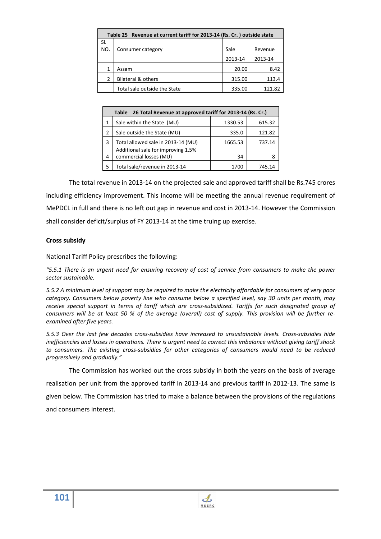| Table 25 Revenue at current tariff for 2013-14 (Rs. Cr. ) outside state |                               |         |         |  |
|-------------------------------------------------------------------------|-------------------------------|---------|---------|--|
| SI.                                                                     |                               |         |         |  |
| NO.                                                                     | Consumer category             | Sale    | Revenue |  |
|                                                                         |                               | 2013-14 | 2013-14 |  |
| 1                                                                       | Assam                         | 20.00   | 8.42    |  |
| $\overline{2}$                                                          | <b>Bilateral &amp; others</b> | 315.00  | 113.4   |  |
|                                                                         | Total sale outside the State  | 335.00  | 121.82  |  |

| 26 Total Revenue at approved tariff for 2013-14 (Rs. Cr.)<br>Table |                                    |         |        |  |  |  |
|--------------------------------------------------------------------|------------------------------------|---------|--------|--|--|--|
| 1                                                                  | Sale within the State (MU)         | 1330.53 | 615.32 |  |  |  |
| 2                                                                  | Sale outside the State (MU)        | 335.0   | 121.82 |  |  |  |
| 3                                                                  | Total allowed sale in 2013-14 (MU) | 1665.53 | 737.14 |  |  |  |
|                                                                    | Additional sale for improving 1.5% |         |        |  |  |  |
| 4                                                                  | commercial losses (MU)             | 34      |        |  |  |  |
| 5                                                                  | Total sale/revenue in 2013-14      | 1700    | 745.14 |  |  |  |

The total revenue in 2013-14 on the projected sale and approved tariff shall be Rs.745 crores including efficiency improvement. This income will be meeting the annual revenue requirement of MePDCL in full and there is no left out gap in revenue and cost in 2013-14. However the Commission shall consider deficit/surplus of FY 2013-14 at the time truing up exercise.

# **Cross subsidy**

National Tariff Policy prescribes the following:

*"5.5.1 There is an urgent need for ensuring recovery of cost of service from consumers to make the power sector sustainable.* 

*5.5.2 A minimum level of support may be required to make the electricity affordable for consumers of very poor category. Consumers below poverty line who consume below a specified level, say 30 units per month, may*  receive special support in terms of tariff which are cross-subsidized. Tariffs for such designated group of *consumers will be at least 50 % of the average (overall) cost of supply. This provision will be further reexamined after five years.* 

*5.5.3 Over the last few decades cross-subsidies have increased to unsustainable levels. Cross-subsidies hide inefficiencies and losses in operations. There is urgent need to correct this imbalance without giving tariff shock to consumers. The existing cross-subsidies for other categories of consumers would need to be reduced progressively and gradually."* 

The Commission has worked out the cross subsidy in both the years on the basis of average

realisation per unit from the approved tariff in 2013-14 and previous tariff in 2012-13. The same is

given below. The Commission has tried to make a balance between the provisions of the regulations

and consumers interest.

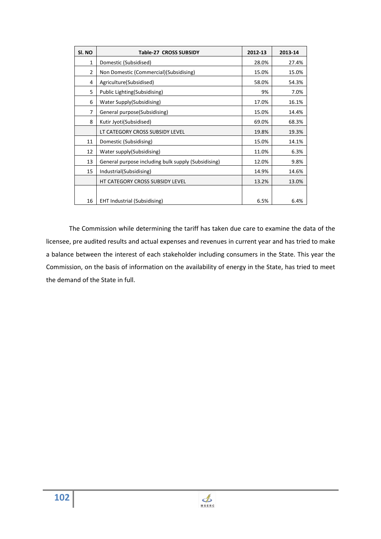| SI. NO | Table-27 CROSS SUBSIDY                              | 2012-13 | 2013-14 |
|--------|-----------------------------------------------------|---------|---------|
| 1      | Domestic (Subsidised)                               | 28.0%   | 27.4%   |
| 2      | Non Domestic (Commercial)(Subsidising)              | 15.0%   | 15.0%   |
| 4      | Agriculture(Subsidised)                             | 58.0%   | 54.3%   |
| 5      | Public Lighting (Subsidising)                       | 9%      | 7.0%    |
| 6      | Water Supply(Subsidising)                           | 17.0%   | 16.1%   |
| 7      | General purpose(Subsidising)                        | 15.0%   | 14.4%   |
| 8      | Kutir Jyoti(Subsidised)                             | 69.0%   | 68.3%   |
|        | LT CATEGORY CROSS SUBSIDY LEVEL                     | 19.8%   | 19.3%   |
| 11     | Domestic (Subsidising)                              | 15.0%   | 14.1%   |
| 12     | Water supply(Subsidising)                           | 11.0%   | 6.3%    |
| 13     | General purpose including bulk supply (Subsidising) | 12.0%   | 9.8%    |
| 15     | Industrial(Subsidising)                             | 14.9%   | 14.6%   |
|        | HT CATEGORY CROSS SUBSIDY LEVEL                     | 13.2%   | 13.0%   |
|        |                                                     |         |         |
| 16     | <b>EHT Industrial (Subsidising)</b>                 | 6.5%    | 6.4%    |

The Commission while determining the tariff has taken due care to examine the data of the licensee, pre audited results and actual expenses and revenues in current year and has tried to make a balance between the interest of each stakeholder including consumers in the State. This year the Commission, on the basis of information on the availability of energy in the State, has tried to meet the demand of the State in full.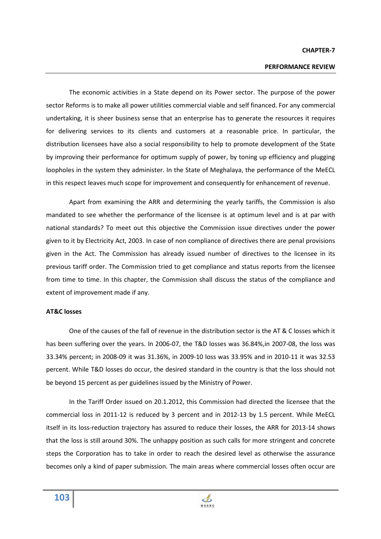#### **CHAPTER-7**

## **PERFORMANCE REVIEW**

The economic activities in a State depend on its Power sector. The purpose of the power sector Reforms is to make all power utilities commercial viable and self financed. For any commercial undertaking, it is sheer business sense that an enterprise has to generate the resources it requires for delivering services to its clients and customers at a reasonable price. In particular, the distribution licensees have also a social responsibility to help to promote development of the State by improving their performance for optimum supply of power, by toning up efficiency and plugging loopholes in the system they administer. In the State of Meghalaya, the performance of the MeECL in this respect leaves much scope for improvement and consequently for enhancement of revenue.

Apart from examining the ARR and determining the yearly tariffs, the Commission is also mandated to see whether the performance of the licensee is at optimum level and is at par with national standards? To meet out this objective the Commission issue directives under the power given to it by Electricity Act, 2003. In case of non compliance of directives there are penal provisions given in the Act. The Commission has already issued number of directives to the licensee in its previous tariff order. The Commission tried to get compliance and status reports from the licensee from time to time. In this chapter, the Commission shall discuss the status of the compliance and extent of improvement made if any.

#### **AT&C losses**

One of the causes of the fall of revenue in the distribution sector is the AT & C losses which it has been suffering over the years. In 2006-07, the T&D losses was 36.84%,in 2007-08, the loss was 33.34% percent; in 2008-09 it was 31.36%, in 2009-10 loss was 33.95% and in 2010-11 it was 32.53 percent. While T&D losses do occur, the desired standard in the country is that the loss should not be beyond 15 percent as per guidelines issued by the Ministry of Power.

In the Tariff Order issued on 20.1.2012, this Commission had directed the licensee that the commercial loss in 2011-12 is reduced by 3 percent and in 2012-13 by 1.5 percent. While MeECL itself in its loss-reduction trajectory has assured to reduce their losses, the ARR for 2013-14 shows that the loss is still around 30%. The unhappy position as such calls for more stringent and concrete steps the Corporation has to take in order to reach the desired level as otherwise the assurance becomes only a kind of paper submission. The main areas where commercial losses often occur are

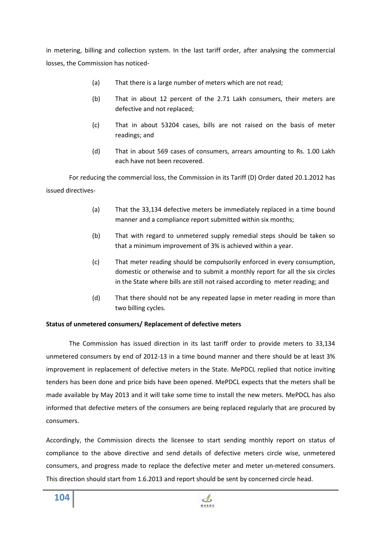in metering, billing and collection system. In the last tariff order, after analysing the commercial losses, the Commission has noticed-

- (a) That there is a large number of meters which are not read;
- (b) That in about 12 percent of the 2.71 Lakh consumers, their meters are defective and not replaced;
- (c) That in about 53204 cases, bills are not raised on the basis of meter readings; and
- (d) That in about 569 cases of consumers, arrears amounting to Rs. 1.00 Lakh each have not been recovered.

For reducing the commercial loss, the Commission in its Tariff (D) Order dated 20.1.2012 has issued directives-

- (a) That the 33,134 defective meters be immediately replaced in a time bound manner and a compliance report submitted within six months;
- (b) That with regard to unmetered supply remedial steps should be taken so that a minimum improvement of 3% is achieved within a year.
- (c) That meter reading should be compulsorily enforced in every consumption, domestic or otherwise and to submit a monthly report for all the six circles in the State where bills are still not raised according to meter reading; and
- (d) That there should not be any repeated lapse in meter reading in more than two billing cycles.

## **Status of unmetered consumers/ Replacement of defective meters**

 The Commission has issued direction in its last tariff order to provide meters to 33,134 unmetered consumers by end of 2012-13 in a time bound manner and there should be at least 3% improvement in replacement of defective meters in the State. MePDCL replied that notice inviting tenders has been done and price bids have been opened. MePDCL expects that the meters shall be made available by May 2013 and it will take some time to install the new meters. MePDCL has also informed that defective meters of the consumers are being replaced regularly that are procured by consumers.

Accordingly, the Commission directs the licensee to start sending monthly report on status of compliance to the above directive and send details of defective meters circle wise, unmetered consumers, and progress made to replace the defective meter and meter un-metered consumers. This direction should start from 1.6.2013 and report should be sent by concerned circle head.

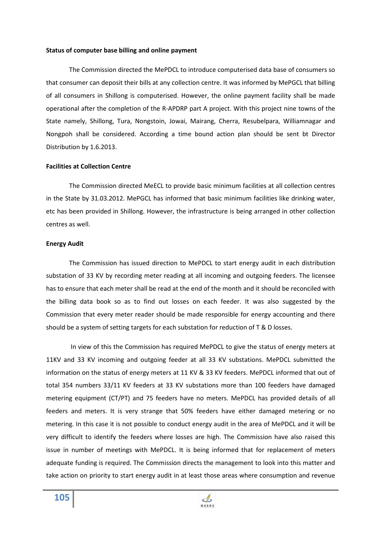#### **Status of computer base billing and online payment**

 The Commission directed the MePDCL to introduce computerised data base of consumers so that consumer can deposit their bills at any collection centre. It was informed by MePGCL that billing of all consumers in Shillong is computerised. However, the online payment facility shall be made operational after the completion of the R-APDRP part A project. With this project nine towns of the State namely, Shillong, Tura, Nongstoin, Jowai, Mairang, Cherra, Resubelpara, Williamnagar and Nongpoh shall be considered. According a time bound action plan should be sent bt Director Distribution by 1.6.2013.

#### **Facilities at Collection Centre**

 The Commission directed MeECL to provide basic minimum facilities at all collection centres in the State by 31.03.2012. MePGCL has informed that basic minimum facilities like drinking water, etc has been provided in Shillong. However, the infrastructure is being arranged in other collection centres as well.

#### **Energy Audit**

 The Commission has issued direction to MePDCL to start energy audit in each distribution substation of 33 KV by recording meter reading at all incoming and outgoing feeders. The licensee has to ensure that each meter shall be read at the end of the month and it should be reconciled with the billing data book so as to find out losses on each feeder. It was also suggested by the Commission that every meter reader should be made responsible for energy accounting and there should be a system of setting targets for each substation for reduction of T & D losses.

 In view of this the Commission has required MePDCL to give the status of energy meters at 11KV and 33 KV incoming and outgoing feeder at all 33 KV substations. MePDCL submitted the information on the status of energy meters at 11 KV & 33 KV feeders. MePDCL informed that out of total 354 numbers 33/11 KV feeders at 33 KV substations more than 100 feeders have damaged metering equipment (CT/PT) and 75 feeders have no meters. MePDCL has provided details of all feeders and meters. It is very strange that 50% feeders have either damaged metering or no metering. In this case it is not possible to conduct energy audit in the area of MePDCL and it will be very difficult to identify the feeders where losses are high. The Commission have also raised this issue in number of meetings with MePDCL. It is being informed that for replacement of meters adequate funding is required. The Commission directs the management to look into this matter and take action on priority to start energy audit in at least those areas where consumption and revenue

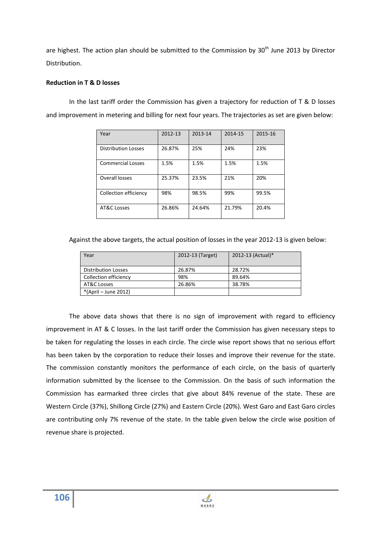are highest. The action plan should be submitted to the Commission by  $30<sup>th</sup>$  June 2013 by Director Distribution.

## **Reduction in T & D losses**

In the last tariff order the Commission has given a trajectory for reduction of T & D losses and improvement in metering and billing for next four years. The trajectories as set are given below:

| Year                       | 2012-13 | 2013-14 | 2014-15 | 2015-16 |
|----------------------------|---------|---------|---------|---------|
| <b>Distribution Losses</b> | 26.87%  | 25%     | 24%     | 23%     |
| <b>Commercial Losses</b>   | 1.5%    | 1.5%    | 1.5%    | 1.5%    |
| Overall losses             | 25.37%  | 23.5%   | 21%     | 20%     |
| Collection efficiency      | 98%     | 98.5%   | 99%     | 99.5%   |
| AT&C Losses                | 26.86%  | 24.64%  | 21.79%  | 20.4%   |

Against the above targets, the actual position of losses in the year 2012-13 is given below:

| Year                       | 2012-13 (Target) | 2012-13 (Actual)* |
|----------------------------|------------------|-------------------|
| <b>Distribution Losses</b> | 26.87%           | 28.72%            |
| Collection efficiency      | 98%              | 89.64%            |
| AT&C Losses                | 26.86%           | 38.78%            |
| *(April – June 2012)       |                  |                   |

The above data shows that there is no sign of improvement with regard to efficiency improvement in AT & C losses. In the last tariff order the Commission has given necessary steps to be taken for regulating the losses in each circle. The circle wise report shows that no serious effort has been taken by the corporation to reduce their losses and improve their revenue for the state. The commission constantly monitors the performance of each circle, on the basis of quarterly information submitted by the licensee to the Commission. On the basis of such information the Commission has earmarked three circles that give about 84% revenue of the state. These are Western Circle (37%), Shillong Circle (27%) and Eastern Circle (20%). West Garo and East Garo circles are contributing only 7% revenue of the state. In the table given below the circle wise position of revenue share is projected.

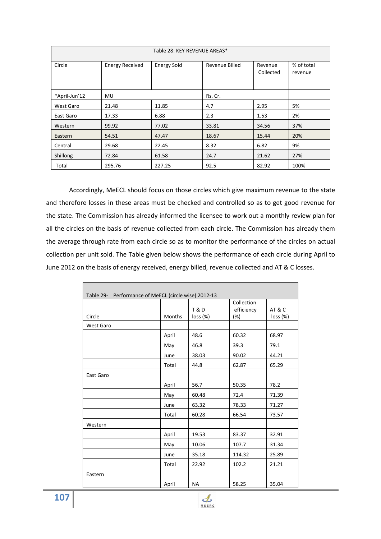| Table 28: KEY REVENUE AREAS* |                        |                    |                |                      |                       |  |
|------------------------------|------------------------|--------------------|----------------|----------------------|-----------------------|--|
| Circle                       | <b>Energy Received</b> | <b>Energy Sold</b> | Revenue Billed | Revenue<br>Collected | % of total<br>revenue |  |
| *April-Jun'12                | MU.                    |                    | Rs. Cr.        |                      |                       |  |
| West Garo                    | 21.48                  | 11.85              | 4.7            | 2.95                 | 5%                    |  |
| East Garo                    | 17.33                  | 6.88               | 2.3            | 1.53                 | 2%                    |  |
| Western                      | 99.92                  | 77.02              | 33.81          | 34.56                | 37%                   |  |
| Eastern                      | 54.51                  | 47.47              | 18.67          | 15.44                | 20%                   |  |
| Central                      | 29.68                  | 22.45              | 8.32           | 6.82                 | 9%                    |  |
| Shillong                     | 72.84                  | 61.58              | 24.7           | 21.62                | 27%                   |  |
| Total                        | 295.76                 | 227.25             | 92.5           | 82.92                | 100%                  |  |

Accordingly, MeECL should focus on those circles which give maximum revenue to the state and therefore losses in these areas must be checked and controlled so as to get good revenue for the state. The Commission has already informed the licensee to work out a monthly review plan for all the circles on the basis of revenue collected from each circle. The Commission has already them the average through rate from each circle so as to monitor the performance of the circles on actual collection per unit sold. The Table given below shows the performance of each circle during April to June 2012 on the basis of energy received, energy billed, revenue collected and AT & C losses.

| Table 29- Performance of MeECL (circle wise) 2012-13 |               |                            |                                    |                    |  |
|------------------------------------------------------|---------------|----------------------------|------------------------------------|--------------------|--|
| Circle                                               | <b>Months</b> | <b>T&amp;D</b><br>loss (%) | Collection<br>efficiency<br>$(\%)$ | AT & C<br>loss (%) |  |
| <b>West Garo</b>                                     |               |                            |                                    |                    |  |
|                                                      | April         | 48.6                       | 60.32                              | 68.97              |  |
|                                                      | May           | 46.8                       | 39.3                               | 79.1               |  |
|                                                      | June          | 38.03                      | 90.02                              | 44.21              |  |
|                                                      | Total         | 44.8                       | 62.87                              | 65.29              |  |
| East Garo                                            |               |                            |                                    |                    |  |
|                                                      | April         | 56.7                       | 50.35                              | 78.2               |  |
|                                                      | May           | 60.48                      | 72.4                               | 71.39              |  |
|                                                      | June          | 63.32                      | 78.33                              | 71.27              |  |
|                                                      | Total         | 60.28                      | 66.54                              | 73.57              |  |
| Western                                              |               |                            |                                    |                    |  |
|                                                      | April         | 19.53                      | 83.37                              | 32.91              |  |
|                                                      | May           | 10.06                      | 107.7                              | 31.34              |  |
|                                                      | June          | 35.18                      | 114.32                             | 25.89              |  |
|                                                      | Total         | 22.92                      | 102.2                              | 21.21              |  |
| Eastern                                              |               |                            |                                    |                    |  |
|                                                      | April         | <b>NA</b>                  | 58.25                              | 35.04              |  |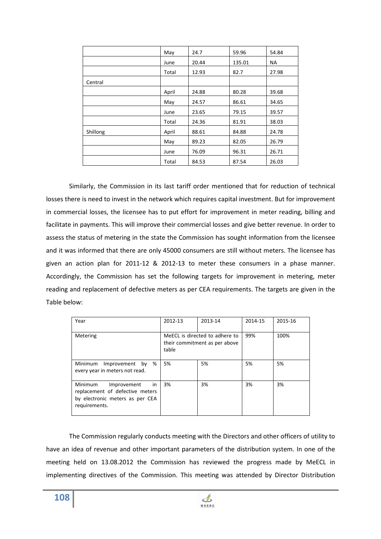|          | May   | 24.7  | 59.96  | 54.84 |
|----------|-------|-------|--------|-------|
|          | June  | 20.44 | 135.01 | NA    |
|          | Total | 12.93 | 82.7   | 27.98 |
| Central  |       |       |        |       |
|          | April | 24.88 | 80.28  | 39.68 |
|          | May   | 24.57 | 86.61  | 34.65 |
|          | June  | 23.65 | 79.15  | 39.57 |
|          | Total | 24.36 | 81.91  | 38.03 |
| Shillong | April | 88.61 | 84.88  | 24.78 |
|          | May   | 89.23 | 82.05  | 26.79 |
|          | June  | 76.09 | 96.31  | 26.71 |
|          | Total | 84.53 | 87.54  | 26.03 |

Similarly, the Commission in its last tariff order mentioned that for reduction of technical losses there is need to invest in the network which requires capital investment. But for improvement in commercial losses, the licensee has to put effort for improvement in meter reading, billing and facilitate in payments. This will improve their commercial losses and give better revenue. In order to assess the status of metering in the state the Commission has sought information from the licensee and it was informed that there are only 45000 consumers are still without meters. The licensee has given an action plan for 2011-12 & 2012-13 to meter these consumers in a phase manner. Accordingly, the Commission has set the following targets for improvement in metering, meter reading and replacement of defective meters as per CEA requirements. The targets are given in the Table below:

| Year                                                                                                                        | 2012-13                                                                  | 2013-14 | 2014-15 | 2015-16 |
|-----------------------------------------------------------------------------------------------------------------------------|--------------------------------------------------------------------------|---------|---------|---------|
| Metering                                                                                                                    | MeECL is directed to adhere to<br>their commitment as per above<br>table |         | 99%     | 100%    |
| %<br>Minimum<br>by<br>Improvement<br>every year in meters not read.                                                         | 5%                                                                       | 5%      | 5%      | 5%      |
| <b>Minimum</b><br>Improvement<br>in.<br>replacement of defective meters<br>by electronic meters as per CEA<br>requirements. | 3%                                                                       | 3%      | 3%      | 3%      |

The Commission regularly conducts meeting with the Directors and other officers of utility to have an idea of revenue and other important parameters of the distribution system. In one of the meeting held on 13.08.2012 the Commission has reviewed the progress made by MeECL in implementing directives of the Commission. This meeting was attended by Director Distribution

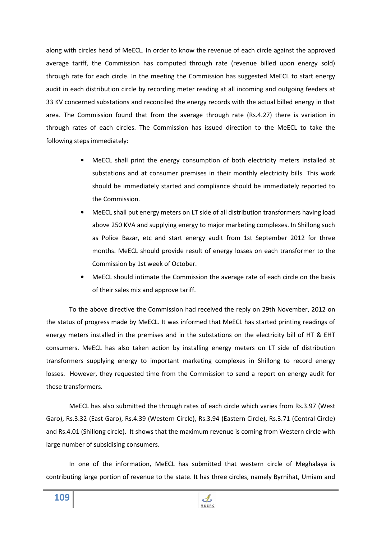along with circles head of MeECL. In order to know the revenue of each circle against the approved average tariff, the Commission has computed through rate (revenue billed upon energy sold) through rate for each circle. In the meeting the Commission has suggested MeECL to start energy audit in each distribution circle by recording meter reading at all incoming and outgoing feeders at 33 KV concerned substations and reconciled the energy records with the actual billed energy in that area. The Commission found that from the average through rate (Rs.4.27) there is variation in through rates of each circles. The Commission has issued direction to the MeECL to take the following steps immediately:

- MeECL shall print the energy consumption of both electricity meters installed at substations and at consumer premises in their monthly electricity bills. This work should be immediately started and compliance should be immediately reported to the Commission.
- MeECL shall put energy meters on LT side of all distribution transformers having load above 250 KVA and supplying energy to major marketing complexes. In Shillong such as Police Bazar, etc and start energy audit from 1st September 2012 for three months. MeECL should provide result of energy losses on each transformer to the Commission by 1st week of October.
- MeECL should intimate the Commission the average rate of each circle on the basis of their sales mix and approve tariff.

To the above directive the Commission had received the reply on 29th November, 2012 on the status of progress made by MeECL. It was informed that MeECL has started printing readings of energy meters installed in the premises and in the substations on the electricity bill of HT & EHT consumers. MeECL has also taken action by installing energy meters on LT side of distribution transformers supplying energy to important marketing complexes in Shillong to record energy losses. However, they requested time from the Commission to send a report on energy audit for these transformers.

MeECL has also submitted the through rates of each circle which varies from Rs.3.97 (West Garo), Rs.3.32 (East Garo), Rs.4.39 (Western Circle), Rs.3.94 (Eastern Circle), Rs.3.71 (Central Circle) and Rs.4.01 (Shillong circle). It shows that the maximum revenue is coming from Western circle with large number of subsidising consumers.

In one of the information, MeECL has submitted that western circle of Meghalaya is contributing large portion of revenue to the state. It has three circles, namely Byrnihat, Umiam and

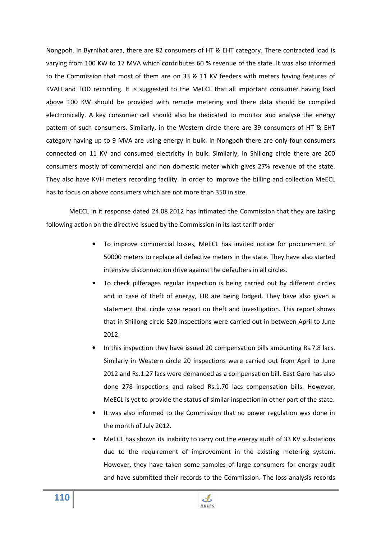Nongpoh. In Byrnihat area, there are 82 consumers of HT & EHT category. There contracted load is varying from 100 KW to 17 MVA which contributes 60 % revenue of the state. It was also informed to the Commission that most of them are on 33 & 11 KV feeders with meters having features of KVAH and TOD recording. It is suggested to the MeECL that all important consumer having load above 100 KW should be provided with remote metering and there data should be compiled electronically. A key consumer cell should also be dedicated to monitor and analyse the energy pattern of such consumers. Similarly, in the Western circle there are 39 consumers of HT & EHT category having up to 9 MVA are using energy in bulk. In Nongpoh there are only four consumers connected on 11 KV and consumed electricity in bulk. Similarly, in Shillong circle there are 200 consumers mostly of commercial and non domestic meter which gives 27% revenue of the state. They also have KVH meters recording facility. In order to improve the billing and collection MeECL has to focus on above consumers which are not more than 350 in size.

MeECL in it response dated 24.08.2012 has intimated the Commission that they are taking following action on the directive issued by the Commission in its last tariff order

- To improve commercial losses, MeECL has invited notice for procurement of 50000 meters to replace all defective meters in the state. They have also started intensive disconnection drive against the defaulters in all circles.
- To check pilferages regular inspection is being carried out by different circles and in case of theft of energy, FIR are being lodged. They have also given a statement that circle wise report on theft and investigation. This report shows that in Shillong circle 520 inspections were carried out in between April to June 2012.
- In this inspection they have issued 20 compensation bills amounting Rs.7.8 lacs. Similarly in Western circle 20 inspections were carried out from April to June 2012 and Rs.1.27 lacs were demanded as a compensation bill. East Garo has also done 278 inspections and raised Rs.1.70 lacs compensation bills. However, MeECL is yet to provide the status of similar inspection in other part of the state.
- It was also informed to the Commission that no power regulation was done in the month of July 2012.
- MeECL has shown its inability to carry out the energy audit of 33 KV substations due to the requirement of improvement in the existing metering system. However, they have taken some samples of large consumers for energy audit and have submitted their records to the Commission. The loss analysis records

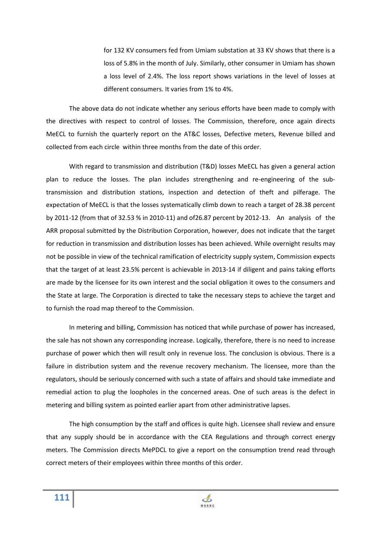for 132 KV consumers fed from Umiam substation at 33 KV shows that there is a loss of 5.8% in the month of July. Similarly, other consumer in Umiam has shown a loss level of 2.4%. The loss report shows variations in the level of losses at different consumers. It varies from 1% to 4%.

The above data do not indicate whether any serious efforts have been made to comply with the directives with respect to control of losses. The Commission, therefore, once again directs MeECL to furnish the quarterly report on the AT&C losses, Defective meters, Revenue billed and collected from each circle within three months from the date of this order.

With regard to transmission and distribution (T&D) losses MeECL has given a general action plan to reduce the losses. The plan includes strengthening and re-engineering of the subtransmission and distribution stations, inspection and detection of theft and pilferage. The expectation of MeECL is that the losses systematically climb down to reach a target of 28.38 percent by 2011-12 (from that of 32.53 % in 2010-11) and of26.87 percent by 2012-13. An analysis of the ARR proposal submitted by the Distribution Corporation, however, does not indicate that the target for reduction in transmission and distribution losses has been achieved. While overnight results may not be possible in view of the technical ramification of electricity supply system, Commission expects that the target of at least 23.5% percent is achievable in 2013-14 if diligent and pains taking efforts are made by the licensee for its own interest and the social obligation it owes to the consumers and the State at large. The Corporation is directed to take the necessary steps to achieve the target and to furnish the road map thereof to the Commission.

In metering and billing, Commission has noticed that while purchase of power has increased, the sale has not shown any corresponding increase. Logically, therefore, there is no need to increase purchase of power which then will result only in revenue loss. The conclusion is obvious. There is a failure in distribution system and the revenue recovery mechanism. The licensee, more than the regulators, should be seriously concerned with such a state of affairs and should take immediate and remedial action to plug the loopholes in the concerned areas. One of such areas is the defect in metering and billing system as pointed earlier apart from other administrative lapses.

The high consumption by the staff and offices is quite high. Licensee shall review and ensure that any supply should be in accordance with the CEA Regulations and through correct energy meters. The Commission directs MePDCL to give a report on the consumption trend read through correct meters of their employees within three months of this order.

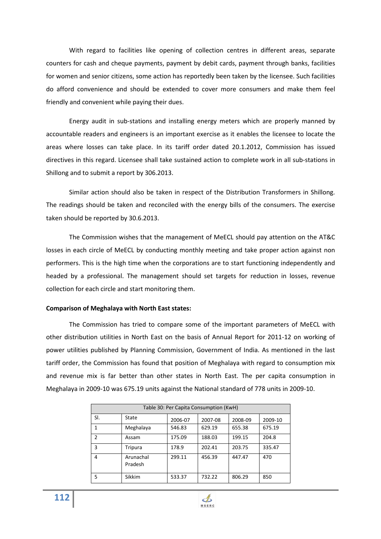With regard to facilities like opening of collection centres in different areas, separate counters for cash and cheque payments, payment by debit cards, payment through banks, facilities for women and senior citizens, some action has reportedly been taken by the licensee. Such facilities do afford convenience and should be extended to cover more consumers and make them feel friendly and convenient while paying their dues.

Energy audit in sub-stations and installing energy meters which are properly manned by accountable readers and engineers is an important exercise as it enables the licensee to locate the areas where losses can take place. In its tariff order dated 20.1.2012, Commission has issued directives in this regard. Licensee shall take sustained action to complete work in all sub-stations in Shillong and to submit a report by 306.2013.

Similar action should also be taken in respect of the Distribution Transformers in Shillong. The readings should be taken and reconciled with the energy bills of the consumers. The exercise taken should be reported by 30.6.2013.

The Commission wishes that the management of MeECL should pay attention on the AT&C losses in each circle of MeECL by conducting monthly meeting and take proper action against non performers. This is the high time when the corporations are to start functioning independently and headed by a professional. The management should set targets for reduction in losses, revenue collection for each circle and start monitoring them.

#### **Comparison of Meghalaya with North East states:**

The Commission has tried to compare some of the important parameters of MeECL with other distribution utilities in North East on the basis of Annual Report for 2011-12 on working of power utilities published by Planning Commission, Government of India. As mentioned in the last tariff order, the Commission has found that position of Meghalaya with regard to consumption mix and revenue mix is far better than other states in North East. The per capita consumption in Meghalaya in 2009-10 was 675.19 units against the National standard of 778 units in 2009-10.

| Table 30: Per Capita Consumption (KwH) |                      |         |         |         |         |  |  |
|----------------------------------------|----------------------|---------|---------|---------|---------|--|--|
| SI.                                    | State                | 2006-07 | 2007-08 | 2008-09 | 2009-10 |  |  |
| 1                                      | Meghalaya            | 546.83  | 629.19  | 655.38  | 675.19  |  |  |
| $\mathcal{P}$                          | Assam                | 175.09  | 188.03  | 199.15  | 204.8   |  |  |
| 3                                      | Tripura              | 178.9   | 202.41  | 203.75  | 335.47  |  |  |
| 4                                      | Arunachal<br>Pradesh | 299.11  | 456.39  | 447.47  | 470     |  |  |
| 5                                      | <b>Sikkim</b>        | 533.37  | 732.22  | 806.29  | 850     |  |  |

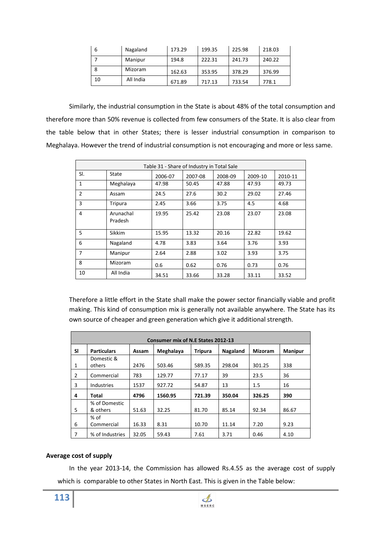| 6  | Nagaland  | 173.29 | 199.35 | 225.98 | 218.03 |
|----|-----------|--------|--------|--------|--------|
|    | Manipur   | 194.8  | 222.31 | 241.73 | 240.22 |
| 8  | Mizoram   | 162.63 | 353.95 | 378.29 | 376.99 |
| 10 | All India | 671.89 | 717.13 | 733.54 | 778.1  |

Similarly, the industrial consumption in the State is about 48% of the total consumption and therefore more than 50% revenue is collected from few consumers of the State. It is also clear from the table below that in other States; there is lesser industrial consumption in comparison to Meghalaya. However the trend of industrial consumption is not encouraging and more or less same.

| Table 31 - Share of Industry in Total Sale |                      |         |         |         |         |         |  |
|--------------------------------------------|----------------------|---------|---------|---------|---------|---------|--|
| SI.                                        | State                | 2006-07 | 2007-08 | 2008-09 | 2009-10 | 2010-11 |  |
| $\mathbf{1}$                               | Meghalaya            | 47.98   | 50.45   | 47.88   | 47.93   | 49.73   |  |
| $\overline{2}$                             | Assam                | 24.5    | 27.6    | 30.2    | 29.02   | 27.46   |  |
| 3                                          | Tripura              | 2.45    | 3.66    | 3.75    | 4.5     | 4.68    |  |
| 4                                          | Arunachal<br>Pradesh | 19.95   | 25.42   | 23.08   | 23.07   | 23.08   |  |
| 5                                          | Sikkim               | 15.95   | 13.32   | 20.16   | 22.82   | 19.62   |  |
| 6                                          | Nagaland             | 4.78    | 3.83    | 3.64    | 3.76    | 3.93    |  |
| 7                                          | Manipur              | 2.64    | 2.88    | 3.02    | 3.93    | 3.75    |  |
| 8                                          | Mizoram              | 0.6     | 0.62    | 0.76    | 0.73    | 0.76    |  |
| 10                                         | All India            | 34.51   | 33.66   | 33.28   | 33.11   | 33.52   |  |

Therefore a little effort in the State shall make the power sector financially viable and profit making. This kind of consumption mix is generally not available anywhere. The State has its own source of cheaper and green generation which give it additional strength.

| Consumer mix of N.E States 2012-13 |                    |       |           |                |          |                |                |
|------------------------------------|--------------------|-------|-----------|----------------|----------|----------------|----------------|
| <b>SI</b>                          | <b>Particulars</b> | Assam | Meghalaya | <b>Tripura</b> | Nagaland | <b>Mizoram</b> | <b>Manipur</b> |
|                                    | Domestic &         |       |           |                |          |                |                |
| 1                                  | others             | 2476  | 503.46    | 589.35         | 298.04   | 301.25         | 338            |
| 2                                  | Commercial         | 783   | 129.77    | 77.17          | 39       | 23.5           | 36             |
| 3                                  | <b>Industries</b>  | 1537  | 927.72    | 54.87          | 13       | 1.5            | 16             |
| 4                                  | Total              | 4796  | 1560.95   | 721.39         | 350.04   | 326.25         | 390            |
|                                    | % of Domestic      |       |           |                |          |                |                |
| 5                                  | & others           | 51.63 | 32.25     | 81.70          | 85.14    | 92.34          | 86.67          |
|                                    | $%$ of             |       |           |                |          |                |                |
| 6                                  | Commercial         | 16.33 | 8.31      | 10.70          | 11.14    | 7.20           | 9.23           |
| 7                                  | % of Industries    | 32.05 | 59.43     | 7.61           | 3.71     | 0.46           | 4.10           |

#### **Average cost of supply**

 In the year 2013-14, the Commission has allowed Rs.4.55 as the average cost of supply which is comparable to other States in North East. This is given in the Table below:

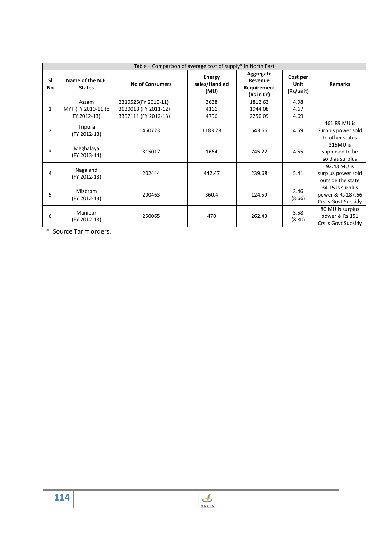| Table – Comparison of average cost of supply* in North East |                                   |                        |                                        |                                                   |                               |                                                              |  |  |
|-------------------------------------------------------------|-----------------------------------|------------------------|----------------------------------------|---------------------------------------------------|-------------------------------|--------------------------------------------------------------|--|--|
| <b>SI</b><br>No                                             | Name of the N.E.<br><b>States</b> | <b>No of Consumers</b> | <b>Energy</b><br>sales/Handled<br>(MU) | Aggregate<br>Revenue<br>Requirement<br>(Rs in Cr) | Cost per<br>Unit<br>(Rs/unit) | <b>Remarks</b>                                               |  |  |
|                                                             | Assam                             | 2310525(FY 2010-11)    | 3638                                   | 1812.63                                           | 4.98                          |                                                              |  |  |
| 1                                                           | MYT (FY 2010-11 to                | 3030018 (FY 2011-12)   | 4161                                   | 1944.08                                           | 4.67                          |                                                              |  |  |
|                                                             | FY 2012-13)                       | 3357111 (FY 2012-13)   | 4796                                   | 2250.09                                           | 4.69                          |                                                              |  |  |
| $\overline{2}$                                              | Tripura<br>(FY 2012-13)           | 460723                 | 1183.28                                | 543.66                                            | 4.59                          | 461.89 MU is<br>Surplus power sold<br>to other states        |  |  |
| 3                                                           | Meghalaya<br>(FY 2013-14)         | 315017                 | 1664                                   | 745.22                                            | 4.55                          | 315MU is<br>supposed to be<br>sold as surplus                |  |  |
| 4                                                           | Nagaland<br>(FY 2012-13)          | 202444                 | 442.47                                 | 239.68                                            | 5.41                          | 92.43 MU is<br>surplus power sold<br>outside the state       |  |  |
| 5                                                           | Mizoram<br>(FY 2012-13)           | 200463                 | 360.4                                  | 124.59                                            | 3.46<br>(8.66)                | 34.15 is surplus<br>power & Rs 187.66<br>Crs is Govt Subsidy |  |  |
| 6                                                           | Manipur<br>(FY 2012-13)           | 250065                 | 470                                    | 262.43                                            | 5.58<br>(8.80)                | 80 MU is surplus<br>power & Rs 151<br>Crs is Govt Subsidy    |  |  |

\* Source Tariff orders.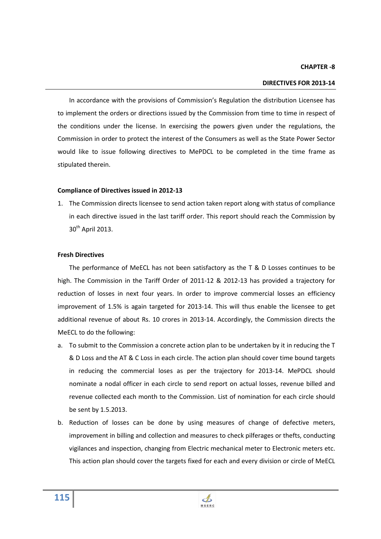#### **CHAPTER -8**

#### **DIRECTIVES FOR 2013-14**

In accordance with the provisions of Commission's Regulation the distribution Licensee has to implement the orders or directions issued by the Commission from time to time in respect of the conditions under the license. In exercising the powers given under the regulations, the Commission in order to protect the interest of the Consumers as well as the State Power Sector would like to issue following directives to MePDCL to be completed in the time frame as stipulated therein.

#### **Compliance of Directives issued in 2012-13**

1. The Commission directs licensee to send action taken report along with status of compliance in each directive issued in the last tariff order. This report should reach the Commission by 30<sup>th</sup> April 2013.

#### **Fresh Directives**

 The performance of MeECL has not been satisfactory as the T & D Losses continues to be high. The Commission in the Tariff Order of 2011-12 & 2012-13 has provided a trajectory for reduction of losses in next four years. In order to improve commercial losses an efficiency improvement of 1.5% is again targeted for 2013-14. This will thus enable the licensee to get additional revenue of about Rs. 10 crores in 2013-14. Accordingly, the Commission directs the MeECL to do the following:

- a. To submit to the Commission a concrete action plan to be undertaken by it in reducing the T & D Loss and the AT & C Loss in each circle. The action plan should cover time bound targets in reducing the commercial loses as per the trajectory for 2013-14. MePDCL should nominate a nodal officer in each circle to send report on actual losses, revenue billed and revenue collected each month to the Commission. List of nomination for each circle should be sent by 1.5.2013.
- b. Reduction of losses can be done by using measures of change of defective meters, improvement in billing and collection and measures to check pilferages or thefts, conducting vigilances and inspection, changing from Electric mechanical meter to Electronic meters etc. This action plan should cover the targets fixed for each and every division or circle of MeECL

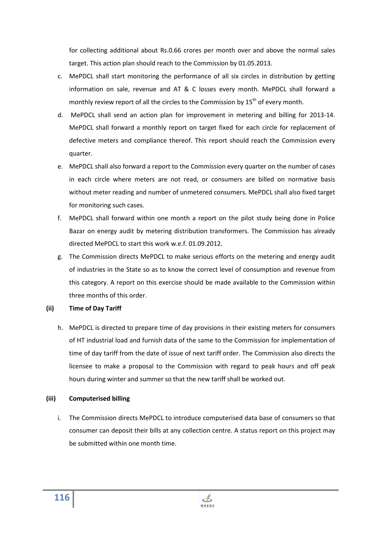for collecting additional about Rs.0.66 crores per month over and above the normal sales target. This action plan should reach to the Commission by 01.05.2013.

- c. MePDCL shall start monitoring the performance of all six circles in distribution by getting information on sale, revenue and AT & C losses every month. MePDCL shall forward a monthly review report of all the circles to the Commission by  $15<sup>th</sup>$  of every month.
- d. MePDCL shall send an action plan for improvement in metering and billing for 2013-14. MePDCL shall forward a monthly report on target fixed for each circle for replacement of defective meters and compliance thereof. This report should reach the Commission every quarter.
- e. MePDCL shall also forward a report to the Commission every quarter on the number of cases in each circle where meters are not read, or consumers are billed on normative basis without meter reading and number of unmetered consumers. MePDCL shall also fixed target for monitoring such cases.
- f. MePDCL shall forward within one month a report on the pilot study being done in Police Bazar on energy audit by metering distribution transformers. The Commission has already directed MePDCL to start this work w.e.f. 01.09.2012.
- g. The Commission directs MePDCL to make serious efforts on the metering and energy audit of industries in the State so as to know the correct level of consumption and revenue from this category. A report on this exercise should be made available to the Commission within three months of this order.
- **(ii) Time of Day Tariff** 
	- h. MePDCL is directed to prepare time of day provisions in their existing meters for consumers of HT industrial load and furnish data of the same to the Commission for implementation of time of day tariff from the date of issue of next tariff order. The Commission also directs the licensee to make a proposal to the Commission with regard to peak hours and off peak hours during winter and summer so that the new tariff shall be worked out.

### **(iii) Computerised billing**

i. The Commission directs MePDCL to introduce computerised data base of consumers so that consumer can deposit their bills at any collection centre. A status report on this project may be submitted within one month time.

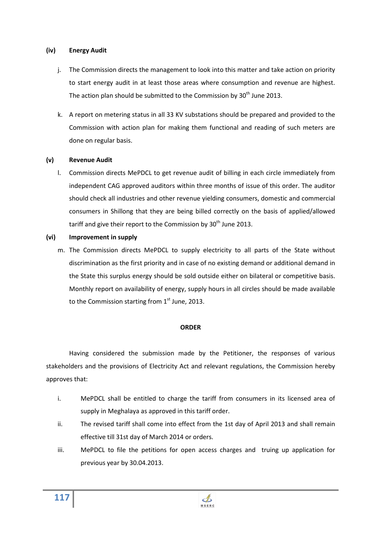### **(iv) Energy Audit**

- j. The Commission directs the management to look into this matter and take action on priority to start energy audit in at least those areas where consumption and revenue are highest. The action plan should be submitted to the Commission by  $30<sup>th</sup>$  June 2013.
- k. A report on metering status in all 33 KV substations should be prepared and provided to the Commission with action plan for making them functional and reading of such meters are done on regular basis.

### **(v) Revenue Audit**

l. Commission directs MePDCL to get revenue audit of billing in each circle immediately from independent CAG approved auditors within three months of issue of this order. The auditor should check all industries and other revenue yielding consumers, domestic and commercial consumers in Shillong that they are being billed correctly on the basis of applied/allowed tariff and give their report to the Commission by 30<sup>th</sup> June 2013.

### **(vi) Improvement in supply**

m. The Commission directs MePDCL to supply electricity to all parts of the State without discrimination as the first priority and in case of no existing demand or additional demand in the State this surplus energy should be sold outside either on bilateral or competitive basis. Monthly report on availability of energy, supply hours in all circles should be made available to the Commission starting from  $1<sup>st</sup>$  June, 2013.

#### **ORDER**

Having considered the submission made by the Petitioner, the responses of various stakeholders and the provisions of Electricity Act and relevant regulations, the Commission hereby approves that:

- i. MePDCL shall be entitled to charge the tariff from consumers in its licensed area of supply in Meghalaya as approved in this tariff order.
- ii. The revised tariff shall come into effect from the 1st day of April 2013 and shall remain effective till 31st day of March 2014 or orders.
- iii. MePDCL to file the petitions for open access charges and truing up application for previous year by 30.04.2013.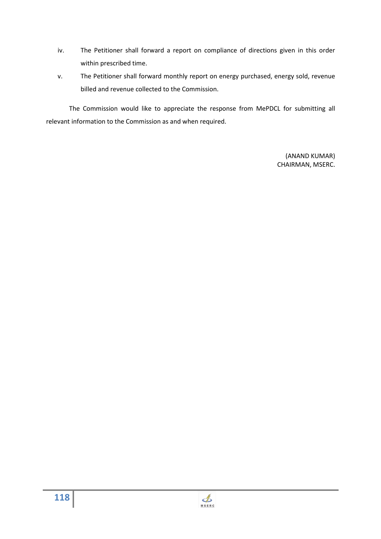- iv. The Petitioner shall forward a report on compliance of directions given in this order within prescribed time.
- v. The Petitioner shall forward monthly report on energy purchased, energy sold, revenue billed and revenue collected to the Commission.

The Commission would like to appreciate the response from MePDCL for submitting all relevant information to the Commission as and when required.

> (ANAND KUMAR) CHAIRMAN, MSERC.

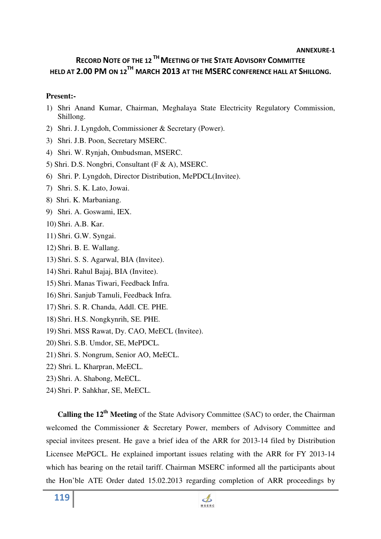#### **ANNEXURE-1**

# **RECORD NOTE OF THE 12 THMEETING OF THE STATE ADVISORY COMMITTEE HELD AT 2.00 PM ON 12TH MARCH 2013 AT THE MSERC CONFERENCE HALL AT SHILLONG.**

### **Present:-**

- 1) Shri Anand Kumar, Chairman, Meghalaya State Electricity Regulatory Commission, Shillong.
- 2) Shri. J. Lyngdoh, Commissioner & Secretary (Power).
- 3) Shri. J.B. Poon, Secretary MSERC.
- 4) Shri. W. Rynjah, Ombudsman, MSERC.
- 5) Shri. D.S. Nongbri, Consultant (F & A), MSERC.
- 6) Shri. P. Lyngdoh, Director Distribution, MePDCL(Invitee).
- 7) Shri. S. K. Lato, Jowai.
- 8) Shri. K. Marbaniang.
- 9) Shri. A. Goswami, IEX.
- 10) Shri. A.B. Kar.
- 11) Shri. G.W. Syngai.
- 12) Shri. B. E. Wallang.
- 13) Shri. S. S. Agarwal, BIA (Invitee).
- 14) Shri. Rahul Bajaj, BIA (Invitee).
- 15) Shri. Manas Tiwari, Feedback Infra.
- 16) Shri. Sanjub Tamuli, Feedback Infra.
- 17) Shri. S. R. Chanda, Addl. CE. PHE.
- 18) Shri. H.S. Nongkynrih, SE. PHE.
- 19) Shri. MSS Rawat, Dy. CAO, MeECL (Invitee).
- 20) Shri. S.B. Umdor, SE, MePDCL.
- 21) Shri. S. Nongrum, Senior AO, MeECL.
- 22) Shri. L. Kharpran, MeECL.
- 23) Shri. A. Shabong, MeECL.
- 24) Shri. P. Sahkhar, SE, MeECL.

**Calling the 12th Meeting** of the State Advisory Committee (SAC) to order, the Chairman welcomed the Commissioner & Secretary Power, members of Advisory Committee and special invitees present. He gave a brief idea of the ARR for 2013-14 filed by Distribution Licensee MePGCL. He explained important issues relating with the ARR for FY 2013-14 which has bearing on the retail tariff. Chairman MSERC informed all the participants about the Hon'ble ATE Order dated 15.02.2013 regarding completion of ARR proceedings by

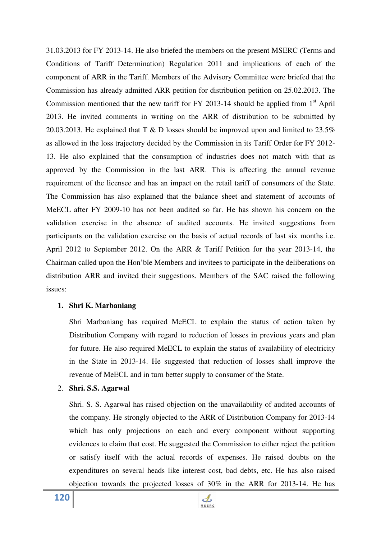31.03.2013 for FY 2013-14. He also briefed the members on the present MSERC (Terms and Conditions of Tariff Determination) Regulation 2011 and implications of each of the component of ARR in the Tariff. Members of the Advisory Committee were briefed that the Commission has already admitted ARR petition for distribution petition on 25.02.2013. The Commission mentioned that the new tariff for FY 2013-14 should be applied from  $1<sup>st</sup>$  April 2013. He invited comments in writing on the ARR of distribution to be submitted by 20.03.2013. He explained that T & D losses should be improved upon and limited to 23.5% as allowed in the loss trajectory decided by the Commission in its Tariff Order for FY 2012- 13. He also explained that the consumption of industries does not match with that as approved by the Commission in the last ARR. This is affecting the annual revenue requirement of the licensee and has an impact on the retail tariff of consumers of the State. The Commission has also explained that the balance sheet and statement of accounts of MeECL after FY 2009-10 has not been audited so far. He has shown his concern on the validation exercise in the absence of audited accounts. He invited suggestions from participants on the validation exercise on the basis of actual records of last six months i.e. April 2012 to September 2012. On the ARR & Tariff Petition for the year 2013-14, the Chairman called upon the Hon'ble Members and invitees to participate in the deliberations on distribution ARR and invited their suggestions. Members of the SAC raised the following issues:

### **1. Shri K. Marbaniang**

Shri Marbaniang has required MeECL to explain the status of action taken by Distribution Company with regard to reduction of losses in previous years and plan for future. He also required MeECL to explain the status of availability of electricity in the State in 2013-14. He suggested that reduction of losses shall improve the revenue of MeECL and in turn better supply to consumer of the State.

### 2. **Shri. S.S. Agarwal**

Shri. S. S. Agarwal has raised objection on the unavailability of audited accounts of the company. He strongly objected to the ARR of Distribution Company for 2013-14 which has only projections on each and every component without supporting evidences to claim that cost. He suggested the Commission to either reject the petition or satisfy itself with the actual records of expenses. He raised doubts on the expenditures on several heads like interest cost, bad debts, etc. He has also raised objection towards the projected losses of 30% in the ARR for 2013-14. He has

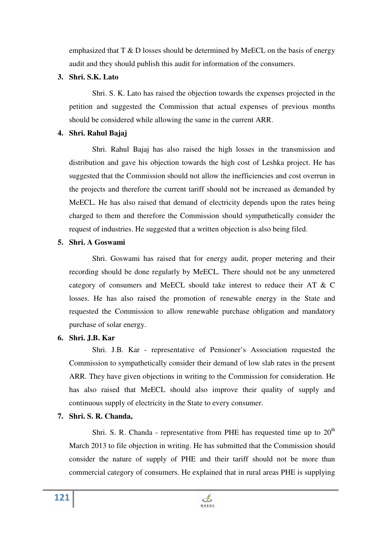emphasized that T & D losses should be determined by MeECL on the basis of energy audit and they should publish this audit for information of the consumers.

### **3. Shri. S.K. Lato**

 Shri. S. K. Lato has raised the objection towards the expenses projected in the petition and suggested the Commission that actual expenses of previous months should be considered while allowing the same in the current ARR.

## **4. Shri. Rahul Bajaj**

 Shri. Rahul Bajaj has also raised the high losses in the transmission and distribution and gave his objection towards the high cost of Leshka project. He has suggested that the Commission should not allow the inefficiencies and cost overrun in the projects and therefore the current tariff should not be increased as demanded by MeECL. He has also raised that demand of electricity depends upon the rates being charged to them and therefore the Commission should sympathetically consider the request of industries. He suggested that a written objection is also being filed.

## **5. Shri. A Goswami**

 Shri. Goswami has raised that for energy audit, proper metering and their recording should be done regularly by MeECL. There should not be any unmetered category of consumers and MeECL should take interest to reduce their AT & C losses. He has also raised the promotion of renewable energy in the State and requested the Commission to allow renewable purchase obligation and mandatory purchase of solar energy.

## **6. Shri. J.B. Kar**

 Shri. J.B. Kar - representative of Pensioner's Association requested the Commission to sympathetically consider their demand of low slab rates in the present ARR. They have given objections in writing to the Commission for consideration. He has also raised that MeECL should also improve their quality of supply and continuous supply of electricity in the State to every consumer.

## **7. Shri. S. R. Chanda,**

Shri. S. R. Chanda - representative from PHE has requested time up to  $20<sup>th</sup>$ March 2013 to file objection in writing. He has submitted that the Commission should consider the nature of supply of PHE and their tariff should not be more than commercial category of consumers. He explained that in rural areas PHE is supplying

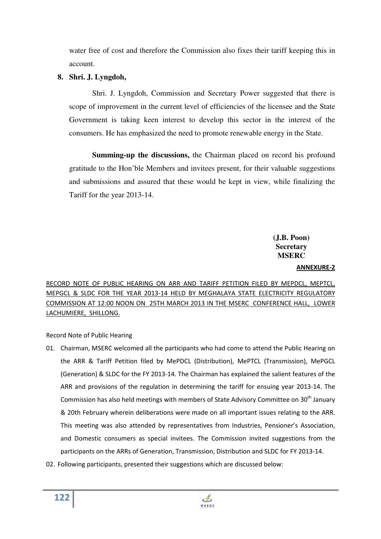water free of cost and therefore the Commission also fixes their tariff keeping this in account.

### **8. Shri. J. Lyngdoh,**

 Shri. J. Lyngdoh, Commission and Secretary Power suggested that there is scope of improvement in the current level of efficiencies of the licensee and the State Government is taking keen interest to develop this sector in the interest of the consumers. He has emphasized the need to promote renewable energy in the State.

**Summing-up the discussions,** the Chairman placed on record his profound gratitude to the Hon'ble Members and invitees present, for their valuable suggestions and submissions and assured that these would be kept in view, while finalizing the Tariff for the year 2013-14.

## **(J.B. Poon) Secretary MSERC**

### **ANNEXURE-2**

RECORD NOTE OF PUBLIC HEARING ON ARR AND TARIFF PETITION FILED BY MEPDCL, MEPTCL, MEPGCL & SLDC FOR THE YEAR 2013-14 HELD BY MEGHALAYA STATE ELECTRICITY REGULATORY COMMISSION AT 12:00 NOON ON 25TH MARCH 2013 IN THE MSERC CONFERENCE HALL, LOWER LACHUMIERE, SHILLONG.

Record Note of Public Hearing

- 01. Chairman, MSERC welcomed all the participants who had come to attend the Public Hearing on the ARR & Tariff Petition filed by MePDCL (Distribution), MePTCL (Transmission), MePGCL (Generation) & SLDC for the FY 2013-14. The Chairman has explained the salient features of the ARR and provisions of the regulation in determining the tariff for ensuing year 2013-14. The Commission has also held meetings with members of State Advisory Committee on 30<sup>th</sup> January & 20th February wherein deliberations were made on all important issues relating to the ARR. This meeting was also attended by representatives from Industries, Pensioner's Association, and Domestic consumers as special invitees. The Commission invited suggestions from the participants on the ARRs of Generation, Transmission, Distribution and SLDC for FY 2013-14.
- 02. Following participants, presented their suggestions which are discussed below:

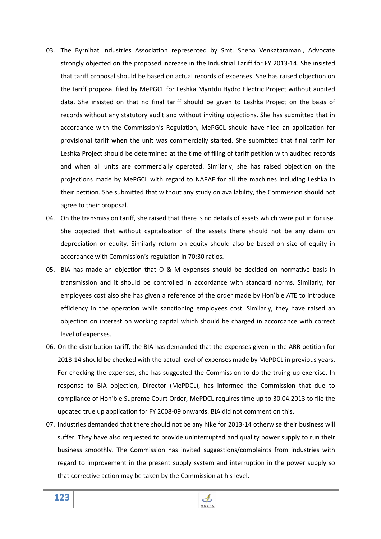- 03. The Byrnihat Industries Association represented by Smt. Sneha Venkataramani, Advocate strongly objected on the proposed increase in the Industrial Tariff for FY 2013-14. She insisted that tariff proposal should be based on actual records of expenses. She has raised objection on the tariff proposal filed by MePGCL for Leshka Myntdu Hydro Electric Project without audited data. She insisted on that no final tariff should be given to Leshka Project on the basis of records without any statutory audit and without inviting objections. She has submitted that in accordance with the Commission's Regulation, MePGCL should have filed an application for provisional tariff when the unit was commercially started. She submitted that final tariff for Leshka Project should be determined at the time of filing of tariff petition with audited records and when all units are commercially operated. Similarly, she has raised objection on the projections made by MePGCL with regard to NAPAF for all the machines including Leshka in their petition. She submitted that without any study on availability, the Commission should not agree to their proposal.
- 04. On the transmission tariff, she raised that there is no details of assets which were put in for use. She objected that without capitalisation of the assets there should not be any claim on depreciation or equity. Similarly return on equity should also be based on size of equity in accordance with Commission's regulation in 70:30 ratios.
- 05. BIA has made an objection that O & M expenses should be decided on normative basis in transmission and it should be controlled in accordance with standard norms. Similarly, for employees cost also she has given a reference of the order made by Hon'ble ATE to introduce efficiency in the operation while sanctioning employees cost. Similarly, they have raised an objection on interest on working capital which should be charged in accordance with correct level of expenses.
- 06. On the distribution tariff, the BIA has demanded that the expenses given in the ARR petition for 2013-14 should be checked with the actual level of expenses made by MePDCL in previous years. For checking the expenses, she has suggested the Commission to do the truing up exercise. In response to BIA objection, Director (MePDCL), has informed the Commission that due to compliance of Hon'ble Supreme Court Order, MePDCL requires time up to 30.04.2013 to file the updated true up application for FY 2008-09 onwards. BIA did not comment on this.
- 07. Industries demanded that there should not be any hike for 2013-14 otherwise their business will suffer. They have also requested to provide uninterrupted and quality power supply to run their business smoothly. The Commission has invited suggestions/complaints from industries with regard to improvement in the present supply system and interruption in the power supply so that corrective action may be taken by the Commission at his level.

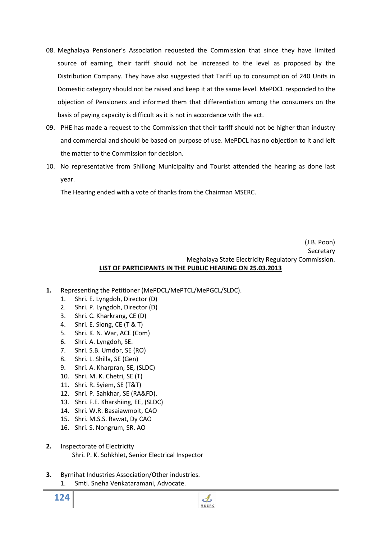- 08. Meghalaya Pensioner's Association requested the Commission that since they have limited source of earning, their tariff should not be increased to the level as proposed by the Distribution Company. They have also suggested that Tariff up to consumption of 240 Units in Domestic category should not be raised and keep it at the same level. MePDCL responded to the objection of Pensioners and informed them that differentiation among the consumers on the basis of paying capacity is difficult as it is not in accordance with the act.
- 09. PHE has made a request to the Commission that their tariff should not be higher than industry and commercial and should be based on purpose of use. MePDCL has no objection to it and left the matter to the Commission for decision.
- 10. No representative from Shillong Municipality and Tourist attended the hearing as done last year.

The Hearing ended with a vote of thanks from the Chairman MSERC.

### (J.B. Poon) Secretary Meghalaya State Electricity Regulatory Commission. **LIST OF PARTICIPANTS IN THE PUBLIC HEARING ON 25.03.2013**

- **1.** Representing the Petitioner (MePDCL/MePTCL/MePGCL/SLDC).
	- 1. Shri. E. Lyngdoh, Director (D)
	- 2. Shri. P. Lyngdoh, Director (D)
	- 3. Shri. C. Kharkrang, CE (D)
	- 4. Shri. E. Slong, CE (T & T)
	- 5. Shri. K. N. War, ACE (Com)
	- 6. Shri. A. Lyngdoh, SE.
	- 7. Shri. S.B. Umdor, SE (RO)
	- 8. Shri. L. Shilla, SE (Gen)
	- 9. Shri. A. Kharpran, SE, (SLDC)
	- 10. Shri. M. K. Chetri, SE (T)
	- 11. Shri. R. Syiem, SE (T&T)
	- 12. Shri. P. Sahkhar, SE (RA&FD).
	- 13. Shri. F.E. Kharshiing, EE, (SLDC)
	- 14. Shri. W.R. Basaiawmoit, CAO
	- 15. Shri. M.S.S. Rawat, Dy CAO
	- 16. Shri. S. Nongrum, SR. AO
- **2.** Inspectorate of Electricity Shri. P. K. Sohkhlet, Senior Electrical Inspector
- **3.** Byrnihat Industries Association/Other industries.
	- 1. Smti. Sneha Venkataramani, Advocate.